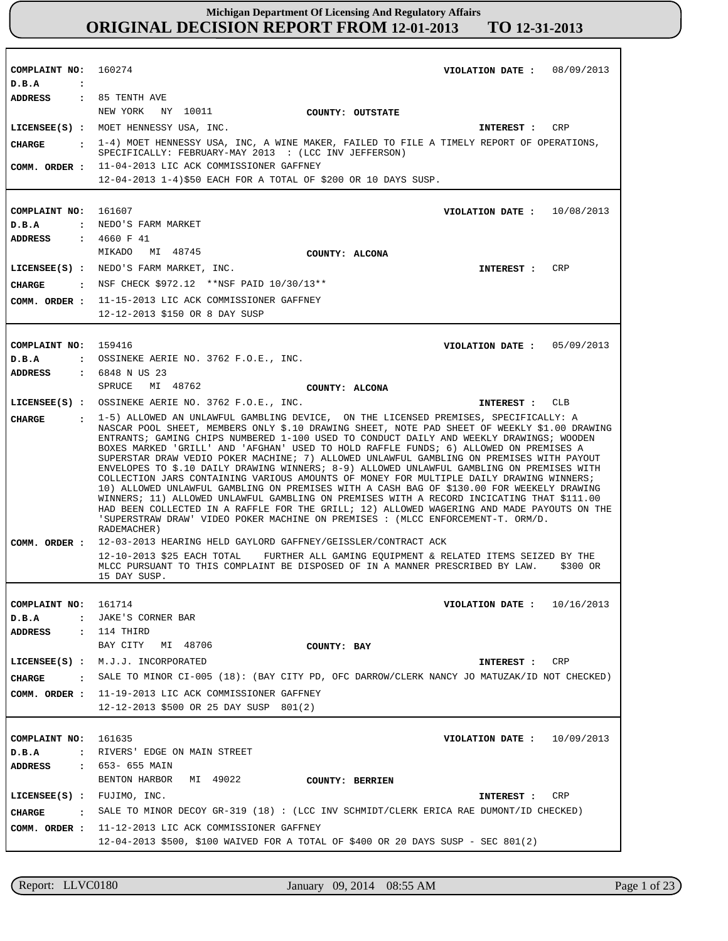**COMPLAINT NO: COMPLAINT NO:** 161607 **COMPLAINT NO: COMPLAINT NO:** 161714 **COMPLAINT NO:** 161635 160274 159416 **VIOLATION DATE : VIOLATION DATE : VIOLATION DATE : VIOLATION DATE : VIOLATION DATE :** 08/09/2013 10/08/2013 05/09/2013 10/16/2013 10/09/2013 **D.B.A : D.B.A : D.B.A : D.B.A : D.B.A :** NEDO'S FARM MARKET OSSINEKE AERIE NO. 3762 F.O.E., INC. JAKE'S CORNER BAR RIVERS' EDGE ON MAIN STREET **ADDRESS : ADDRESS : ADDRESS : ADDRESS : ADDRESS :** 85 TENTH AVE 4660 F 41 6848 N US 23 114 THIRD 653- 655 MAIN NEW YORK NY 10011 MIKADO MI 48745 SPRUCE MI 48762 BAY CITY MI 48706 BENTON HARBOR MI 49022 11-04-2013 LIC ACK COMMISSIONER GAFFNEY 12-04-2013 1-4)\$50 EACH FOR A TOTAL OF \$200 OR 10 DAYS SUSP. 11-15-2013 LIC ACK COMMISSIONER GAFFNEY 12-12-2013 \$150 OR 8 DAY SUSP 12-03-2013 HEARING HELD GAYLORD GAFFNEY/GEISSLER/CONTRACT ACK 12-10-2013 \$25 EACH TOTAL FURTHER ALL GAMING EQUIPMENT & RELATED ITEMS SEIZED BY THE MLCC PURSUANT TO THIS COMPLAINT BE DISPOSED OF IN A MANNER PRESCRIBED BY LAW. \$300 OR 15 DAY SUSP. 11-19-2013 LIC ACK COMMISSIONER GAFFNEY **COMM. ORDER :** 12-12-2013 \$500 OR 25 DAY SUSP 801(2) 11-12-2013 LIC ACK COMMISSIONER GAFFNEY **COMM. ORDER :** 12-04-2013 \$500, \$100 WAIVED FOR A TOTAL OF \$400 OR 20 DAYS SUSP - SEC 801(2) **LICENSEE(S) :** MOET HENNESSY USA, INC. **LICENSEE(S) :** NEDO'S FARM MARKET, INC. **LICENSEE(S) :** OSSINEKE AERIE NO. 3762 F.O.E., INC. **LICENSEE(S) :** M.J.J. INCORPORATED **LICENSEE(S) :** FUJIMO, INC. CRP CRP  $CT.B$ CRP CRP **CHARGE : CHARGE : CHARGE : CHARGE : CHARGE :** 1-4) MOET HENNESSY USA, INC, A WINE MAKER, FAILED TO FILE A TIMELY REPORT OF OPERATIONS, SPECIFICALLY: FEBRUARY-MAY 2013 : (LCC INV JEFFERSON) : NSF CHECK \$972.12 \*\*NSF PAID 10/30/13\*\* 1-5) ALLOWED AN UNLAWFUL GAMBLING DEVICE, ON THE LICENSED PREMISES, SPECIFICALLY: A NASCAR POOL SHEET, MEMBERS ONLY \$.10 DRAWING SHEET, NOTE PAD SHEET OF WEEKLY \$1.00 DRAWING ENTRANTS; GAMING CHIPS NUMBERED 1-100 USED TO CONDUCT DAILY AND WEEKLY DRAWINGS; WOODEN BOXES MARKED 'GRILL' AND 'AFGHAN' USED TO HOLD RAFFLE FUNDS; 6) ALLOWED ON PREMISES A SUPERSTAR DRAW VEDIO POKER MACHINE; 7) ALLOWED UNLAWFUL GAMBLING ON PREMISES WITH PAYOUT ENVELOPES TO \$.10 DAILY DRAWING WINNERS; 8-9) ALLOWED UNLAWFUL GAMBLING ON PREMISES WITH COLLECTION JARS CONTAINING VARIOUS AMOUNTS OF MONEY FOR MULTIPLE DAILY DRAWING WINNERS; 10) ALLOWED UNLAWFUL GAMBLING ON PREMISES WITH A CASH BAG OF \$130.00 FOR WEEKELY DRAWING WINNERS; 11) ALLOWED UNLAWFUL GAMBLING ON PREMISES WITH A RECORD INCICATING THAT \$111.00 HAD BEEN COLLECTED IN A RAFFLE FOR THE GRILL; 12) ALLOWED WAGERING AND MADE PAYOUTS ON THE 'SUPERSTRAW DRAW' VIDEO POKER MACHINE ON PREMISES : (MLCC ENFORCEMENT-T. ORM/D. RADEMACHER) SALE TO MINOR CI-005 (18): (BAY CITY PD, OFC DARROW/CLERK NANCY JO MATUZAK/ID NOT CHECKED) SALE TO MINOR DECOY GR-319 (18) : (LCC INV SCHMIDT/CLERK ERICA RAE DUMONT/ID CHECKED) **INTEREST : INTEREST : INTEREST : INTEREST : INTEREST : COMM. ORDER : COMM. ORDER : COMM. ORDER : COUNTY: OUTSTATE COUNTY: ALCONA COUNTY: ALCONA COUNTY: BAY COUNTY: BERRIEN**

Report: LLVC0180 January 09, 2014 08:55 AM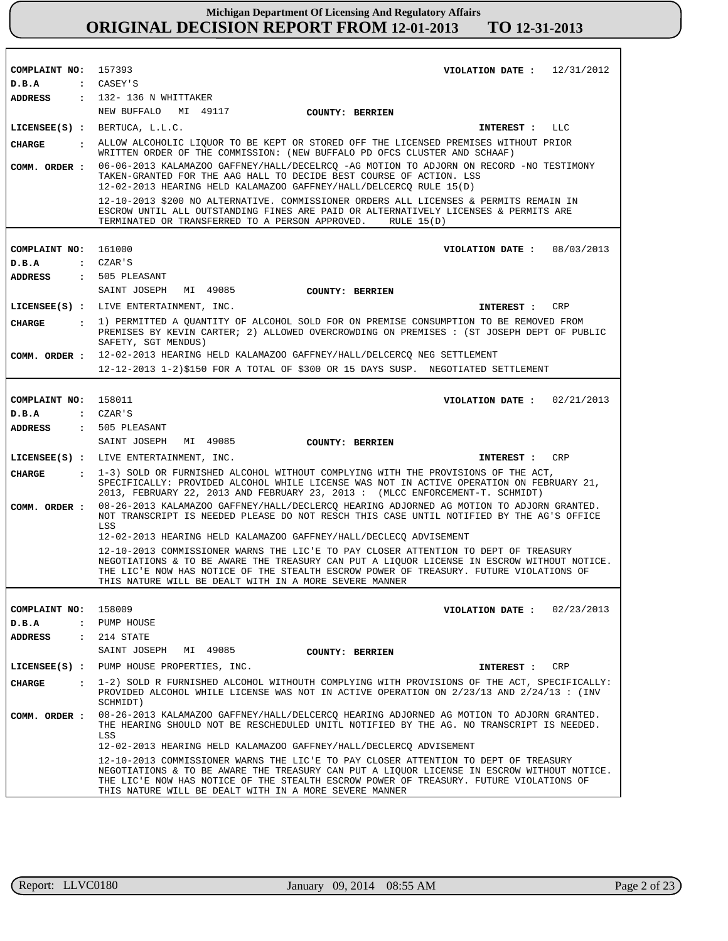| COMPLAINT NO: 157393 | VIOLATION DATE: $12/31/2012$                                                                                                                                                                                                                                                                                                          |
|----------------------|---------------------------------------------------------------------------------------------------------------------------------------------------------------------------------------------------------------------------------------------------------------------------------------------------------------------------------------|
| D.B.A                | : CASEY'S                                                                                                                                                                                                                                                                                                                             |
| <b>ADDRESS</b>       | $: 132 - 136$ N WHITTAKER                                                                                                                                                                                                                                                                                                             |
|                      | NEW BUFFALO MI 49117<br><b>COUNTY: BERRIEN</b>                                                                                                                                                                                                                                                                                        |
|                      | LICENSEE(S) : BERTUCA, L.L.C.<br><b>INTEREST :</b><br>LLC                                                                                                                                                                                                                                                                             |
| <b>CHARGE</b>        | . ALLOW ALCOHOLIC LIQUOR TO BE KEPT OR STORED OFF THE LICENSED PREMISES WITHOUT PRIOR<br>WRITTEN ORDER OF THE COMMISSION: (NEW BUFFALO PD OFCS CLUSTER AND SCHAAF)                                                                                                                                                                    |
| COMM. ORDER :        | 06-06-2013 KALAMAZOO GAFFNEY/HALL/DECELRCQ -AG MOTION TO ADJORN ON RECORD -NO TESTIMONY<br>TAKEN-GRANTED FOR THE AAG HALL TO DECIDE BEST COURSE OF ACTION. LSS<br>12-02-2013 HEARING HELD KALAMAZOO GAFFNEY/HALL/DELCERCQ RULE 15(D)                                                                                                  |
|                      | 12-10-2013 \$200 NO ALTERNATIVE. COMMISSIONER ORDERS ALL LICENSES & PERMITS REMAIN IN<br>ESCROW UNTIL ALL OUTSTANDING FINES ARE PAID OR ALTERNATIVELY LICENSES & PERMITS ARE<br>TERMINATED OR TRANSFERRED TO A PERSON APPROVED. RULE 15(D)                                                                                            |
|                      |                                                                                                                                                                                                                                                                                                                                       |
| COMPLAINT NO: 161000 | VIOLATION DATE : $08/03/2013$                                                                                                                                                                                                                                                                                                         |
| D.B.A                | $\mathsf{c}$ $\mathsf{c}$ $\mathsf{z}$ $\mathsf{a}$ $\mathsf{r}$ $\mathsf{s}$                                                                                                                                                                                                                                                         |
| <b>ADDRESS</b>       | : 505 PLEASANT                                                                                                                                                                                                                                                                                                                        |
|                      | SAINT JOSEPH<br>MI 49085<br><b>COUNTY: BERRIEN</b>                                                                                                                                                                                                                                                                                    |
|                      | LICENSEE(S) : LIVE ENTERTAINMENT, INC.<br>CRP<br>INTEREST :                                                                                                                                                                                                                                                                           |
| CIIARGE              | : 1) PERMITTED A QUANTITY OF ALCOHOL SOLD FOR ON PREMISE CONSUMPTION TO BE REMOVED FROM<br>PREMISES BY KEVIN CARTER; 2) ALLOWED OVERCROWDING ON PREMISES : (ST JOSEPH DEPT OF PUBLIC<br>SAFETY, SGT MENDUS)                                                                                                                           |
|                      | COMM. ORDER: 12-02-2013 HEARING HELD KALAMAZOO GAFFNEY/HALL/DELCERCO NEG SETTLEMENT                                                                                                                                                                                                                                                   |
|                      | 12-12-2013 1-2)\$150 FOR A TOTAL OF \$300 OR 15 DAYS SUSP. NEGOTIATED SETTLEMENT                                                                                                                                                                                                                                                      |
|                      |                                                                                                                                                                                                                                                                                                                                       |
| COMPLAINT NO: 158011 | VIOLATION DATE: $02/21/2013$                                                                                                                                                                                                                                                                                                          |
| D.B.A                | $\mathsf{c}$ $\mathsf{c}$ $\mathsf{z}$ $\mathsf{a}$ $\mathsf{r}$ $\mathsf{s}$                                                                                                                                                                                                                                                         |
|                      |                                                                                                                                                                                                                                                                                                                                       |
| <b>ADDRESS</b>       | : 505 PLEASANT                                                                                                                                                                                                                                                                                                                        |
|                      | SAINT JOSEPH<br>MI 49085<br><b>COUNTY: BERRIEN</b>                                                                                                                                                                                                                                                                                    |
|                      | LICENSEE(S) : LIVE ENTERTAINMENT, INC.<br>CRP<br>INTEREST :                                                                                                                                                                                                                                                                           |
| <b>CHARGE</b>        | : 1-3) SOLD OR FURNISHED ALCOHOL WITHOUT COMPLYING WITH THE PROVISIONS OF THE ACT,<br>SPECIFICALLY: PROVIDED ALCOHOL WHILE LICENSE WAS NOT IN ACTIVE OPERATION ON FEBRUARY 21,<br>2013, FEBRUARY 22, 2013 AND FEBRUARY 23, 2013 : (MLCC ENFORCEMENT-T. SCHMIDT)                                                                       |
| COMM. ORDER :        | 08-26-2013 KALAMAZOO GAFFNEY/HALL/DECLERCQ HEARING ADJORNED AG MOTION TO ADJORN GRANTED.<br>NOT TRANSCRIPT IS NEEDED PLEASE DO NOT RESCH THIS CASE UNTIL NOTIFIED BY THE AG'S OFFICE<br>LSS                                                                                                                                           |
|                      | 12-02-2013 HEARING HELD KALAMAZOO GAFFNEY/HALL/DECLECO ADVISEMENT                                                                                                                                                                                                                                                                     |
|                      | 12-10-2013 COMMISSIONER WARNS THE LIC'E TO PAY CLOSER ATTENTION TO DEPT OF TREASURY<br>NEGOTIATIONS & TO BE AWARE THE TREASURY CAN PUT A LIOUOR LICENSE IN ESCROW WITHOUT NOTICE.<br>THE LIC'E NOW HAS NOTICE OF THE STEALTH ESCROW POWER OF TREASURY. FUTURE VIOLATIONS OF<br>THIS NATURE WILL BE DEALT WITH IN A MORE SEVERE MANNER |
|                      |                                                                                                                                                                                                                                                                                                                                       |
| COMPLAINT NO:        | 158009<br>VIOLATION DATE: $02/23/2013$                                                                                                                                                                                                                                                                                                |
| D.B.A                | : PUMP HOUSE                                                                                                                                                                                                                                                                                                                          |
| ADDRESS              | $: 214$ STATE                                                                                                                                                                                                                                                                                                                         |
|                      | SAINT JOSEPH<br>MI 49085<br><b>COUNTY: BERRIEN</b>                                                                                                                                                                                                                                                                                    |
|                      | LICENSEE(S) : PUMP HOUSE PROPERTIES, INC.<br>CRP<br>INTEREST :                                                                                                                                                                                                                                                                        |
| <b>CHARGE</b>        | : 1-2) SOLD R FURNISHED ALCOHOL WITHOUTH COMPLYING WITH PROVISIONS OF THE ACT, SPECIFICALLY:<br>PROVIDED ALCOHOL WHILE LICENSE WAS NOT IN ACTIVE OPERATION ON 2/23/13 AND 2/24/13 : (INV<br>SCHMIDT)                                                                                                                                  |
| COMM. ORDER :        | 08-26-2013 KALAMAZOO GAFFNEY/HALL/DELCERCO HEARING ADJORNED AG MOTION TO ADJORN GRANTED.<br>THE HEARING SHOULD NOT BE RESCHEDULED UNITL NOTIFIED BY THE AG. NO TRANSCRIPT IS NEEDED.<br>LSS                                                                                                                                           |
|                      | 12-02-2013 HEARING HELD KALAMAZOO GAFFNEY/HALL/DECLERCQ ADVISEMENT                                                                                                                                                                                                                                                                    |
|                      | 12-10-2013 COMMISSIONER WARNS THE LIC'E TO PAY CLOSER ATTENTION TO DEPT OF TREASURY<br>NEGOTIATIONS & TO BE AWARE THE TREASURY CAN PUT A LIQUOR LICENSE IN ESCROW WITHOUT NOTICE.<br>THE LIC'E NOW HAS NOTICE OF THE STEALTH ESCROW POWER OF TREASURY. FUTURE VIOLATIONS OF<br>THIS NATURE WILL BE DEALT WITH IN A MORE SEVERE MANNER |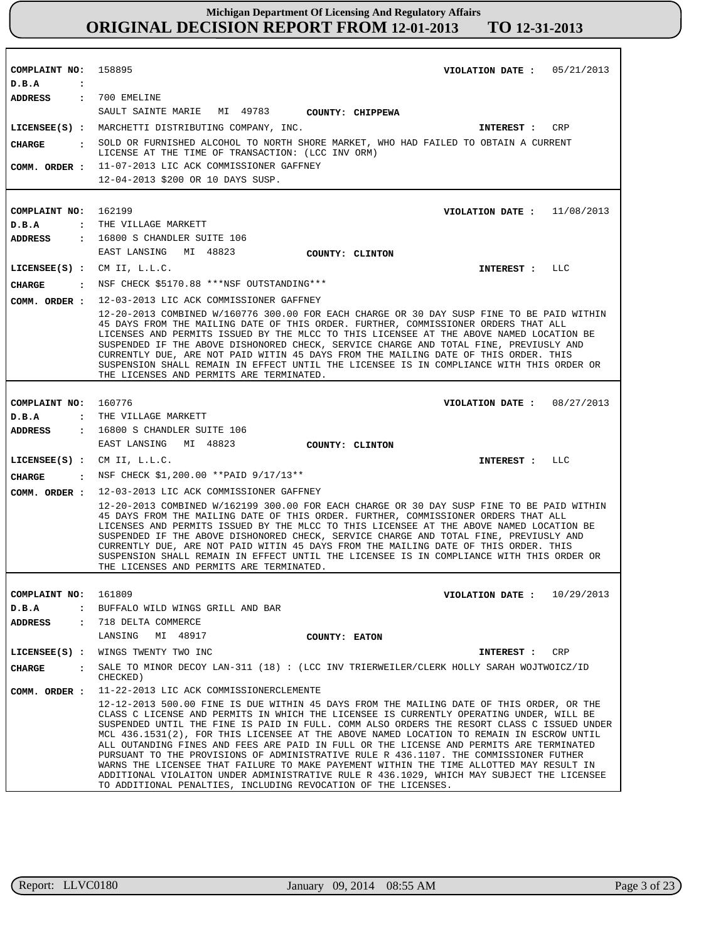| COMPLAINT NO: 158895                   | VIOLATION DATE: $05/21/2013$                                                                                                                                                                                                                                                                                                                                                                                                                                                                                                                                                                                                                                                                                                                                                                                                |
|----------------------------------------|-----------------------------------------------------------------------------------------------------------------------------------------------------------------------------------------------------------------------------------------------------------------------------------------------------------------------------------------------------------------------------------------------------------------------------------------------------------------------------------------------------------------------------------------------------------------------------------------------------------------------------------------------------------------------------------------------------------------------------------------------------------------------------------------------------------------------------|
| D.B.A<br>$\ddot{\cdot}$                |                                                                                                                                                                                                                                                                                                                                                                                                                                                                                                                                                                                                                                                                                                                                                                                                                             |
| ADDRESS : 700 EMELINE                  |                                                                                                                                                                                                                                                                                                                                                                                                                                                                                                                                                                                                                                                                                                                                                                                                                             |
|                                        | SAULT SAINTE MARIE MI 49783 COUNTY: CHIPPEWA                                                                                                                                                                                                                                                                                                                                                                                                                                                                                                                                                                                                                                                                                                                                                                                |
|                                        | LICENSEE(S) : MARCHETTI DISTRIBUTING COMPANY, INC.<br>CRP<br><b>INTEREST :</b>                                                                                                                                                                                                                                                                                                                                                                                                                                                                                                                                                                                                                                                                                                                                              |
| CHARGE                                 | : SOLD OR FURNISHED ALCOHOL TO NORTH SHORE MARKET, WHO HAD FAILED TO OBTAIN A CURRENT<br>LICENSE AT THE TIME OF TRANSACTION: (LCC INV ORM)                                                                                                                                                                                                                                                                                                                                                                                                                                                                                                                                                                                                                                                                                  |
|                                        | COMM. ORDER : 11-07-2013 LIC ACK COMMISSIONER GAFFNEY                                                                                                                                                                                                                                                                                                                                                                                                                                                                                                                                                                                                                                                                                                                                                                       |
|                                        | 12-04-2013 \$200 OR 10 DAYS SUSP.                                                                                                                                                                                                                                                                                                                                                                                                                                                                                                                                                                                                                                                                                                                                                                                           |
|                                        |                                                                                                                                                                                                                                                                                                                                                                                                                                                                                                                                                                                                                                                                                                                                                                                                                             |
|                                        |                                                                                                                                                                                                                                                                                                                                                                                                                                                                                                                                                                                                                                                                                                                                                                                                                             |
| COMPLAINT NO: 162199                   | VIOLATION DATE : $11/08/2013$                                                                                                                                                                                                                                                                                                                                                                                                                                                                                                                                                                                                                                                                                                                                                                                               |
| D.B.A                                  | : THE VILLAGE MARKETT                                                                                                                                                                                                                                                                                                                                                                                                                                                                                                                                                                                                                                                                                                                                                                                                       |
| ADDRESS                                | $: 16800$ S CHANDLER SUITE $106$                                                                                                                                                                                                                                                                                                                                                                                                                                                                                                                                                                                                                                                                                                                                                                                            |
|                                        | EAST LANSING MI 48823<br>COUNTY: CLINTON                                                                                                                                                                                                                                                                                                                                                                                                                                                                                                                                                                                                                                                                                                                                                                                    |
|                                        | LICENSEE $(S)$ : CM II, L.L.C.<br>INTEREST : LLC                                                                                                                                                                                                                                                                                                                                                                                                                                                                                                                                                                                                                                                                                                                                                                            |
| <b>CHARGE</b>                          | : NSF CHECK \$5170.88 ***NSF OUTSTANDING***                                                                                                                                                                                                                                                                                                                                                                                                                                                                                                                                                                                                                                                                                                                                                                                 |
| COMM. ORDER :                          | 12-03-2013 LIC ACK COMMISSIONER GAFFNEY                                                                                                                                                                                                                                                                                                                                                                                                                                                                                                                                                                                                                                                                                                                                                                                     |
|                                        | 12-20-2013 COMBINED W/160776 300.00 FOR EACH CHARGE OR 30 DAY SUSP FINE TO BE PAID WITHIN                                                                                                                                                                                                                                                                                                                                                                                                                                                                                                                                                                                                                                                                                                                                   |
|                                        | 45 DAYS FROM THE MAILING DATE OF THIS ORDER. FURTHER, COMMISSIONER ORDERS THAT ALL<br>LICENSES AND PERMITS ISSUED BY THE MLCC TO THIS LICENSEE AT THE ABOVE NAMED LOCATION BE<br>SUSPENDED IF THE ABOVE DISHONORED CHECK, SERVICE CHARGE AND TOTAL FINE, PREVIUSLY AND<br>CURRENTLY DUE, ARE NOT PAID WITIN 45 DAYS FROM THE MAILING DATE OF THIS ORDER. THIS<br>SUSPENSION SHALL REMAIN IN EFFECT UNTIL THE LICENSEE IS IN COMPLIANCE WITH THIS ORDER OR<br>THE LICENSES AND PERMITS ARE TERMINATED.                                                                                                                                                                                                                                                                                                                       |
|                                        |                                                                                                                                                                                                                                                                                                                                                                                                                                                                                                                                                                                                                                                                                                                                                                                                                             |
| COMPLAINT NO: 160776                   | VIOLATION DATE: 08/27/2013                                                                                                                                                                                                                                                                                                                                                                                                                                                                                                                                                                                                                                                                                                                                                                                                  |
| D.B.A                                  | : THE VILLAGE MARKETT                                                                                                                                                                                                                                                                                                                                                                                                                                                                                                                                                                                                                                                                                                                                                                                                       |
| <b>ADDRESS</b>                         | : 16800 S CHANDLER SUITE 106                                                                                                                                                                                                                                                                                                                                                                                                                                                                                                                                                                                                                                                                                                                                                                                                |
|                                        | EAST LANSING MI 48823<br>COUNTY: CLINTON                                                                                                                                                                                                                                                                                                                                                                                                                                                                                                                                                                                                                                                                                                                                                                                    |
|                                        | LICENSEE $(S)$ : CM II, L.L.C.<br>INTEREST : LLC                                                                                                                                                                                                                                                                                                                                                                                                                                                                                                                                                                                                                                                                                                                                                                            |
| CHARGE                                 | : NSF CHECK \$1,200.00 ** PAID 9/17/13**                                                                                                                                                                                                                                                                                                                                                                                                                                                                                                                                                                                                                                                                                                                                                                                    |
| COMM. ORDER :                          | 12-03-2013 LIC ACK COMMISSIONER GAFFNEY                                                                                                                                                                                                                                                                                                                                                                                                                                                                                                                                                                                                                                                                                                                                                                                     |
|                                        | 12-20-2013 COMBINED W/162199 300.00 FOR EACH CHARGE OR 30 DAY SUSP FINE TO BE PAID WITHIN<br>45 DAYS FROM THE MAILING DATE OF THIS ORDER. FURTHER, COMMISSIONER ORDERS THAT ALL<br>LICENSES AND PERMITS ISSUED BY THE MLCC TO THIS LICENSEE AT THE ABOVE NAMED LOCATION BE<br>SUSPENDED IF THE ABOVE DISHONORED CHECK, SERVICE CHARGE AND TOTAL FINE, PREVIUSLY AND<br>CURRENTLY DUE, ARE NOT PAID WITIN 45 DAYS FROM THE MAILING DATE OF THIS ORDER. THIS<br>SUSPENSION SHALL REMAIN IN EFFECT UNTIL THE LICENSEE IS IN COMPLIANCE WITH THIS ORDER OR<br>THE LICENSES AND PERMITS ARE TERMINATED.                                                                                                                                                                                                                          |
|                                        |                                                                                                                                                                                                                                                                                                                                                                                                                                                                                                                                                                                                                                                                                                                                                                                                                             |
| COMPLAINT NO:                          | 161809<br>VIOLATION DATE: $10/29/2013$                                                                                                                                                                                                                                                                                                                                                                                                                                                                                                                                                                                                                                                                                                                                                                                      |
| D.B.A<br>$\ddot{\cdot}$                | BUFFALO WILD WINGS GRILL AND BAR                                                                                                                                                                                                                                                                                                                                                                                                                                                                                                                                                                                                                                                                                                                                                                                            |
| <b>ADDRESS</b><br>$\ddot{\phantom{a}}$ | 718 DELTA COMMERCE                                                                                                                                                                                                                                                                                                                                                                                                                                                                                                                                                                                                                                                                                                                                                                                                          |
|                                        | LANSING<br>MI 48917<br>COUNTY: EATON                                                                                                                                                                                                                                                                                                                                                                                                                                                                                                                                                                                                                                                                                                                                                                                        |
| $LICENSEE(S)$ :                        | WINGS TWENTY TWO INC<br>INTEREST :<br>CRP                                                                                                                                                                                                                                                                                                                                                                                                                                                                                                                                                                                                                                                                                                                                                                                   |
| <b>CHARGE</b>                          | SALE TO MINOR DECOY LAN-311 (18) : (LCC INV TRIERWEILER/CLERK HOLLY SARAH WOJTWOICZ/ID<br>CHECKED)                                                                                                                                                                                                                                                                                                                                                                                                                                                                                                                                                                                                                                                                                                                          |
| COMM. ORDER :                          | 11-22-2013 LIC ACK COMMISSIONERCLEMENTE                                                                                                                                                                                                                                                                                                                                                                                                                                                                                                                                                                                                                                                                                                                                                                                     |
|                                        | 12-12-2013 500.00 FINE IS DUE WITHIN 45 DAYS FROM THE MAILING DATE OF THIS ORDER, OR THE<br>CLASS C LICENSE AND PERMITS IN WHICH THE LICENSEE IS CURRENTLY OPERATING UNDER, WILL BE<br>SUSPENDED UNTIL THE FINE IS PAID IN FULL. COMM ALSO ORDERS THE RESORT CLASS C ISSUED UNDER<br>MCL 436.1531(2), FOR THIS LICENSEE AT THE ABOVE NAMED LOCATION TO REMAIN IN ESCROW UNTIL<br>ALL OUTANDING FINES AND FEES ARE PAID IN FULL OR THE LICENSE AND PERMITS ARE TERMINATED<br>PURSUANT TO THE PROVISIONS OF ADMINISTRATIVE RULE R 436.1107. THE COMMISSIONER FUTHER<br>WARNS THE LICENSEE THAT FAILURE TO MAKE PAYEMENT WITHIN THE TIME ALLOTTED MAY RESULT IN<br>ADDITIONAL VIOLAITON UNDER ADMINISTRATIVE RULE R 436.1029, WHICH MAY SUBJECT THE LICENSEE<br>TO ADDITIONAL PENALTIES, INCLUDING REVOCATION OF THE LICENSES. |
|                                        |                                                                                                                                                                                                                                                                                                                                                                                                                                                                                                                                                                                                                                                                                                                                                                                                                             |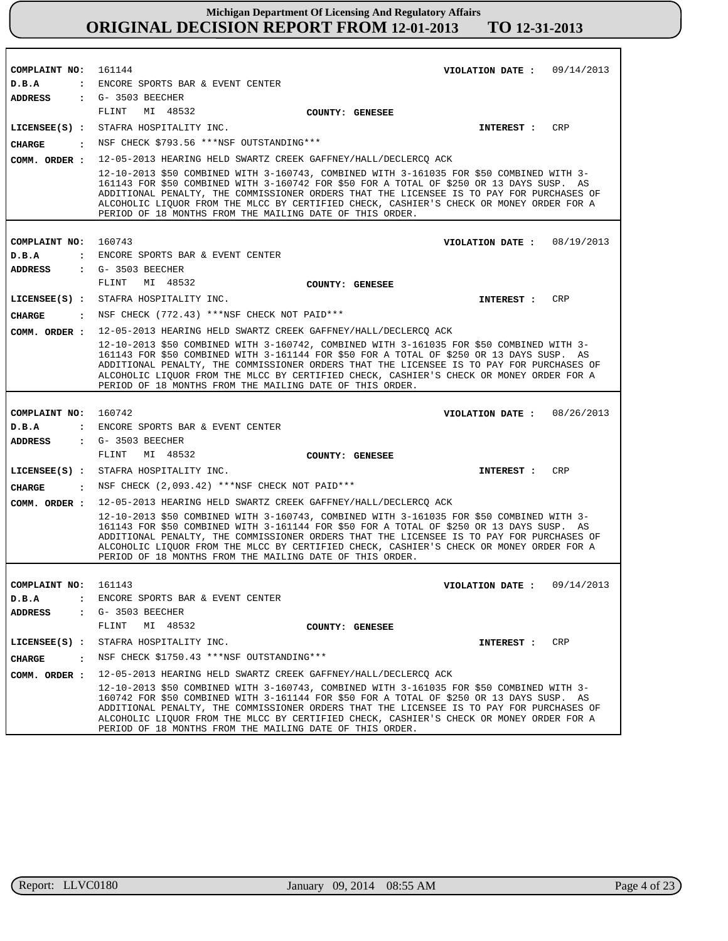| COMPLAINT NO: 161144    | VIOLATION DATE: $09/14/2013$                                                                                                                                                                                                                                                                                                                                                                                                            |
|-------------------------|-----------------------------------------------------------------------------------------------------------------------------------------------------------------------------------------------------------------------------------------------------------------------------------------------------------------------------------------------------------------------------------------------------------------------------------------|
| D.B.A<br><b>ADDRESS</b> | : ENCORE SPORTS BAR & EVENT CENTER<br>: G- 3503 BEECHER                                                                                                                                                                                                                                                                                                                                                                                 |
|                         | MI 48532<br>FLINT<br>COUNTY: GENESEE                                                                                                                                                                                                                                                                                                                                                                                                    |
|                         | LICENSEE(S) : STAFRA HOSPITALITY INC.<br>CRP                                                                                                                                                                                                                                                                                                                                                                                            |
|                         | <b>INTEREST :</b><br>: NSF CHECK \$793.56 ***NSF OUTSTANDING***                                                                                                                                                                                                                                                                                                                                                                         |
| CHARGE                  |                                                                                                                                                                                                                                                                                                                                                                                                                                         |
|                         | COMM. ORDER : 12-05-2013 HEARING HELD SWARTZ CREEK GAFFNEY/HALL/DECLERCQ ACK                                                                                                                                                                                                                                                                                                                                                            |
|                         | 12-10-2013 \$50 COMBINED WITH 3-160743, COMBINED WITH 3-161035 FOR \$50 COMBINED WITH 3-<br>161143 FOR \$50 COMBINED WITH 3-160742 FOR \$50 FOR A TOTAL OF \$250 OR 13 DAYS SUSP. AS<br>ADDITIONAL PENALTY, THE COMMISSIONER ORDERS THAT THE LICENSEE IS TO PAY FOR PURCHASES OF<br>ALCOHOLIC LIQUOR FROM THE MLCC BY CERTIFIED CHECK, CASHIER'S CHECK OR MONEY ORDER FOR A<br>PERIOD OF 18 MONTHS FROM THE MAILING DATE OF THIS ORDER. |
|                         |                                                                                                                                                                                                                                                                                                                                                                                                                                         |
| COMPLAINT NO: 160743    | VIOLATION DATE: $08/19/2013$                                                                                                                                                                                                                                                                                                                                                                                                            |
| D.B.A                   | : ENCORE SPORTS BAR & EVENT CENTER                                                                                                                                                                                                                                                                                                                                                                                                      |
| ADDRESS                 | $\cdot$ G- 3503 BEECHER<br>FLINT<br>MI 48532                                                                                                                                                                                                                                                                                                                                                                                            |
|                         | <b>COUNTY: GENESEE</b><br><b>CRP</b>                                                                                                                                                                                                                                                                                                                                                                                                    |
|                         | LICENSEE(S) : STAFRA HOSPITALITY INC.<br><b>INTEREST :</b>                                                                                                                                                                                                                                                                                                                                                                              |
| CHARGE                  | . NSF CHECK (772.43) ***NSF CHECK NOT PAID***                                                                                                                                                                                                                                                                                                                                                                                           |
|                         | COMM. ORDER : 12-05-2013 HEARING HELD SWARTZ CREEK GAFFNEY/HALL/DECLERCQ ACK                                                                                                                                                                                                                                                                                                                                                            |
|                         | 12-10-2013 \$50 COMBINED WITH 3-160742, COMBINED WITH 3-161035 FOR \$50 COMBINED WITH 3-<br>161143 FOR \$50 COMBINED WITH 3-161144 FOR \$50 FOR A TOTAL OF \$250 OR 13 DAYS SUSP. AS<br>ADDITIONAL PENALTY, THE COMMISSIONER ORDERS THAT THE LICENSEE IS TO PAY FOR PURCHASES OF<br>ALCOHOLIC LIQUOR FROM THE MLCC BY CERTIFIED CHECK, CASHIER'S CHECK OR MONEY ORDER FOR A<br>PERIOD OF 18 MONTHS FROM THE MAILING DATE OF THIS ORDER. |
|                         |                                                                                                                                                                                                                                                                                                                                                                                                                                         |
| COMPLAINT NO: 160742    | VIOLATION DATE: $08/26/2013$                                                                                                                                                                                                                                                                                                                                                                                                            |
| D.B.A                   | : ENCORE SPORTS BAR & EVENT CENTER                                                                                                                                                                                                                                                                                                                                                                                                      |
| ADDRESS                 | $G-3503$ BEECHER<br>FLINT<br>MI 48532                                                                                                                                                                                                                                                                                                                                                                                                   |
|                         | <b>COUNTY: GENESEE</b>                                                                                                                                                                                                                                                                                                                                                                                                                  |
|                         | LICENSEE(S) : STAFRA HOSPITALITY INC.<br>CRP<br><b>INTEREST :</b>                                                                                                                                                                                                                                                                                                                                                                       |
| CHARGE                  | $:$ NSF CHECK $(2,093.42)$ ***NSF CHECK NOT PAID***                                                                                                                                                                                                                                                                                                                                                                                     |
| COMM. ORDER :           | 12-05-2013 HEARING HELD SWARTZ CREEK GAFFNEY/HALL/DECLERCQ ACK                                                                                                                                                                                                                                                                                                                                                                          |
|                         | 12-10-2013 \$50 COMBINED WITH 3-160743, COMBINED WITH 3-161035 FOR \$50 COMBINED WITH 3-<br>161143 FOR \$50 COMBINED WITH 3-161144 FOR \$50 FOR A TOTAL OF \$250 OR 13 DAYS SUSP. AS<br>ADDITIONAL PENALTY, THE COMMISSIONER ORDERS THAT THE LICENSEE IS TO PAY FOR PURCHASES OF<br>ALCOHOLIC LIQUOR FROM THE MLCC BY CERTIFIED CHECK, CASHIER'S CHECK OR MONEY ORDER FOR A<br>PERIOD OF 18 MONTHS FROM THE MAILING DATE OF THIS ORDER. |
|                         |                                                                                                                                                                                                                                                                                                                                                                                                                                         |
| COMPLAINT NO:           | 161143<br>VIOLATION DATE: $09/14/2013$                                                                                                                                                                                                                                                                                                                                                                                                  |
| D.B.A                   | : ENCORE SPORTS BAR & EVENT CENTER                                                                                                                                                                                                                                                                                                                                                                                                      |
| <b>ADDRESS</b>          | $\epsilon$ G- 3503 BEECHER<br>MI 48532                                                                                                                                                                                                                                                                                                                                                                                                  |
|                         | FLINT<br>COUNTY: GENESEE                                                                                                                                                                                                                                                                                                                                                                                                                |
|                         | LICENSEE(S) : STAFRA HOSPITALITY INC.<br>INTEREST : CRP                                                                                                                                                                                                                                                                                                                                                                                 |
| CHARGE                  | : NSF CHECK $$1750.43$ ***NSF OUTSTANDING***                                                                                                                                                                                                                                                                                                                                                                                            |
| COMM. ORDER :           | 12-05-2013 HEARING HELD SWARTZ CREEK GAFFNEY/HALL/DECLERCQ ACK                                                                                                                                                                                                                                                                                                                                                                          |
|                         | 12-10-2013 \$50 COMBINED WITH 3-160743, COMBINED WITH 3-161035 FOR \$50 COMBINED WITH 3-<br>160742 FOR \$50 COMBINED WITH 3-161144 FOR \$50 FOR A TOTAL OF \$250 OR 13 DAYS SUSP. AS<br>ADDITIONAL PENALTY, THE COMMISSIONER ORDERS THAT THE LICENSEE IS TO PAY FOR PURCHASES OF<br>ALCOHOLIC LIOUOR FROM THE MLCC BY CERTIFIED CHECK, CASHIER'S CHECK OR MONEY ORDER FOR A<br>PERIOD OF 18 MONTHS FROM THE MAILING DATE OF THIS ORDER. |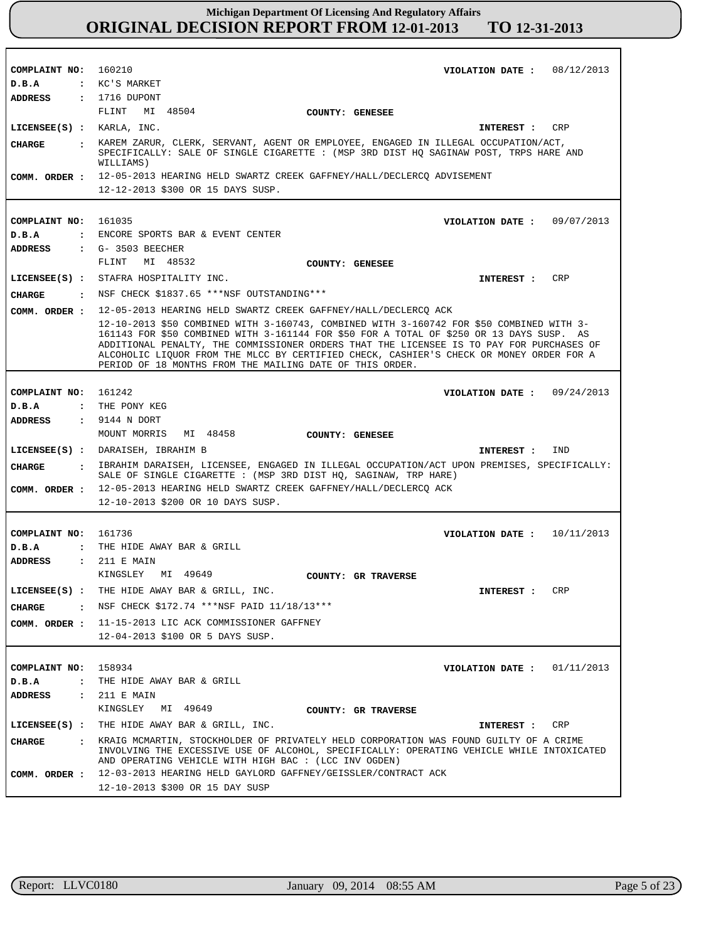| COMPLAINT NO: 160210      | VIOLATION DATE: $08/12/2013$                                                                                                                                                                                                                                                                                                                                                                                                            |
|---------------------------|-----------------------------------------------------------------------------------------------------------------------------------------------------------------------------------------------------------------------------------------------------------------------------------------------------------------------------------------------------------------------------------------------------------------------------------------|
| D.B.A                     | : KC'S MARKET                                                                                                                                                                                                                                                                                                                                                                                                                           |
| ADDRESS                   | : 1716 DUPONT                                                                                                                                                                                                                                                                                                                                                                                                                           |
|                           | FLINT MI 48504<br>COUNTY: GENESEE                                                                                                                                                                                                                                                                                                                                                                                                       |
| LICENSEE(S) : KARLA, INC. | CRP<br>INTEREST :                                                                                                                                                                                                                                                                                                                                                                                                                       |
| CHARGE                    | : KAREM ZARUR, CLERK, SERVANT, AGENT OR EMPLOYEE, ENGAGED IN ILLEGAL OCCUPATION/ACT,<br>SPECIFICALLY: SALE OF SINGLE CIGARETTE : (MSP 3RD DIST HQ SAGINAW POST, TRPS HARE AND<br>WILLIAMS)                                                                                                                                                                                                                                              |
|                           | COMM. ORDER : 12-05-2013 HEARING HELD SWARTZ CREEK GAFFNEY/HALL/DECLERCQ ADVISEMENT                                                                                                                                                                                                                                                                                                                                                     |
|                           | 12-12-2013 \$300 OR 15 DAYS SUSP.                                                                                                                                                                                                                                                                                                                                                                                                       |
|                           |                                                                                                                                                                                                                                                                                                                                                                                                                                         |
| COMPLAINT NO: 161035      | 09/07/2013<br>VIOLATION DATE :                                                                                                                                                                                                                                                                                                                                                                                                          |
| D.B.A                     | : ENCORE SPORTS BAR & EVENT CENTER                                                                                                                                                                                                                                                                                                                                                                                                      |
| <b>ADDRESS</b>            | $\cdot$ G- 3503 BEECHER                                                                                                                                                                                                                                                                                                                                                                                                                 |
|                           | FLINT<br>MI 48532<br>COUNTY: GENESEE                                                                                                                                                                                                                                                                                                                                                                                                    |
|                           | LICENSEE(S) : STAFRA HOSPITALITY INC.<br>CRP<br>INTEREST :                                                                                                                                                                                                                                                                                                                                                                              |
|                           | CHARGE: NSF CHECK \$1837.65 *** NSF OUTSTANDING***                                                                                                                                                                                                                                                                                                                                                                                      |
| COMM. ORDER :             | 12-05-2013 HEARING HELD SWARTZ CREEK GAFFNEY/HALL/DECLERCQ ACK                                                                                                                                                                                                                                                                                                                                                                          |
|                           | 12-10-2013 \$50 COMBINED WITH 3-160743, COMBINED WITH 3-160742 FOR \$50 COMBINED WITH 3-<br>161143 FOR \$50 COMBINED WITH 3-161144 FOR \$50 FOR A TOTAL OF \$250 OR 13 DAYS SUSP. AS<br>ADDITIONAL PENALTY, THE COMMISSIONER ORDERS THAT THE LICENSEE IS TO PAY FOR PURCHASES OF<br>ALCOHOLIC LIQUOR FROM THE MLCC BY CERTIFIED CHECK, CASHIER'S CHECK OR MONEY ORDER FOR A<br>PERIOD OF 18 MONTHS FROM THE MAILING DATE OF THIS ORDER. |
|                           |                                                                                                                                                                                                                                                                                                                                                                                                                                         |
| COMPLAINT NO: 161242      | VIOLATION DATE: $09/24/2013$                                                                                                                                                                                                                                                                                                                                                                                                            |
| D.B.A                     | : THE PONY KEG                                                                                                                                                                                                                                                                                                                                                                                                                          |
| <b>ADDRESS</b>            | : 9144 N DORT                                                                                                                                                                                                                                                                                                                                                                                                                           |
|                           | MOUNT MORRIS<br>MI 48458<br>COUNTY: GENESEE                                                                                                                                                                                                                                                                                                                                                                                             |
|                           | LICENSEE(S) : DARAISEH, IBRAHIM B<br>IND<br><b>INTEREST :</b>                                                                                                                                                                                                                                                                                                                                                                           |
| CHARGE<br>$\sim$ $\sim$   | IBRAHIM DARAISEH, LICENSEE, ENGAGED IN ILLEGAL OCCUPATION/ACT UPON PREMISES, SPECIFICALLY:<br>SALE OF SINGLE CIGARETTE : (MSP 3RD DIST HQ, SAGINAW, TRP HARE)                                                                                                                                                                                                                                                                           |
|                           | COMM. ORDER : 12-05-2013 HEARING HELD SWARTZ CREEK GAFFNEY/HALL/DECLERCQ ACK                                                                                                                                                                                                                                                                                                                                                            |
|                           | 12-10-2013 \$200 OR 10 DAYS SUSP.                                                                                                                                                                                                                                                                                                                                                                                                       |
|                           |                                                                                                                                                                                                                                                                                                                                                                                                                                         |
| COMPLAINT NO: 161736      | VIOLATION DATE: $10/11/2013$                                                                                                                                                                                                                                                                                                                                                                                                            |
| D.B.A                     | : THE HIDE AWAY BAR & GRILL                                                                                                                                                                                                                                                                                                                                                                                                             |
| <b>ADDRESS</b>            | : 211 E MAIN                                                                                                                                                                                                                                                                                                                                                                                                                            |
|                           | KINGSLEY MI 49649<br>COUNTY: GR TRAVERSE                                                                                                                                                                                                                                                                                                                                                                                                |
| LICENSEE(S) :             | THE HIDE AWAY BAR & GRILL, INC.<br>CRP<br><b>INTEREST :</b>                                                                                                                                                                                                                                                                                                                                                                             |
| CIIARGE<br>$\cdot$        | NSF CHECK \$172.74 ***NSF PAID 11/18/13***                                                                                                                                                                                                                                                                                                                                                                                              |
| COMM. ORDER :             | 11-15-2013 LIC ACK COMMISSIONER GAFFNEY                                                                                                                                                                                                                                                                                                                                                                                                 |
|                           | 12-04-2013 \$100 OR 5 DAYS SUSP.                                                                                                                                                                                                                                                                                                                                                                                                        |
|                           |                                                                                                                                                                                                                                                                                                                                                                                                                                         |
| COMPLAINT NO:             | 158934<br>VIOLATION DATE: $01/11/2013$                                                                                                                                                                                                                                                                                                                                                                                                  |
| D.B.A<br>$\ddot{\cdot}$   | THE HIDE AWAY BAR & GRILL                                                                                                                                                                                                                                                                                                                                                                                                               |
| <b>ADDRESS</b>            | : 211 E MAIN                                                                                                                                                                                                                                                                                                                                                                                                                            |
|                           | MI 49649<br>KINGSLEY<br>COUNTY: GR TRAVERSE                                                                                                                                                                                                                                                                                                                                                                                             |
|                           | LICENSEE(S) : THE HIDE AWAY BAR & GRILL, INC.<br>CRP<br>INTEREST :                                                                                                                                                                                                                                                                                                                                                                      |
| CHARGE                    | : KRAIG MCMARTIN, STOCKHOLDER OF PRIVATELY HELD CORPORATION WAS FOUND GUILTY OF A CRIME<br>INVOLVING THE EXCESSIVE USE OF ALCOHOL, SPECIFICALLY: OPERATING VEHICLE WHILE INTOXICATED<br>AND OPERATING VEHICLE WITH HIGH BAC : (LCC INV OGDEN)                                                                                                                                                                                           |
| COMM. ORDER :             | 12-03-2013 HEARING HELD GAYLORD GAFFNEY/GEISSLER/CONTRACT ACK                                                                                                                                                                                                                                                                                                                                                                           |
|                           | 12-10-2013 \$300 OR 15 DAY SUSP                                                                                                                                                                                                                                                                                                                                                                                                         |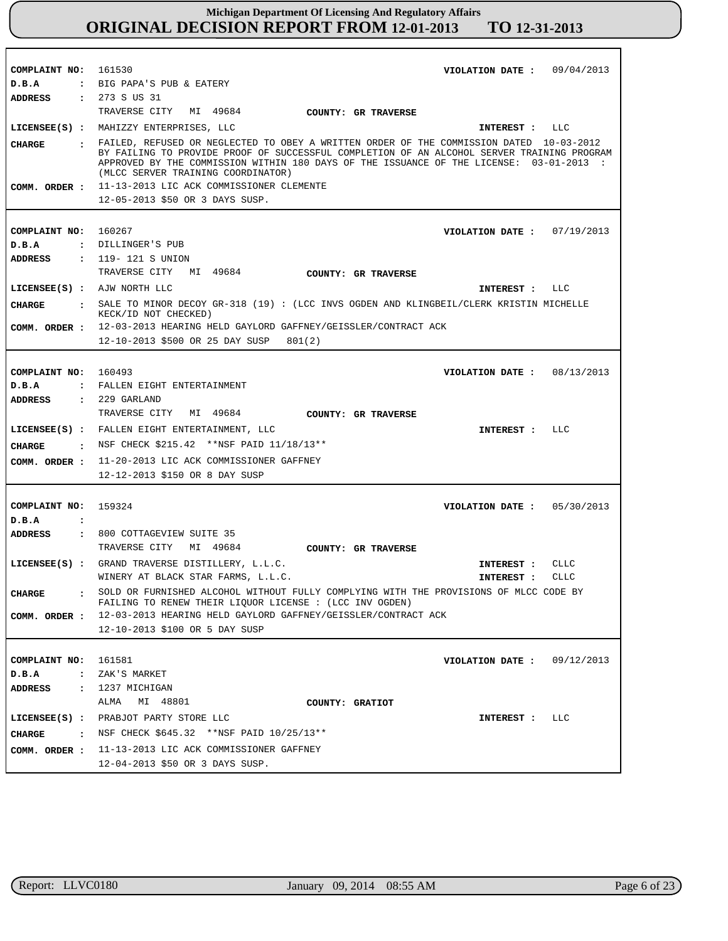| COMPLAINT NO: 161530   | VIOLATION DATE: $09/04/2013$                                                                                                                                                            |
|------------------------|-----------------------------------------------------------------------------------------------------------------------------------------------------------------------------------------|
| D.B.A                  | : BIG PAPA'S PUB & EATERY                                                                                                                                                               |
| <b>ADDRESS</b>         | : 273 S US 31                                                                                                                                                                           |
|                        | TRAVERSE CITY MI 49684<br>COUNTY: GR TRAVERSE                                                                                                                                           |
|                        | LICENSEE(S) : MAHIZZY ENTERPRISES, LLC<br>INTEREST : LLC                                                                                                                                |
|                        |                                                                                                                                                                                         |
| <b>CHARGE</b>          | : FAILED, REFUSED OR NEGLECTED TO OBEY A WRITTEN ORDER OF THE COMMISSION DATED 10-03-2012<br>BY FAILING TO PROVIDE PROOF OF SUCCESSFUL COMPLETION OF AN ALCOHOL SERVER TRAINING PROGRAM |
|                        | APPROVED BY THE COMMISSION WITHIN 180 DAYS OF THE ISSUANCE OF THE LICENSE: 03-01-2013 :                                                                                                 |
|                        | (MLCC SERVER TRAINING COORDINATOR)                                                                                                                                                      |
|                        | COMM. ORDER : 11-13-2013 LIC ACK COMMISSIONER CLEMENTE                                                                                                                                  |
|                        | 12-05-2013 \$50 OR 3 DAYS SUSP.                                                                                                                                                         |
|                        |                                                                                                                                                                                         |
| COMPLAINT NO: 160267   | VIOLATION DATE: $07/19/2013$                                                                                                                                                            |
|                        |                                                                                                                                                                                         |
| D.B.A                  | : DILLINGER'S PUB                                                                                                                                                                       |
| ADDRESS                | : 119-121 S UNION                                                                                                                                                                       |
|                        | TRAVERSE CITY MI 49684<br>COUNTY: GR TRAVERSE                                                                                                                                           |
|                        | LICENSEE(S) : AJW NORTH LLC<br>INTEREST : LLC                                                                                                                                           |
| <b>CHARGE</b>          | : SALE TO MINOR DECOY GR-318 (19) : (LCC INVS OGDEN AND KLINGBEIL/CLERK KRISTIN MICHELLE                                                                                                |
|                        | KECK/ID NOT CHECKED)                                                                                                                                                                    |
|                        | COMM. ORDER : 12-03-2013 HEARING HELD GAYLORD GAFFNEY/GEISSLER/CONTRACT ACK                                                                                                             |
|                        | 12-10-2013 \$500 OR 25 DAY SUSP 801(2)                                                                                                                                                  |
|                        |                                                                                                                                                                                         |
| COMPLAINT NO: 160493   | VIOLATION DATE : $08/13/2013$                                                                                                                                                           |
| D.B.A                  | : FALLEN EIGHT ENTERTAINMENT                                                                                                                                                            |
| ADDRESS                | $: 229$ GARLAND                                                                                                                                                                         |
|                        | TRAVERSE CITY MI 49684<br><b>COUNTY: GR TRAVERSE</b>                                                                                                                                    |
|                        |                                                                                                                                                                                         |
|                        | LICENSEE(S) : FALLEN EIGHT ENTERTAINMENT, LLC<br>INTEREST : LLC                                                                                                                         |
| CHARGE                 | . NSF CHECK \$215.42 ** NSF PAID 11/18/13**                                                                                                                                             |
| COMM. ORDER :          | 11-20-2013 LIC ACK COMMISSIONER GAFFNEY                                                                                                                                                 |
|                        | 12-12-2013 \$150 OR 8 DAY SUSP                                                                                                                                                          |
|                        |                                                                                                                                                                                         |
| COMPLAINT NO:          | 159324<br>VIOLATION DATE: $05/30/2013$                                                                                                                                                  |
| D.B.A<br>$\cdot$       |                                                                                                                                                                                         |
| ADDRESS                | : 800 COTTAGEVIEW SUITE 35                                                                                                                                                              |
|                        | TRAVERSE CITY MI 49684                                                                                                                                                                  |
|                        | COUNTY: GR TRAVERSE                                                                                                                                                                     |
|                        | LICENSEE(S) : GRAND TRAVERSE DISTILLERY, L.L.C.<br>INTEREST :<br>CLLC                                                                                                                   |
|                        | WINERY AT BLACK STAR FARMS, L.L.C.<br>INTEREST :<br><b>CLLC</b>                                                                                                                         |
| $\mathbf{r}$<br>CHARGE | SOLD OR FURNISHED ALCOHOL WITHOUT FULLY COMPLYING WITH THE PROVISIONS OF MLCC CODE BY                                                                                                   |
|                        | FAILING TO RENEW THEIR LIQUOR LICENSE : (LCC INV OGDEN)                                                                                                                                 |
|                        | COMM. ORDER : 12-03-2013 HEARING HELD GAYLORD GAFFNEY/GEISSLER/CONTRACT ACK                                                                                                             |
|                        | 12-10-2013 \$100 OR 5 DAY SUSP                                                                                                                                                          |
|                        |                                                                                                                                                                                         |
| COMPLAINT NO: 161581   | VIOLATION DATE: $09/12/2013$                                                                                                                                                            |
| D.B.A                  | : ZAK'S MARKET                                                                                                                                                                          |
|                        | ADDRESS : 1237 MICHIGAN                                                                                                                                                                 |
|                        | ALMA MI 48801<br>COUNTY: GRATIOT                                                                                                                                                        |
|                        | LICENSEE(S) : PRABJOT PARTY STORE LLC<br>INTEREST : LLC                                                                                                                                 |
| <b>CHARGE</b>          | . NSF CHECK \$645.32 ** NSF PAID 10/25/13**                                                                                                                                             |
|                        |                                                                                                                                                                                         |
|                        | COMM. ORDER : 11-13-2013 LIC ACK COMMISSIONER GAFFNEY                                                                                                                                   |
|                        | 12-04-2013 \$50 OR 3 DAYS SUSP.                                                                                                                                                         |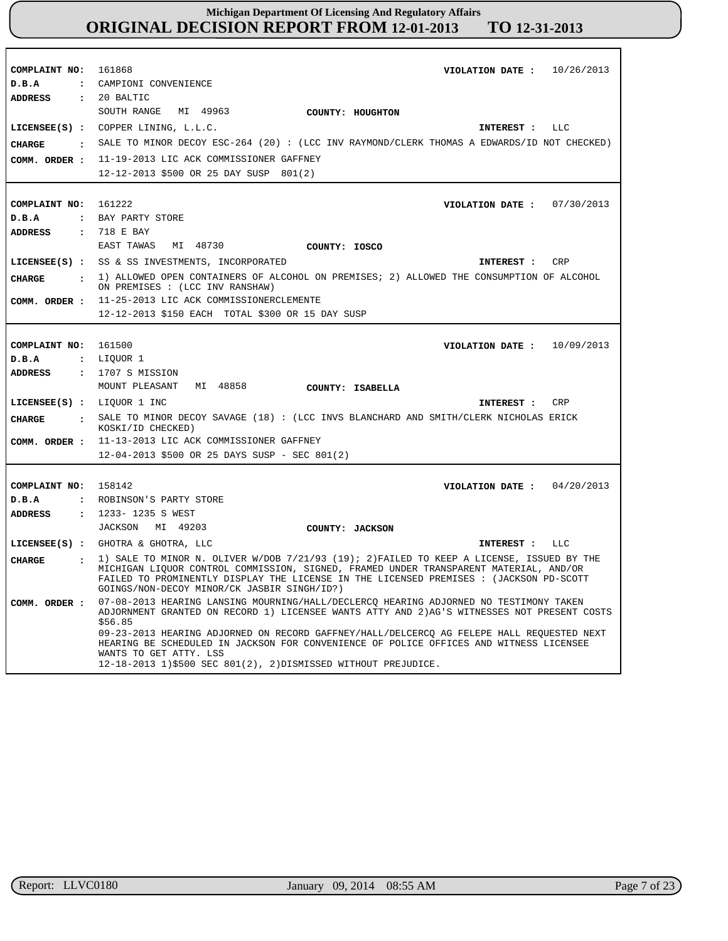| COMPLAINT NO: 161868           | VIOLATION DATE: $10/26/2013$                                                                                                                                                                                                                                                   |
|--------------------------------|--------------------------------------------------------------------------------------------------------------------------------------------------------------------------------------------------------------------------------------------------------------------------------|
| D.B.A                          | : CAMPIONI CONVENIENCE                                                                                                                                                                                                                                                         |
| <b>ADDRESS</b>                 | $: 20$ BALTIC                                                                                                                                                                                                                                                                  |
|                                | SOUTH RANGE MI 49963<br>COUNTY: HOUGHTON                                                                                                                                                                                                                                       |
|                                | LICENSEE(S) : COPPER LINING, L.L.C.<br>INTEREST : LLC                                                                                                                                                                                                                          |
|                                | CHARGE : SALE TO MINOR DECOY ESC-264 (20) : (LCC INV RAYMOND/CLERK THOMAS A EDWARDS/ID NOT CHECKED)                                                                                                                                                                            |
|                                | COMM. ORDER : 11-19-2013 LIC ACK COMMISSIONER GAFFNEY                                                                                                                                                                                                                          |
|                                | 12-12-2013 \$500 OR 25 DAY SUSP 801(2)                                                                                                                                                                                                                                         |
|                                |                                                                                                                                                                                                                                                                                |
| COMPLAINT NO:                  | 161222<br>VIOLATION DATE: $07/30/2013$                                                                                                                                                                                                                                         |
| D.B.A                          | : BAY PARTY STORE                                                                                                                                                                                                                                                              |
| ADDRESS                        | : 718 E BAY                                                                                                                                                                                                                                                                    |
|                                | EAST TAWAS MI 48730<br>COUNTY: IOSCO                                                                                                                                                                                                                                           |
|                                | LICENSEE(S) : SS & SS INVESTMENTS, INCORPORATED<br>INTEREST : CRP                                                                                                                                                                                                              |
|                                | . 1) ALLOWED OPEN CONTAINERS OF ALCOHOL ON PREMISES; 2) ALLOWED THE CONSUMPTION OF ALCOHOL                                                                                                                                                                                     |
| CHARGE                         | ON PREMISES : (LCC INV RANSHAW)                                                                                                                                                                                                                                                |
| COMM. ORDER :                  | 11-25-2013 LIC ACK COMMISSIONERCLEMENTE                                                                                                                                                                                                                                        |
|                                | 12-12-2013 \$150 EACH TOTAL \$300 OR 15 DAY SUSP                                                                                                                                                                                                                               |
|                                |                                                                                                                                                                                                                                                                                |
| COMPLAINT NO:                  | 161500<br>VIOLATION DATE : $10/09/2013$                                                                                                                                                                                                                                        |
| D.B.A                          | : LIQUOR 1                                                                                                                                                                                                                                                                     |
| ADDRESS                        | $: 1707 S$ MISSION                                                                                                                                                                                                                                                             |
|                                | MOUNT PLEASANT MI 48858<br>COUNTY: ISABELLA                                                                                                                                                                                                                                    |
| LICENSEE(S) : LIQUOR 1 INC     | CRP<br>INTEREST :                                                                                                                                                                                                                                                              |
| CHARGE<br>$\mathbf{r}$         | SALE TO MINOR DECOY SAVAGE (18) : (LCC INVS BLANCHARD AND SMITH/CLERK NICHOLAS ERICK<br>KOSKI/ID CHECKED)                                                                                                                                                                      |
| COMM. ORDER :                  | 11-13-2013 LIC ACK COMMISSIONER GAFFNEY                                                                                                                                                                                                                                        |
|                                | 12-04-2013 \$500 OR 25 DAYS SUSP - SEC 801(2)                                                                                                                                                                                                                                  |
|                                |                                                                                                                                                                                                                                                                                |
| COMPLAINT NO: 158142           | VIOLATION DATE : $04/20/2013$                                                                                                                                                                                                                                                  |
| D.B.A                          | : ROBINSON'S PARTY STORE                                                                                                                                                                                                                                                       |
| ADDRESS                        | : 1233-1235 S WEST                                                                                                                                                                                                                                                             |
|                                | JACKSON MI 49203<br>COUNTY: JACKSON                                                                                                                                                                                                                                            |
|                                | LICENSEE(S) : GHOTRA & GHOTRA, LLC<br>INTEREST : LLC                                                                                                                                                                                                                           |
|                                | 1) SALE TO MINOR N. OLIVER W/DOB 7/21/93 (19); 2) FAILED TO KEEP A LICENSE, ISSUED BY THE                                                                                                                                                                                      |
| CHARGE<br>$\ddot{\phantom{a}}$ | MICHIGAN LIQUOR CONTROL COMMISSION, SIGNED, FRAMED UNDER TRANSPARENT MATERIAL, AND/OR<br>FAILED TO PROMINENTLY DISPLAY THE LICENSE IN THE LICENSED PREMISES : (JACKSON PD-SCOTT<br>GOINGS/NON-DECOY MINOR/CK JASBIR SINGH/ID?)                                                 |
| COMM. ORDER :                  | 07-08-2013 HEARING LANSING MOURNING/HALL/DECLERCQ HEARING ADJORNED NO TESTIMONY TAKEN<br>ADJORNMENT GRANTED ON RECORD 1) LICENSEE WANTS ATTY AND 2) AG'S WITNESSES NOT PRESENT COSTS<br>\$56.85                                                                                |
|                                | 09-23-2013 HEARING ADJORNED ON RECORD GAFFNEY/HALL/DELCERCQ AG FELEPE HALL REQUESTED NEXT<br>HEARING BE SCHEDULED IN JACKSON FOR CONVENIENCE OF POLICE OFFICES AND WITNESS LICENSEE<br>WANTS TO GET ATTY. LSS<br>12-18-2013 1)\$500 SEC 801(2), 2)DISMISSED WITHOUT PREJUDICE. |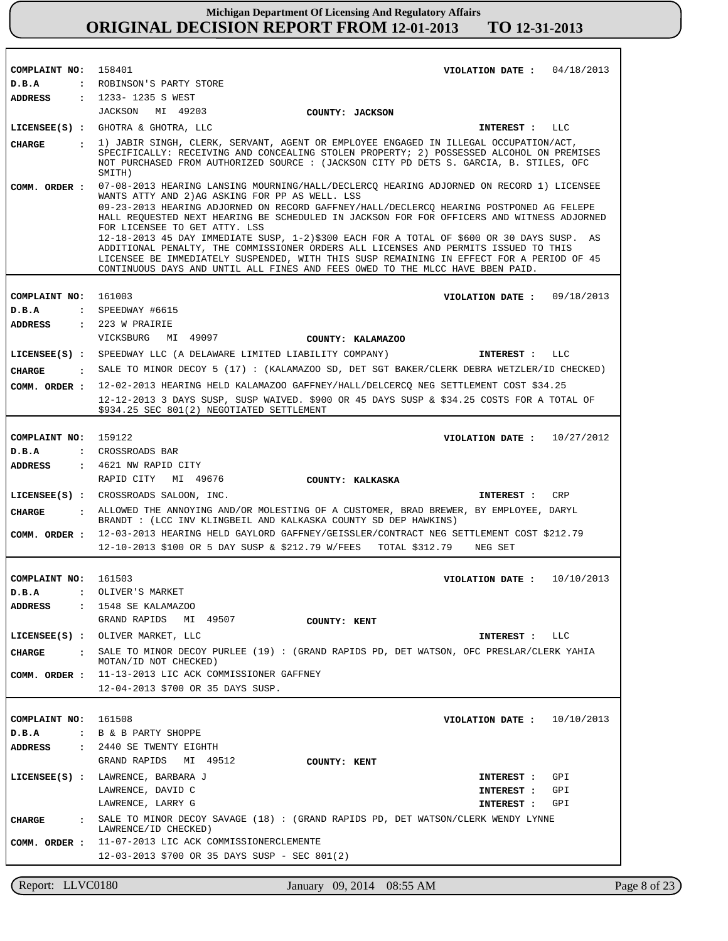| COMPLAINT NO: 158401                | VIOLATION DATE: $04/18/2013$                                                                                                                                                                                                                                                                                                                                                                                                                                                                                                                                                                                                                                                                                                          |
|-------------------------------------|---------------------------------------------------------------------------------------------------------------------------------------------------------------------------------------------------------------------------------------------------------------------------------------------------------------------------------------------------------------------------------------------------------------------------------------------------------------------------------------------------------------------------------------------------------------------------------------------------------------------------------------------------------------------------------------------------------------------------------------|
| D.B.A                               | : ROBINSON'S PARTY STORE                                                                                                                                                                                                                                                                                                                                                                                                                                                                                                                                                                                                                                                                                                              |
| ADDRESS                             | : 1233-1235 S WEST                                                                                                                                                                                                                                                                                                                                                                                                                                                                                                                                                                                                                                                                                                                    |
|                                     | JACKSON MI 49203<br>COUNTY: JACKSON                                                                                                                                                                                                                                                                                                                                                                                                                                                                                                                                                                                                                                                                                                   |
|                                     | LICENSEE(S) : GHOTRA & GHOTRA, LLC<br>INTEREST :<br>LLC                                                                                                                                                                                                                                                                                                                                                                                                                                                                                                                                                                                                                                                                               |
| <b>CHARGE</b>                       | . 1) JABIR SINGH, CLERK, SERVANT, AGENT OR EMPLOYEE ENGAGED IN ILLEGAL OCCUPATION/ACT,<br>SPECIFICALLY: RECEIVING AND CONCEALING STOLEN PROPERTY; 2) POSSESSED ALCOHOL ON PREMISES<br>NOT PURCHASED FROM AUTHORIZED SOURCE : (JACKSON CITY PD DETS S. GARCIA, B. STILES, OFC<br>SMITH)                                                                                                                                                                                                                                                                                                                                                                                                                                                |
| COMM. ORDER :                       | 07-08-2013 HEARING LANSING MOURNING/HALL/DECLERCQ HEARING ADJORNED ON RECORD 1) LICENSEE<br>WANTS ATTY AND 2) AG ASKING FOR PP AS WELL. LSS<br>09-23-2013 HEARING ADJORNED ON RECORD GAFFNEY/HALL/DECLERCQ HEARING POSTPONED AG FELEPE<br>HALL REQUESTED NEXT HEARING BE SCHEDULED IN JACKSON FOR FOR OFFICERS AND WITNESS ADJORNED<br>FOR LICENSEE TO GET ATTY. LSS<br>12-18-2013 45 DAY IMMEDIATE SUSP, 1-2)\$300 EACH FOR A TOTAL OF \$600 OR 30 DAYS SUSP. AS<br>ADDITIONAL PENALTY, THE COMMISSIONER ORDERS ALL LICENSES AND PERMITS ISSUED TO THIS<br>LICENSEE BE IMMEDIATELY SUSPENDED, WITH THIS SUSP REMAINING IN EFFECT FOR A PERIOD OF 45<br>CONTINUOUS DAYS AND UNTIL ALL FINES AND FEES OWED TO THE MLCC HAVE BBEN PAID. |
|                                     | 161003<br>VIOLATION DATE: $09/18/2013$                                                                                                                                                                                                                                                                                                                                                                                                                                                                                                                                                                                                                                                                                                |
| COMPLAINT NO:<br>D.B.A              | $:$ SPEEDWAY #6615                                                                                                                                                                                                                                                                                                                                                                                                                                                                                                                                                                                                                                                                                                                    |
| ADDRESS                             | $: 223$ W PRAIRIE                                                                                                                                                                                                                                                                                                                                                                                                                                                                                                                                                                                                                                                                                                                     |
|                                     | VICKSBURG MI 49097<br>COUNTY: KALAMAZOO                                                                                                                                                                                                                                                                                                                                                                                                                                                                                                                                                                                                                                                                                               |
|                                     | LICENSEE(S) : SPEEDWAY LLC (A DELAWARE LIMITED LIABILITY COMPANY)<br><b>INTEREST :</b><br>LLC                                                                                                                                                                                                                                                                                                                                                                                                                                                                                                                                                                                                                                         |
|                                     | : SALE TO MINOR DECOY 5 (17): (KALAMAZOO SD, DET SGT BAKER/CLERK DEBRA WETZLER/ID CHECKED)                                                                                                                                                                                                                                                                                                                                                                                                                                                                                                                                                                                                                                            |
| CHARGE                              |                                                                                                                                                                                                                                                                                                                                                                                                                                                                                                                                                                                                                                                                                                                                       |
| COMM. ORDER :                       | 12-02-2013 HEARING HELD KALAMAZOO GAFFNEY/HALL/DELCERCQ NEG SETTLEMENT COST \$34.25<br>12-12-2013 3 DAYS SUSP, SUSP WAIVED. \$900 OR 45 DAYS SUSP & \$34.25 COSTS FOR A TOTAL OF<br>\$934.25 SEC 801(2) NEGOTIATED SETTLEMENT                                                                                                                                                                                                                                                                                                                                                                                                                                                                                                         |
|                                     |                                                                                                                                                                                                                                                                                                                                                                                                                                                                                                                                                                                                                                                                                                                                       |
| COMPLAINT NO:                       | 159122<br>VIOLATION DATE: $10/27/2012$                                                                                                                                                                                                                                                                                                                                                                                                                                                                                                                                                                                                                                                                                                |
| D.B.A                               | : CROSSROADS BAR                                                                                                                                                                                                                                                                                                                                                                                                                                                                                                                                                                                                                                                                                                                      |
| ADDRESS                             | $\,$ : 4621 NW RAPID CITY<br>RAPID CITY MI 49676                                                                                                                                                                                                                                                                                                                                                                                                                                                                                                                                                                                                                                                                                      |
|                                     | COUNTY: KALKASKA                                                                                                                                                                                                                                                                                                                                                                                                                                                                                                                                                                                                                                                                                                                      |
| <b>CHARGE</b>                       | LICENSEE(S) : CROSSROADS SALOON, INC.<br>CRP<br><b>INTEREST :</b><br>: ALLOWED THE ANNOYING AND/OR MOLESTING OF A CUSTOMER, BRAD BREWER, BY EMPLOYEE, DARYL<br>BRANDT : (LCC INV KLINGBEIL AND KALKASKA COUNTY SD DEP HAWKINS)                                                                                                                                                                                                                                                                                                                                                                                                                                                                                                        |
| COMM. ORDER :                       | 12-03-2013 HEARING HELD GAYLORD GAFFNEY/GEISSLER/CONTRACT NEG SETTLEMENT COST \$212.79                                                                                                                                                                                                                                                                                                                                                                                                                                                                                                                                                                                                                                                |
|                                     | 12-10-2013 \$100 OR 5 DAY SUSP & \$212.79 W/FEES<br>TOTAL \$312.79<br>NEG SET                                                                                                                                                                                                                                                                                                                                                                                                                                                                                                                                                                                                                                                         |
|                                     |                                                                                                                                                                                                                                                                                                                                                                                                                                                                                                                                                                                                                                                                                                                                       |
| COMPLAINT NO: 161503                | 10/10/2013<br>VIOLATION DATE :                                                                                                                                                                                                                                                                                                                                                                                                                                                                                                                                                                                                                                                                                                        |
| D.B.A                               | OLIVER'S MARKET                                                                                                                                                                                                                                                                                                                                                                                                                                                                                                                                                                                                                                                                                                                       |
| <b>ADDRESS</b><br>$\sim$ 100 $\sim$ | 1548 SE KALAMAZOO                                                                                                                                                                                                                                                                                                                                                                                                                                                                                                                                                                                                                                                                                                                     |
|                                     | GRAND RAPIDS MI 49507<br>COUNTY: KENT                                                                                                                                                                                                                                                                                                                                                                                                                                                                                                                                                                                                                                                                                                 |
|                                     | LICENSEE(S) : OLIVER MARKET, LLC<br>INTEREST : LLC                                                                                                                                                                                                                                                                                                                                                                                                                                                                                                                                                                                                                                                                                    |
| CHARGE                              | : SALE TO MINOR DECOY PURLEE (19): (GRAND RAPIDS PD, DET WATSON, OFC PRESLAR/CLERK YAHIA<br>MOTAN/ID NOT CHECKED)                                                                                                                                                                                                                                                                                                                                                                                                                                                                                                                                                                                                                     |
|                                     | COMM. ORDER : 11-13-2013 LIC ACK COMMISSIONER GAFFNEY                                                                                                                                                                                                                                                                                                                                                                                                                                                                                                                                                                                                                                                                                 |
|                                     | 12-04-2013 \$700 OR 35 DAYS SUSP.                                                                                                                                                                                                                                                                                                                                                                                                                                                                                                                                                                                                                                                                                                     |
|                                     |                                                                                                                                                                                                                                                                                                                                                                                                                                                                                                                                                                                                                                                                                                                                       |
| COMPLAINT NO: 161508                | 10/10/2013<br>VIOLATION DATE :                                                                                                                                                                                                                                                                                                                                                                                                                                                                                                                                                                                                                                                                                                        |
| D.B.A                               | : B & B PARTY SHOPPE                                                                                                                                                                                                                                                                                                                                                                                                                                                                                                                                                                                                                                                                                                                  |
| ADDRESS                             | : 2440 SE TWENTY EIGHTH<br>GRAND RAPIDS MI 49512<br>COUNTY: KENT                                                                                                                                                                                                                                                                                                                                                                                                                                                                                                                                                                                                                                                                      |
|                                     | LICENSEE(S) : LAWRENCE, BARBARA J<br>GPI<br>INTEREST :                                                                                                                                                                                                                                                                                                                                                                                                                                                                                                                                                                                                                                                                                |
|                                     | LAWRENCE, DAVID C<br>INTEREST :<br>GPI                                                                                                                                                                                                                                                                                                                                                                                                                                                                                                                                                                                                                                                                                                |
|                                     | LAWRENCE, LARRY G<br>GPI<br>INTEREST :                                                                                                                                                                                                                                                                                                                                                                                                                                                                                                                                                                                                                                                                                                |
| <b>CHARGE</b>                       | SALE TO MINOR DECOY SAVAGE (18) : (GRAND RAPIDS PD, DET WATSON/CLERK WENDY LYNNE<br>LAWRENCE/ID CHECKED)                                                                                                                                                                                                                                                                                                                                                                                                                                                                                                                                                                                                                              |
| COMM. ORDER :                       | 11-07-2013 LIC ACK COMMISSIONERCLEMENTE                                                                                                                                                                                                                                                                                                                                                                                                                                                                                                                                                                                                                                                                                               |
|                                     | 12-03-2013 \$700 OR 35 DAYS SUSP - SEC 801(2)                                                                                                                                                                                                                                                                                                                                                                                                                                                                                                                                                                                                                                                                                         |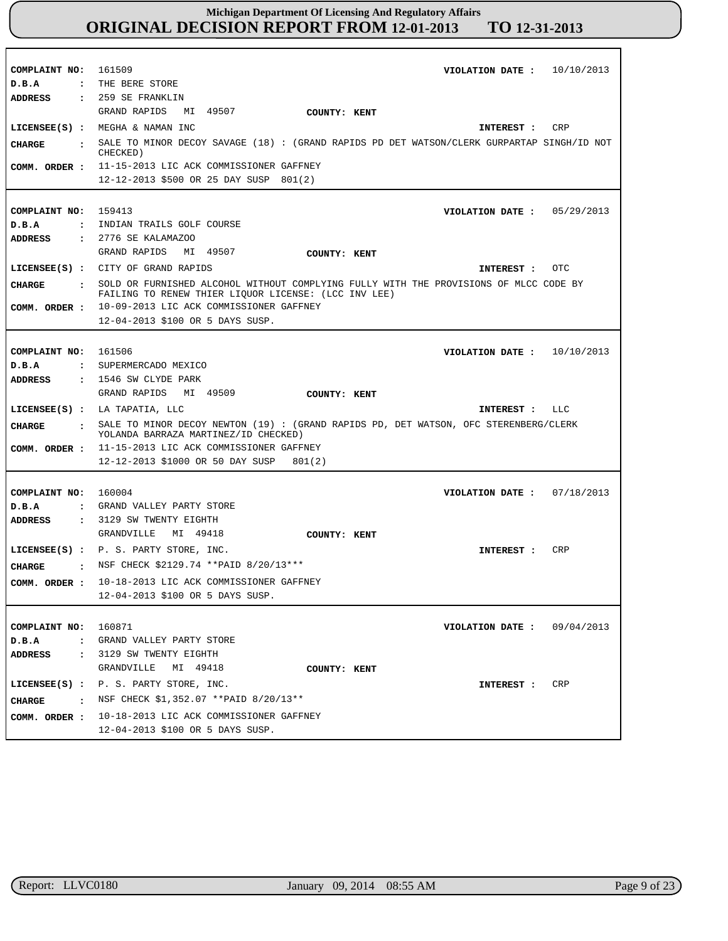| COMPLAINT NO: 161509<br>D.B.A | VIOLATION DATE: $10/10/2013$<br>: THE BERE STORE                                                                                              |
|-------------------------------|-----------------------------------------------------------------------------------------------------------------------------------------------|
| <b>ADDRESS</b>                | : 259 SE FRANKLIN<br>GRAND RAPIDS<br>MI 49507<br>COUNTY: KENT<br>LICENSEE(S) : MEGHA & NAMAN INC<br>CRP<br>INTEREST :                         |
| CHARGE<br>$\cdot$             | SALE TO MINOR DECOY SAVAGE (18) : (GRAND RAPIDS PD DET WATSON/CLERK GURPARTAP SINGH/ID NOT                                                    |
|                               | CHECKED)                                                                                                                                      |
| COMM. ORDER :                 | 11-15-2013 LIC ACK COMMISSIONER GAFFNEY<br>12-12-2013 \$500 OR 25 DAY SUSP 801(2)                                                             |
|                               |                                                                                                                                               |
| COMPLAINT NO:                 | 159413<br>VIOLATION DATE: $05/29/2013$                                                                                                        |
| D.B.A<br>$\mathbf{r}$         | INDIAN TRAILS GOLF COURSE                                                                                                                     |
| <b>ADDRESS</b>                | : 2776 SE KALAMAZOO                                                                                                                           |
|                               | GRAND RAPIDS MI 49507<br>COUNTY: KENT                                                                                                         |
|                               | LICENSEE(S) : CITY OF GRAND RAPIDS<br>OTC<br>INTEREST :                                                                                       |
| CHARGE<br>$\mathbf{r}$        | SOLD OR FURNISHED ALCOHOL WITHOUT COMPLYING FULLY WITH THE PROVISIONS OF MLCC CODE BY<br>FAILING TO RENEW THIER LIQUOR LICENSE: (LCC INV LEE) |
| COMM. ORDER :                 | 10-09-2013 LIC ACK COMMISSIONER GAFFNEY                                                                                                       |
|                               | 12-04-2013 \$100 OR 5 DAYS SUSP.                                                                                                              |
|                               |                                                                                                                                               |
| COMPLAINT NO: 161506          | VIOLATION DATE : $10/10/2013$                                                                                                                 |
| D.B.A<br>$\mathbf{r}$         | SUPERMERCADO MEXICO<br>: 1546 SW CLYDE PARK                                                                                                   |
| <b>ADDRESS</b>                | GRAND RAPIDS MI 49509<br>COUNTY: KENT                                                                                                         |
|                               | LICENSEE(S) : LA TAPATIA, LLC<br>INTEREST : LLC                                                                                               |
| CHARGE<br>$\sim$ $\sim$       | SALE TO MINOR DECOY NEWTON (19) : (GRAND RAPIDS PD, DET WATSON, OFC STERENBERG/CLERK                                                          |
|                               | YOLANDA BARRAZA MARTINEZ/ID CHECKED)                                                                                                          |
| COMM. ORDER :                 | 11-15-2013 LIC ACK COMMISSIONER GAFFNEY                                                                                                       |
|                               | 12-12-2013 \$1000 OR 50 DAY SUSP<br>801(2)                                                                                                    |
|                               |                                                                                                                                               |
| COMPLAINT NO: 160004<br>D.B.A | 07/18/2013<br>VIOLATION DATE :<br>: GRAND VALLEY PARTY STORE                                                                                  |
| <b>ADDRESS</b>                | : 3129 SW TWENTY EIGHTH                                                                                                                       |
|                               | MI 49418<br>GRANDVILLE<br>COUNTY: KENT                                                                                                        |
|                               | LICENSEE(S) : P. S. PARTY STORE, INC.<br>CRP<br>INTEREST :                                                                                    |
| CHARGE                        | : NSF CHECK \$2129.74 ** PAID 8/20/13***                                                                                                      |
|                               | COMM. ORDER : 10-18-2013 LIC ACK COMMISSIONER GAFFNEY                                                                                         |
|                               | 12-04-2013 \$100 OR 5 DAYS SUSP.                                                                                                              |
|                               |                                                                                                                                               |
| COMPLAINT NO: 160871          | VIOLATION DATE: $09/04/2013$                                                                                                                  |
| D.B.A                         | : GRAND VALLEY PARTY STORE                                                                                                                    |
| ADDRESS                       | : 3129 SW TWENTY EIGHTH                                                                                                                       |
|                               | GRANDVILLE<br>MI 49418<br>COUNTY: KENT                                                                                                        |
|                               | LICENSEE(S) : P. S. PARTY STORE, INC.<br>CRP<br>INTEREST :                                                                                    |
| CHARGE                        | $\,$ NSF CHECK \$1,352.07 **PAID 8/20/13**                                                                                                    |
| COMM. ORDER :                 | 10-18-2013 LIC ACK COMMISSIONER GAFFNEY<br>12-04-2013 \$100 OR 5 DAYS SUSP.                                                                   |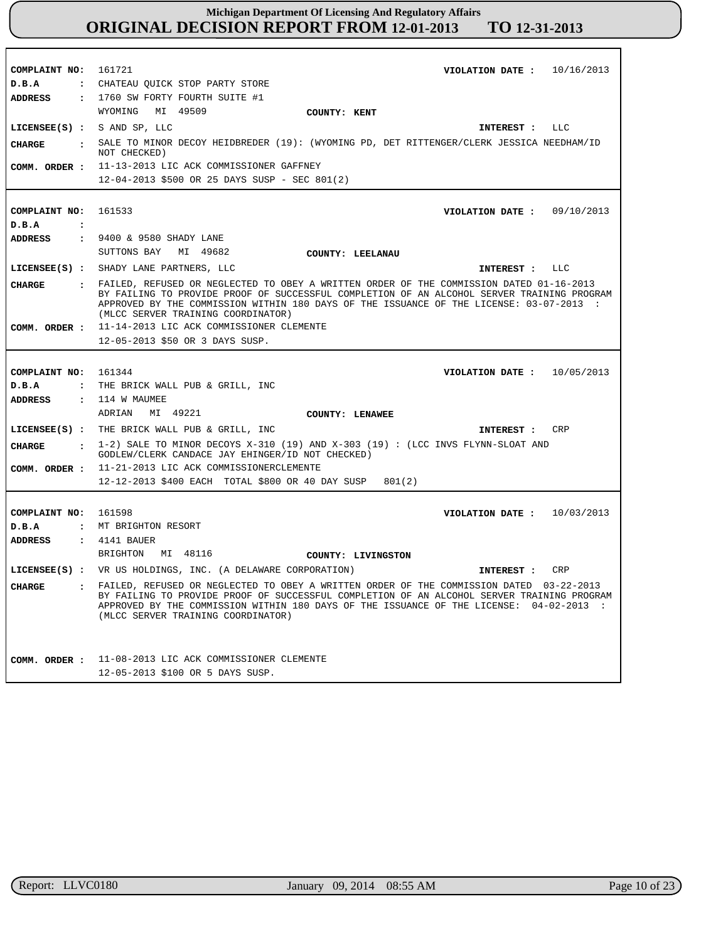| COMPLAINT NO: 161721           | VIOLATION DATE: $10/16/2013$                                                                                                                                                                                                                                                                                             |
|--------------------------------|--------------------------------------------------------------------------------------------------------------------------------------------------------------------------------------------------------------------------------------------------------------------------------------------------------------------------|
| D.B.A                          | : CHATEAU OUICK STOP PARTY STORE                                                                                                                                                                                                                                                                                         |
| ADDRESS                        | : 1760 SW FORTY FOURTH SUITE #1                                                                                                                                                                                                                                                                                          |
|                                | WYOMING<br>MI 49509                                                                                                                                                                                                                                                                                                      |
|                                | COUNTY: KENT                                                                                                                                                                                                                                                                                                             |
| LICENSEE $(S)$ : S AND SP, LLC | INTEREST : LLC                                                                                                                                                                                                                                                                                                           |
| <b>CHARGE</b>                  | : SALE TO MINOR DECOY HEIDBREDER (19): (WYOMING PD, DET RITTENGER/CLERK JESSICA NEEDHAM/ID<br>NOT CHECKED)                                                                                                                                                                                                               |
|                                | COMM. ORDER : 11-13-2013 LIC ACK COMMISSIONER GAFFNEY                                                                                                                                                                                                                                                                    |
|                                | 12-04-2013 \$500 OR 25 DAYS SUSP - SEC 801(2)                                                                                                                                                                                                                                                                            |
|                                |                                                                                                                                                                                                                                                                                                                          |
|                                |                                                                                                                                                                                                                                                                                                                          |
| COMPLAINT NO: 161533           | VIOLATION DATE : $09/10/2013$                                                                                                                                                                                                                                                                                            |
| D.B.A<br>$\ddot{\cdot}$        |                                                                                                                                                                                                                                                                                                                          |
| ADDRESS                        | : 9400 & 9580 SHADY LANE                                                                                                                                                                                                                                                                                                 |
|                                | SUTTONS BAY<br>MI 49682<br>COUNTY: LEELANAU                                                                                                                                                                                                                                                                              |
|                                | LICENSEE(S) : SHADY LANE PARTNERS, LLC<br>INTEREST : LLC                                                                                                                                                                                                                                                                 |
| CHARGE                         | : FAILED, REFUSED OR NEGLECTED TO OBEY A WRITTEN ORDER OF THE COMMISSION DATED 01-16-2013<br>BY FAILING TO PROVIDE PROOF OF SUCCESSFUL COMPLETION OF AN ALCOHOL SERVER TRAINING PROGRAM<br>APPROVED BY THE COMMISSION WITHIN 180 DAYS OF THE ISSUANCE OF THE LICENSE: 03-07-2013 :<br>(MLCC SERVER TRAINING COORDINATOR) |
|                                | COMM. ORDER : 11-14-2013 LIC ACK COMMISSIONER CLEMENTE                                                                                                                                                                                                                                                                   |
|                                | 12-05-2013 \$50 OR 3 DAYS SUSP.                                                                                                                                                                                                                                                                                          |
|                                |                                                                                                                                                                                                                                                                                                                          |
| COMPLAINT NO: 161344           | VIOLATION DATE: $10/05/2013$                                                                                                                                                                                                                                                                                             |
| D.B.A                          | : THE BRICK WALL PUB & GRILL, INC                                                                                                                                                                                                                                                                                        |
| ADDRESS                        | : 114 W MAUMEE                                                                                                                                                                                                                                                                                                           |
|                                | ADRIAN MI 49221<br><b>COUNTY: LENAWEE</b>                                                                                                                                                                                                                                                                                |
|                                | LICENSEE(S) : THE BRICK WALL PUB & GRILL, INC<br><b>CRP</b>                                                                                                                                                                                                                                                              |
|                                | INTEREST :                                                                                                                                                                                                                                                                                                               |
| CHARGE                         | $\pm$ 1-2) SALE TO MINOR DECOYS X-310 (19) AND X-303 (19) : (LCC INVS FLYNN-SLOAT AND<br>GODLEW/CLERK CANDACE JAY EHINGER/ID NOT CHECKED)                                                                                                                                                                                |
|                                | COMM. ORDER : 11-21-2013 LIC ACK COMMISSIONERCLEMENTE                                                                                                                                                                                                                                                                    |
|                                | 12-12-2013 \$400 EACH TOTAL \$800 OR 40 DAY SUSP<br>801(2)                                                                                                                                                                                                                                                               |
|                                |                                                                                                                                                                                                                                                                                                                          |
| COMPLAINT NO: 161598           | VIOLATION DATE: $10/03/2013$                                                                                                                                                                                                                                                                                             |
| D.B.A                          | : MT BRIGHTON RESORT                                                                                                                                                                                                                                                                                                     |
| ADDRESS                        | : 4141 BAUER                                                                                                                                                                                                                                                                                                             |
|                                | BRIGHTON<br>MI 48116<br>COUNTY: LIVINGSTON                                                                                                                                                                                                                                                                               |
|                                | LICENSEE(S) : VR US HOLDINGS, INC. (A DELAWARE CORPORATION)<br>CRP<br>INTEREST :                                                                                                                                                                                                                                         |
| CHARGE                         | FAILED, REFUSED OR NEGLECTED TO OBEY A WRITTEN ORDER OF THE COMMISSION DATED 03-22-2013<br>BY FAILING TO PROVIDE PROOF OF SUCCESSFUL COMPLETION OF AN ALCOHOL SERVER TRAINING PROGRAM<br>APPROVED BY THE COMMISSION WITHIN 180 DAYS OF THE ISSUANCE OF THE LICENSE: 04-02-2013 :<br>(MLCC SERVER TRAINING COORDINATOR)   |
|                                | COMM. ORDER : 11-08-2013 LIC ACK COMMISSIONER CLEMENTE                                                                                                                                                                                                                                                                   |
|                                | 12-05-2013 \$100 OR 5 DAYS SUSP.                                                                                                                                                                                                                                                                                         |
|                                |                                                                                                                                                                                                                                                                                                                          |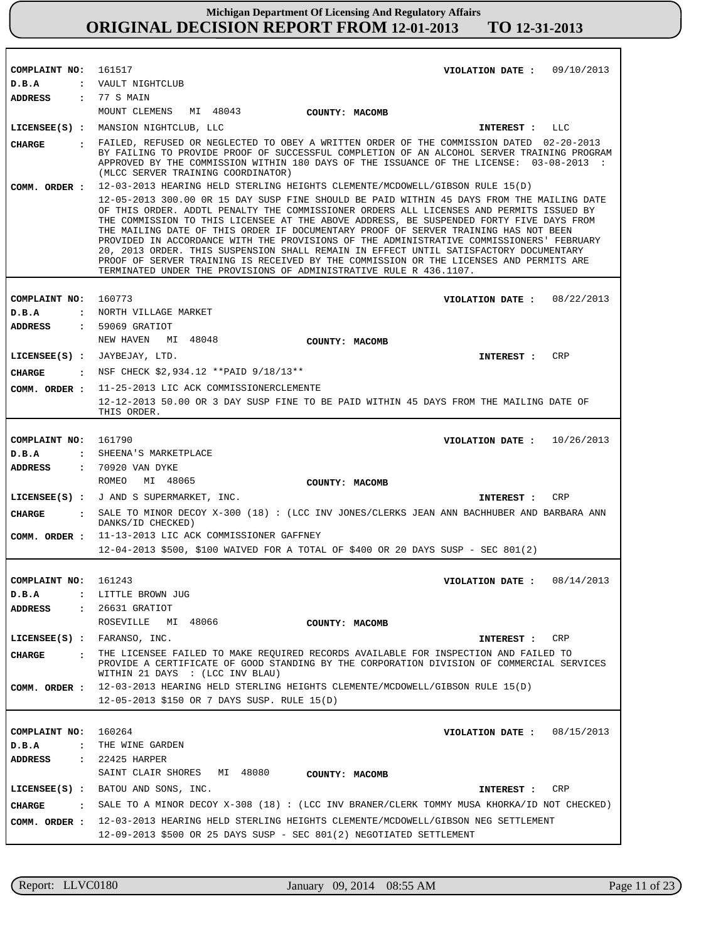| COMPLAINT NO:                      | 161517<br>VIOLATION DATE: $09/10/2013$                                                                                                                                                                                                                                                                                                                                                                                                                                                                                                                                                                                                                                                                                      |
|------------------------------------|-----------------------------------------------------------------------------------------------------------------------------------------------------------------------------------------------------------------------------------------------------------------------------------------------------------------------------------------------------------------------------------------------------------------------------------------------------------------------------------------------------------------------------------------------------------------------------------------------------------------------------------------------------------------------------------------------------------------------------|
| D.B.A                              | : VAULT NIGHTCLUB                                                                                                                                                                                                                                                                                                                                                                                                                                                                                                                                                                                                                                                                                                           |
| <b>ADDRESS</b>                     | : 77 S MAIN                                                                                                                                                                                                                                                                                                                                                                                                                                                                                                                                                                                                                                                                                                                 |
|                                    | MOUNT CLEMENS<br>MI 48043<br><b>COUNTY: MACOMB</b>                                                                                                                                                                                                                                                                                                                                                                                                                                                                                                                                                                                                                                                                          |
|                                    | LICENSEE(S) : MANSION NIGHTCLUB, LLC<br>INTEREST : LLC                                                                                                                                                                                                                                                                                                                                                                                                                                                                                                                                                                                                                                                                      |
| CHARGE                             | . FAILED, REFUSED OR NEGLECTED TO OBEY A WRITTEN ORDER OF THE COMMISSION DATED 02-20-2013<br>BY FAILING TO PROVIDE PROOF OF SUCCESSFUL COMPLETION OF AN ALCOHOL SERVER TRAINING PROGRAM<br>APPROVED BY THE COMMISSION WITHIN 180 DAYS OF THE ISSUANCE OF THE LICENSE: 03-08-2013 :<br>(MLCC SERVER TRAINING COORDINATOR)                                                                                                                                                                                                                                                                                                                                                                                                    |
| COMM. ORDER :                      | 12-03-2013 HEARING HELD STERLING HEIGHTS CLEMENTE/MCDOWELL/GIBSON RULE 15(D)                                                                                                                                                                                                                                                                                                                                                                                                                                                                                                                                                                                                                                                |
|                                    | 12-05-2013 300.00 OR 15 DAY SUSP FINE SHOULD BE PAID WITHIN 45 DAYS FROM THE MAILING DATE<br>OF THIS ORDER. ADDTL PENALTY THE COMMISSIONER ORDERS ALL LICENSES AND PERMITS ISSUED BY<br>THE COMMISSION TO THIS LICENSEE AT THE ABOVE ADDRESS, BE SUSPENDED FORTY FIVE DAYS FROM<br>THE MAILING DATE OF THIS ORDER IF DOCUMENTARY PROOF OF SERVER TRAINING HAS NOT BEEN<br>PROVIDED IN ACCORDANCE WITH THE PROVISIONS OF THE ADMINISTRATIVE COMMISSIONERS' FEBRUARY<br>20, 2013 ORDER. THIS SUSPENSION SHALL REMAIN IN EFFECT UNTIL SATISFACTORY DOCUMENTARY<br>PROOF OF SERVER TRAINING IS RECEIVED BY THE COMMISSION OR THE LICENSES AND PERMITS ARE<br>TERMINATED UNDER THE PROVISIONS OF ADMINISTRATIVE RULE R 436.1107. |
|                                    |                                                                                                                                                                                                                                                                                                                                                                                                                                                                                                                                                                                                                                                                                                                             |
| COMPLAINT NO:                      | 160773<br>VIOLATION DATE: $08/22/2013$                                                                                                                                                                                                                                                                                                                                                                                                                                                                                                                                                                                                                                                                                      |
| D.B.A                              | : NORTH VILLAGE MARKET                                                                                                                                                                                                                                                                                                                                                                                                                                                                                                                                                                                                                                                                                                      |
| <b>ADDRESS</b>                     | : 59069 GRATIOT                                                                                                                                                                                                                                                                                                                                                                                                                                                                                                                                                                                                                                                                                                             |
|                                    | NEW HAVEN<br>MI 48048<br>COUNTY: MACOMB                                                                                                                                                                                                                                                                                                                                                                                                                                                                                                                                                                                                                                                                                     |
|                                    | <b>CRP</b><br>LICENSEE(S) : JAYBEJAY, LTD.<br>INTEREST :                                                                                                                                                                                                                                                                                                                                                                                                                                                                                                                                                                                                                                                                    |
| CIIARGE                            | $:$ NSF CHECK \$2,934.12 ** PAID 9/18/13**                                                                                                                                                                                                                                                                                                                                                                                                                                                                                                                                                                                                                                                                                  |
| COMM. ORDER :                      | 11-25-2013 LIC ACK COMMISSIONERCLEMENTE                                                                                                                                                                                                                                                                                                                                                                                                                                                                                                                                                                                                                                                                                     |
|                                    | 12-12-2013 50.00 OR 3 DAY SUSP FINE TO BE PAID WITHIN 45 DAYS FROM THE MAILING DATE OF<br>THIS ORDER.                                                                                                                                                                                                                                                                                                                                                                                                                                                                                                                                                                                                                       |
|                                    |                                                                                                                                                                                                                                                                                                                                                                                                                                                                                                                                                                                                                                                                                                                             |
| COMPLAINT NO:                      | 161790<br>VIOLATION DATE: $10/26/2013$                                                                                                                                                                                                                                                                                                                                                                                                                                                                                                                                                                                                                                                                                      |
| D.B.A<br>$\ddot{\cdot}$            | SHEENA'S MARKETPLACE                                                                                                                                                                                                                                                                                                                                                                                                                                                                                                                                                                                                                                                                                                        |
| <b>ADDRESS</b>                     | : 70920 VAN DYKE                                                                                                                                                                                                                                                                                                                                                                                                                                                                                                                                                                                                                                                                                                            |
|                                    | ROMEO<br>MI 48065<br>COUNTY: MACOMB                                                                                                                                                                                                                                                                                                                                                                                                                                                                                                                                                                                                                                                                                         |
|                                    | LICENSEE(S) : J AND S SUPERMARKET, INC.<br><b>CRP</b><br>INTEREST :                                                                                                                                                                                                                                                                                                                                                                                                                                                                                                                                                                                                                                                         |
| <b>CHARGE</b>                      | . SALE TO MINOR DECOY X-300 (18): (LCC INV JONES/CLERKS JEAN ANN BACHHUBER AND BARBARA ANN<br>DANKS/ID CHECKED)                                                                                                                                                                                                                                                                                                                                                                                                                                                                                                                                                                                                             |
|                                    | COMM. ORDER : 11-13-2013 LIC ACK COMMISSIONER GAFFNEY                                                                                                                                                                                                                                                                                                                                                                                                                                                                                                                                                                                                                                                                       |
|                                    | 12-04-2013 \$500, \$100 WAIVED FOR A TOTAL OF \$400 OR 20 DAYS SUSP - SEC 801(2)                                                                                                                                                                                                                                                                                                                                                                                                                                                                                                                                                                                                                                            |
|                                    |                                                                                                                                                                                                                                                                                                                                                                                                                                                                                                                                                                                                                                                                                                                             |
| COMPLAINT NO:                      | 161243<br>08/14/2013<br>VIOLATION DATE :                                                                                                                                                                                                                                                                                                                                                                                                                                                                                                                                                                                                                                                                                    |
| $D$ . B. A<br>$\ddot{\phantom{a}}$ | LITTLE BROWN JUG                                                                                                                                                                                                                                                                                                                                                                                                                                                                                                                                                                                                                                                                                                            |
| ADDRESS<br>$\mathbf{r}$            | 26631 GRATIOT                                                                                                                                                                                                                                                                                                                                                                                                                                                                                                                                                                                                                                                                                                               |
|                                    | ROSEVILLE MI 48066<br>COUNTY: MACOMB                                                                                                                                                                                                                                                                                                                                                                                                                                                                                                                                                                                                                                                                                        |
|                                    | LICENSEE(S) : FARANSO, INC.<br>INTEREST : CRP                                                                                                                                                                                                                                                                                                                                                                                                                                                                                                                                                                                                                                                                               |
| CHARGE                             | : THE LICENSEE FAILED TO MAKE REQUIRED RECORDS AVAILABLE FOR INSPECTION AND FAILED TO<br>PROVIDE A CERTIFICATE OF GOOD STANDING BY THE CORPORATION DIVISION OF COMMERCIAL SERVICES<br>WITHIN 21 DAYS : (LCC INV BLAU)                                                                                                                                                                                                                                                                                                                                                                                                                                                                                                       |
| COMM. ORDER :                      | 12-03-2013 HEARING HELD STERLING HEIGHTS CLEMENTE/MCDOWELL/GIBSON RULE 15(D)                                                                                                                                                                                                                                                                                                                                                                                                                                                                                                                                                                                                                                                |
|                                    | 12-05-2013 \$150 OR 7 DAYS SUSP. RULE 15(D)                                                                                                                                                                                                                                                                                                                                                                                                                                                                                                                                                                                                                                                                                 |
|                                    |                                                                                                                                                                                                                                                                                                                                                                                                                                                                                                                                                                                                                                                                                                                             |
| COMPLAINT NO:                      | 160264<br>VIOLATION DATE : $08/15/2013$                                                                                                                                                                                                                                                                                                                                                                                                                                                                                                                                                                                                                                                                                     |
| $D$ . B. A<br>$\ddot{\phantom{a}}$ | THE WINE GARDEN                                                                                                                                                                                                                                                                                                                                                                                                                                                                                                                                                                                                                                                                                                             |
| ADDRESS                            | : 22425 HARPER                                                                                                                                                                                                                                                                                                                                                                                                                                                                                                                                                                                                                                                                                                              |
|                                    | SAINT CLAIR SHORES MI 48080<br>COUNTY: MACOMB                                                                                                                                                                                                                                                                                                                                                                                                                                                                                                                                                                                                                                                                               |
|                                    | LICENSEE(S) : BATOU AND SONS, INC.<br>CRP<br>INTEREST :                                                                                                                                                                                                                                                                                                                                                                                                                                                                                                                                                                                                                                                                     |
| CHARGE<br>$\ddot{\mathbf{r}}$      | SALE TO A MINOR DECOY $X-308$ (18): (LCC INV BRANER/CLERK TOMMY MUSA KHORKA/ID NOT CHECKED)                                                                                                                                                                                                                                                                                                                                                                                                                                                                                                                                                                                                                                 |
| COMM. ORDER :                      | 12-03-2013 HEARING HELD STERLING HEIGHTS CLEMENTE/MCDOWELL/GIBSON NEG SETTLEMENT                                                                                                                                                                                                                                                                                                                                                                                                                                                                                                                                                                                                                                            |
|                                    | 12-09-2013 \$500 OR 25 DAYS SUSP - SEC 801(2) NEGOTIATED SETTLEMENT                                                                                                                                                                                                                                                                                                                                                                                                                                                                                                                                                                                                                                                         |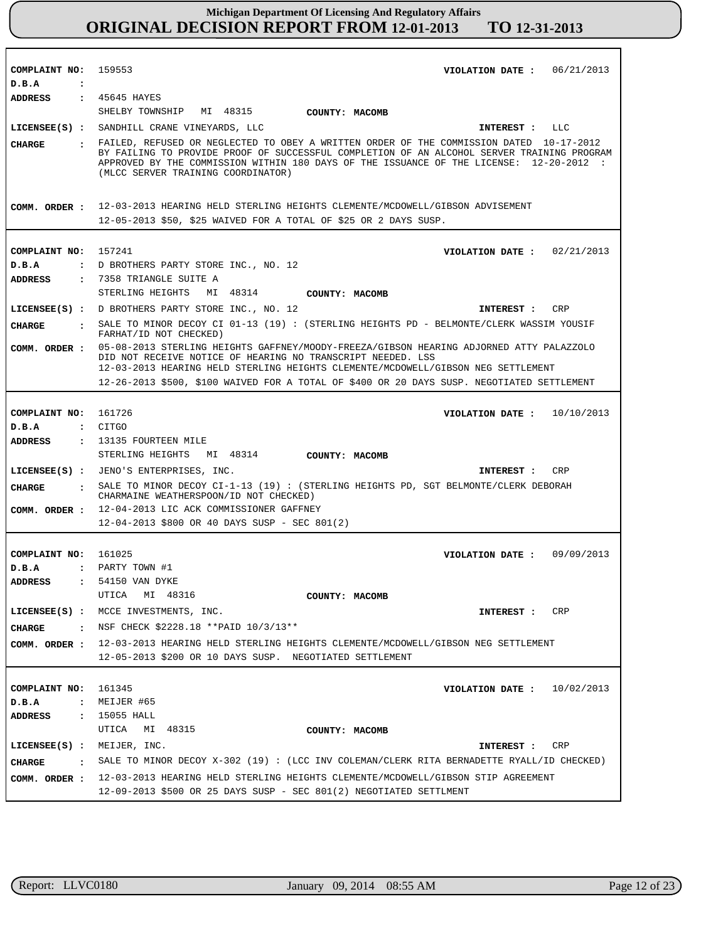| COMPLAINT NO: 159553<br>D.B.A<br>$\cdot$ :      | VIOLATION DATE: $06/21/2013$                                                                                                                                                                                                                                                                                             |
|-------------------------------------------------|--------------------------------------------------------------------------------------------------------------------------------------------------------------------------------------------------------------------------------------------------------------------------------------------------------------------------|
| ADDRESS : 45645 HAYES                           |                                                                                                                                                                                                                                                                                                                          |
|                                                 | SHELBY TOWNSHIP MI 48315 COUNTY: MACOMB                                                                                                                                                                                                                                                                                  |
|                                                 | LICENSEE(S) : SANDHILL CRANE VINEYARDS, LLC<br>INTEREST : LLC                                                                                                                                                                                                                                                            |
| CHARGE                                          | . FAILED, REFUSED OR NEGLECTED TO OBEY A WRITTEN ORDER OF THE COMMISSION DATED 10-17-2012<br>BY FAILING TO PROVIDE PROOF OF SUCCESSFUL COMPLETION OF AN ALCOHOL SERVER TRAINING PROGRAM<br>APPROVED BY THE COMMISSION WITHIN 180 DAYS OF THE ISSUANCE OF THE LICENSE: 12-20-2012 :<br>(MLCC SERVER TRAINING COORDINATOR) |
|                                                 | COMM. ORDER : 12-03-2013 HEARING HELD STERLING HEIGHTS CLEMENTE/MCDOWELL/GIBSON ADVISEMENT                                                                                                                                                                                                                               |
|                                                 | 12-05-2013 \$50, \$25 WAIVED FOR A TOTAL OF \$25 OR 2 DAYS SUSP.                                                                                                                                                                                                                                                         |
|                                                 |                                                                                                                                                                                                                                                                                                                          |
| COMPLAINT NO: 157241                            | VIOLATION DATE : $02/21/2013$                                                                                                                                                                                                                                                                                            |
| D.B.A                                           | : D BROTHERS PARTY STORE INC., NO. 12                                                                                                                                                                                                                                                                                    |
| ADDRESS                                         | : 7358 TRIANGLE SUITE A                                                                                                                                                                                                                                                                                                  |
|                                                 | STERLING HEIGHTS MI 48314 COUNTY: MACOMB                                                                                                                                                                                                                                                                                 |
|                                                 | LICENSEE(S) : D BROTHERS PARTY STORE INC., NO. 12<br>INTEREST : CRP                                                                                                                                                                                                                                                      |
| CHARGE                                          | : SALE TO MINOR DECOY CI 01-13 (19): (STERLING HEIGHTS PD - BELMONTE/CLERK WASSIM YOUSIF                                                                                                                                                                                                                                 |
|                                                 | FARHAT/ID NOT CHECKED)                                                                                                                                                                                                                                                                                                   |
|                                                 | COMM. ORDER : 05-08-2013 STERLING HEIGHTS GAFFNEY/MOODY-FREEZA/GIBSON HEARING ADJORNED ATTY PALAZZOLO<br>DID NOT RECEIVE NOTICE OF HEARING NO TRANSCRIPT NEEDED. LSS<br>12-03-2013 HEARING HELD STERLING HEIGHTS CLEMENTE/MCDOWELL/GIBSON NEG SETTLEMENT                                                                 |
|                                                 | 12-26-2013 \$500, \$100 WAIVED FOR A TOTAL OF \$400 OR 20 DAYS SUSP. NEGOTIATED SETTLEMENT                                                                                                                                                                                                                               |
|                                                 |                                                                                                                                                                                                                                                                                                                          |
| COMPLAINT NO: 161726                            | VIOLATION DATE: $10/10/2013$                                                                                                                                                                                                                                                                                             |
| D.B.A : CITGO                                   |                                                                                                                                                                                                                                                                                                                          |
|                                                 | ADDRESS : 13135 FOURTEEN MILE                                                                                                                                                                                                                                                                                            |
|                                                 | STERLING HEIGHTS MI 48314 COUNTY: MACOMB                                                                                                                                                                                                                                                                                 |
|                                                 | LICENSEE(S) : JENO'S ENTERPRISES, INC.<br>CRP<br>INTEREST :                                                                                                                                                                                                                                                              |
|                                                 | CHARGE : SALE TO MINOR DECOY CI-1-13 (19) : (STERLING HEIGHTS PD, SGT BELMONTE/CLERK DEBORAH<br>CHARMAINE WEATHERSPOON/ID NOT CHECKED)                                                                                                                                                                                   |
|                                                 | COMM. ORDER : 12-04-2013 LIC ACK COMMISSIONER GAFFNEY                                                                                                                                                                                                                                                                    |
|                                                 | 12-04-2013 \$800 OR 40 DAYS SUSP - SEC 801(2)                                                                                                                                                                                                                                                                            |
|                                                 |                                                                                                                                                                                                                                                                                                                          |
| COMPLAINT NO: 161025                            | VIOLATION DATE: 09/09/2013                                                                                                                                                                                                                                                                                               |
| D.B.A                                           | : PARTY TOWN #1<br>: 54150 VAN DYKE                                                                                                                                                                                                                                                                                      |
| ADDRESS                                         | UTICA<br>MI 48316                                                                                                                                                                                                                                                                                                        |
|                                                 | COUNTY: MACOMB                                                                                                                                                                                                                                                                                                           |
|                                                 | LICENSEE(S) : MCCE INVESTMENTS, INC.<br>CRP<br>INTEREST :                                                                                                                                                                                                                                                                |
| <b>CHARGE</b>                                   | : NSF CHECK \$2228.18 ** PAID $10/3/13**$                                                                                                                                                                                                                                                                                |
| COMM. ORDER :                                   | 12-03-2013 HEARING HELD STERLING HEIGHTS CLEMENTE/MCDOWELL/GIBSON NEG SETTLEMENT                                                                                                                                                                                                                                         |
|                                                 | 12-05-2013 \$200 OR 10 DAYS SUSP. NEGOTIATED SETTLEMENT                                                                                                                                                                                                                                                                  |
|                                                 |                                                                                                                                                                                                                                                                                                                          |
| COMPLAINT NO:<br>$\ddot{\phantom{a}}$           | 161345<br>10/02/2013<br>VIOLATION DATE :<br>MEIJER #65                                                                                                                                                                                                                                                                   |
| D.B.A<br><b>ADDRESS</b><br>$\ddot{\phantom{a}}$ | 15055 HALL                                                                                                                                                                                                                                                                                                               |
|                                                 | UTICA<br>MI 48315<br>COUNTY: MACOMB                                                                                                                                                                                                                                                                                      |
| $LICENSEE(S)$ :                                 | MEIJER, INC.<br>INTEREST :<br>CRP                                                                                                                                                                                                                                                                                        |
|                                                 | SALE TO MINOR DECOY X-302 (19): (LCC INV COLEMAN/CLERK RITA BERNADETTE RYALL/ID CHECKED)                                                                                                                                                                                                                                 |
| <b>CHARGE</b><br>$\ddot{\cdot}$                 |                                                                                                                                                                                                                                                                                                                          |
| COMM. ORDER :                                   | 12-03-2013 HEARING HELD STERLING HEIGHTS CLEMENTE/MCDOWELL/GIBSON STIP AGREEMENT<br>$12-09-2013$ \$500 OR 25 DAYS SUSP - SEC 801(2) NEGOTIATED SETTLMENT                                                                                                                                                                 |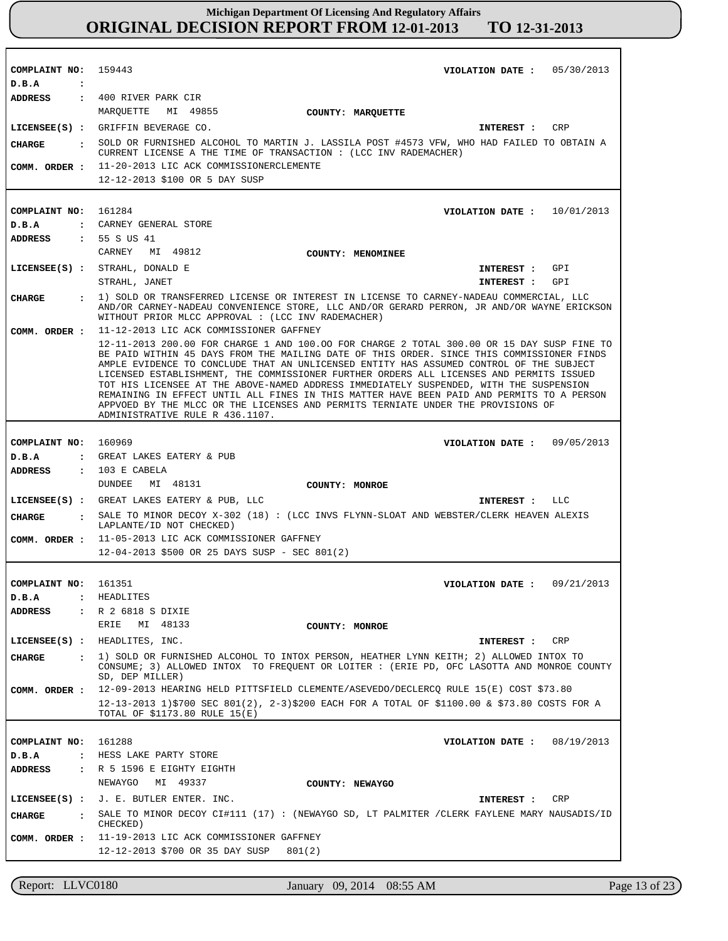| COMPLAINT NO: 159443                     | VIOLATION DATE: $05/30/2013$                                                                                                                                                                                                                                                                                                                                                                                                                                                                                                                                                                                                                                                                |
|------------------------------------------|---------------------------------------------------------------------------------------------------------------------------------------------------------------------------------------------------------------------------------------------------------------------------------------------------------------------------------------------------------------------------------------------------------------------------------------------------------------------------------------------------------------------------------------------------------------------------------------------------------------------------------------------------------------------------------------------|
| D.B.A<br>$\sim$ $\sim$<br><b>ADDRESS</b> | : 400 RIVER PARK CIR                                                                                                                                                                                                                                                                                                                                                                                                                                                                                                                                                                                                                                                                        |
|                                          | MARQUETTE MI 49855<br><b>COUNTY: MARQUETTE</b>                                                                                                                                                                                                                                                                                                                                                                                                                                                                                                                                                                                                                                              |
|                                          | LICENSEE(S) : GRIFFIN BEVERAGE CO.<br>INTEREST : CRP                                                                                                                                                                                                                                                                                                                                                                                                                                                                                                                                                                                                                                        |
|                                          | CHARGE : SOLD OR FURNISHED ALCOHOL TO MARTIN J. LASSILA POST #4573 VFW, WHO HAD FAILED TO OBTAIN A                                                                                                                                                                                                                                                                                                                                                                                                                                                                                                                                                                                          |
|                                          | CURRENT LICENSE A THE TIME OF TRANSACTION : (LCC INV RADEMACHER)                                                                                                                                                                                                                                                                                                                                                                                                                                                                                                                                                                                                                            |
|                                          | COMM. ORDER : 11-20-2013 LIC ACK COMMISSIONERCLEMENTE                                                                                                                                                                                                                                                                                                                                                                                                                                                                                                                                                                                                                                       |
|                                          | 12-12-2013 \$100 OR 5 DAY SUSP                                                                                                                                                                                                                                                                                                                                                                                                                                                                                                                                                                                                                                                              |
|                                          |                                                                                                                                                                                                                                                                                                                                                                                                                                                                                                                                                                                                                                                                                             |
| COMPLAINT NO: 161284                     | VIOLATION DATE: $10/01/2013$                                                                                                                                                                                                                                                                                                                                                                                                                                                                                                                                                                                                                                                                |
| D.B.A                                    | : CARNEY GENERAL STORE                                                                                                                                                                                                                                                                                                                                                                                                                                                                                                                                                                                                                                                                      |
| ADDRESS : 55 S US 41                     | CARNEY MI 49812                                                                                                                                                                                                                                                                                                                                                                                                                                                                                                                                                                                                                                                                             |
|                                          | <b>COUNTY: MENOMINEE</b>                                                                                                                                                                                                                                                                                                                                                                                                                                                                                                                                                                                                                                                                    |
|                                          | LICENSEE(S) : STRAHL, DONALD E<br>INTEREST : GPI<br>STRAHL, JANET<br>INTEREST : GPI                                                                                                                                                                                                                                                                                                                                                                                                                                                                                                                                                                                                         |
|                                          | 1) SOLD OR TRANSFERRED LICENSE OR INTEREST IN LICENSE TO CARNEY-NADEAU COMMERCIAL, LLC                                                                                                                                                                                                                                                                                                                                                                                                                                                                                                                                                                                                      |
| CHARGE                                   | AND/OR CARNEY-NADEAU CONVENIENCE STORE, LLC AND/OR GERARD PERRON, JR AND/OR WAYNE ERICKSON<br>WITHOUT PRIOR MLCC APPROVAL : (LCC INV RADEMACHER)                                                                                                                                                                                                                                                                                                                                                                                                                                                                                                                                            |
| COMM. ORDER :                            | 11-12-2013 LIC ACK COMMISSIONER GAFFNEY                                                                                                                                                                                                                                                                                                                                                                                                                                                                                                                                                                                                                                                     |
|                                          | 12-11-2013 200.00 FOR CHARGE 1 AND 100.00 FOR CHARGE 2 TOTAL 300.00 OR 15 DAY SUSP FINE TO<br>BE PAID WITHIN 45 DAYS FROM THE MAILING DATE OF THIS ORDER. SINCE THIS COMMISSIONER FINDS<br>AMPLE EVIDENCE TO CONCLUDE THAT AN UNLICENSED ENTITY HAS ASSUMED CONTROL OF THE SUBJECT<br>LICENSED ESTABLISHMENT, THE COMMISSIONER FURTHER ORDERS ALL LICENSES AND PERMITS ISSUED<br>TOT HIS LICENSEE AT THE ABOVE-NAMED ADDRESS IMMEDIATELY SUSPENDED, WITH THE SUSPENSION<br>REMAINING IN EFFECT UNTIL ALL FINES IN THIS MATTER HAVE BEEN PAID AND PERMITS TO A PERSON<br>APPVOED BY THE MLCC OR THE LICENSES AND PERMITS TERNIATE UNDER THE PROVISIONS OF<br>ADMINISTRATIVE RULE R 436.1107. |
|                                          |                                                                                                                                                                                                                                                                                                                                                                                                                                                                                                                                                                                                                                                                                             |
| COMPLAINT NO: 160969                     | VIOLATION DATE: 09/05/2013                                                                                                                                                                                                                                                                                                                                                                                                                                                                                                                                                                                                                                                                  |
| D.B.A                                    | : GREAT LAKES EATERY & PUB                                                                                                                                                                                                                                                                                                                                                                                                                                                                                                                                                                                                                                                                  |
| <b>ADDRESS</b>                           | : 103 E CABELA<br>DUNDEE MI 48131<br>COUNTY: MONROE                                                                                                                                                                                                                                                                                                                                                                                                                                                                                                                                                                                                                                         |
|                                          | LICENSEE(S) : GREAT LAKES EATERY & PUB, LLC<br>INTEREST : LLC                                                                                                                                                                                                                                                                                                                                                                                                                                                                                                                                                                                                                               |
| CHARGE                                   | : SALE TO MINOR DECOY X-302 (18) : (LCC INVS FLYNN-SLOAT AND WEBSTER/CLERK HEAVEN ALEXIS                                                                                                                                                                                                                                                                                                                                                                                                                                                                                                                                                                                                    |
|                                          | LAPLANTE/ID NOT CHECKED)                                                                                                                                                                                                                                                                                                                                                                                                                                                                                                                                                                                                                                                                    |
|                                          | COMM. ORDER : 11-05-2013 LIC ACK COMMISSIONER GAFFNEY<br>12-04-2013 \$500 OR 25 DAYS SUSP - SEC 801(2)                                                                                                                                                                                                                                                                                                                                                                                                                                                                                                                                                                                      |
|                                          |                                                                                                                                                                                                                                                                                                                                                                                                                                                                                                                                                                                                                                                                                             |
| COMPLAINT NO: 161351                     | VIOLATION DATE: $09/21/2013$                                                                                                                                                                                                                                                                                                                                                                                                                                                                                                                                                                                                                                                                |
| $D$ . B. A                               | : HEADLITES                                                                                                                                                                                                                                                                                                                                                                                                                                                                                                                                                                                                                                                                                 |
| <b>ADDRESS</b>                           | : R 2 6818 S DIXIE                                                                                                                                                                                                                                                                                                                                                                                                                                                                                                                                                                                                                                                                          |
|                                          | ERIE MI 48133<br>COUNTY: MONROE                                                                                                                                                                                                                                                                                                                                                                                                                                                                                                                                                                                                                                                             |
|                                          | LICENSEE(S) : HEADLITES, INC.<br>CRP<br>INTEREST :                                                                                                                                                                                                                                                                                                                                                                                                                                                                                                                                                                                                                                          |
| <b>CHARGE</b><br>$\sim$ 1.000 $\sim$     | 1) SOLD OR FURNISHED ALCOHOL TO INTOX PERSON, HEATHER LYNN KEITH; 2) ALLOWED INTOX TO<br>CONSUME; 3) ALLOWED INTOX TO FREQUENT OR LOITER: (ERIE PD, OFC LASOTTA AND MONROE COUNTY<br>SD, DEP MILLER)                                                                                                                                                                                                                                                                                                                                                                                                                                                                                        |
| COMM. ORDER :                            | 12-09-2013 HEARING HELD PITTSFIELD CLEMENTE/ASEVEDO/DECLERCQ RULE 15(E) COST \$73.80                                                                                                                                                                                                                                                                                                                                                                                                                                                                                                                                                                                                        |
|                                          | 12-13-2013 1)\$700 SEC 801(2), 2-3)\$200 EACH FOR A TOTAL OF \$1100.00 & \$73.80 COSTS FOR A<br>TOTAL OF \$1173.80 RULE 15(E)                                                                                                                                                                                                                                                                                                                                                                                                                                                                                                                                                               |
|                                          |                                                                                                                                                                                                                                                                                                                                                                                                                                                                                                                                                                                                                                                                                             |
| COMPLAINT NO: 161288                     | VIOLATION DATE: $08/19/2013$                                                                                                                                                                                                                                                                                                                                                                                                                                                                                                                                                                                                                                                                |
| D.B.A<br>ADDRESS                         | : HESS LAKE PARTY STORE<br>$\mathbf{R}$ 5 1596 E EIGHTY EIGHTH                                                                                                                                                                                                                                                                                                                                                                                                                                                                                                                                                                                                                              |
|                                          | NEWAYGO<br>MI 49337<br>COUNTY: NEWAYGO                                                                                                                                                                                                                                                                                                                                                                                                                                                                                                                                                                                                                                                      |
|                                          | LICENSEE $(S)$ : J. E. BUTLER ENTER. INC.<br>CRP                                                                                                                                                                                                                                                                                                                                                                                                                                                                                                                                                                                                                                            |
|                                          | INTEREST :                                                                                                                                                                                                                                                                                                                                                                                                                                                                                                                                                                                                                                                                                  |
| <b>CHARGE</b><br>$\sim$ 100 $\sim$       | SALE TO MINOR DECOY CI#111 (17) : (NEWAYGO SD, LT PALMITER /CLERK FAYLENE MARY NAUSADIS/ID<br>CHECKED)                                                                                                                                                                                                                                                                                                                                                                                                                                                                                                                                                                                      |
| COMM. ORDER :                            | 11-19-2013 LIC ACK COMMISSIONER GAFFNEY                                                                                                                                                                                                                                                                                                                                                                                                                                                                                                                                                                                                                                                     |
|                                          | 12-12-2013 \$700 OR 35 DAY SUSP<br>801(2)                                                                                                                                                                                                                                                                                                                                                                                                                                                                                                                                                                                                                                                   |
|                                          |                                                                                                                                                                                                                                                                                                                                                                                                                                                                                                                                                                                                                                                                                             |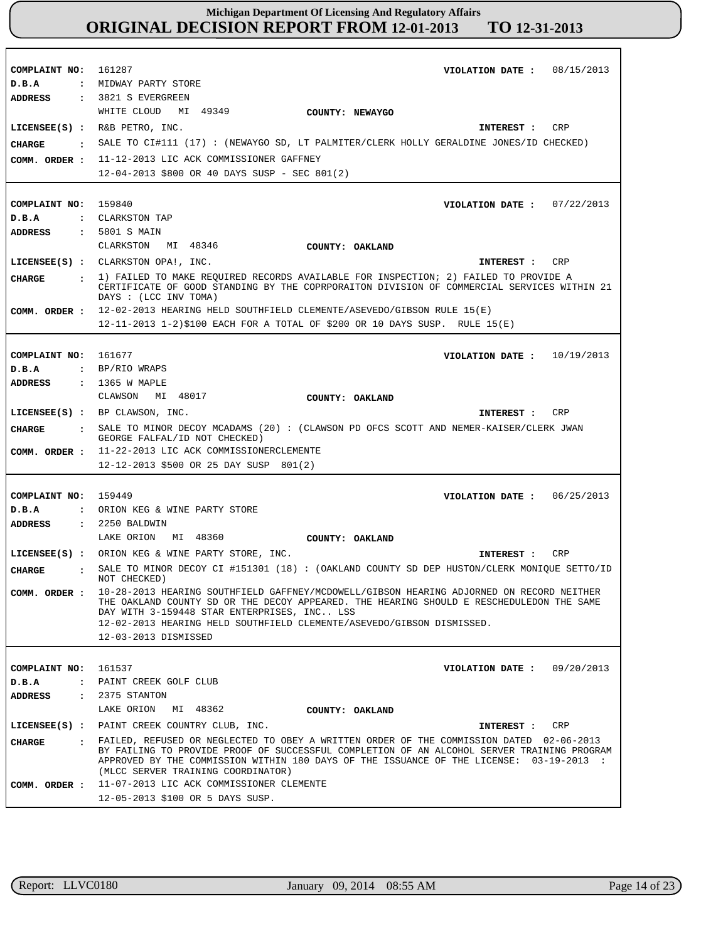| COMPLAINT NO:                    | 161287<br>VIOLATION DATE: $08/15/2013$                                                                                                                                                                                                                                                                                               |
|----------------------------------|--------------------------------------------------------------------------------------------------------------------------------------------------------------------------------------------------------------------------------------------------------------------------------------------------------------------------------------|
| D.B.A                            | : MIDWAY PARTY STORE                                                                                                                                                                                                                                                                                                                 |
| <b>ADDRESS</b>                   | $: 3821 S$ EVERGREEN                                                                                                                                                                                                                                                                                                                 |
|                                  | WHITE CLOUD<br>MI 49349<br>COUNTY: NEWAYGO                                                                                                                                                                                                                                                                                           |
|                                  | $LICENSEE(S)$ : R&B PETRO, INC.<br>CRP<br>INTEREST :                                                                                                                                                                                                                                                                                 |
| CHARGE                           | SALE TO CI#111 (17) : (NEWAYGO SD, LT PALMITER/CLERK HOLLY GERALDINE JONES/ID CHECKED)                                                                                                                                                                                                                                               |
| COMM. ORDER :                    | 11-12-2013 LIC ACK COMMISSIONER GAFFNEY                                                                                                                                                                                                                                                                                              |
|                                  | 12-04-2013 \$800 OR 40 DAYS SUSP - SEC 801(2)                                                                                                                                                                                                                                                                                        |
|                                  |                                                                                                                                                                                                                                                                                                                                      |
|                                  |                                                                                                                                                                                                                                                                                                                                      |
| COMPLAINT NO: 159840             | VIOLATION DATE: $07/22/2013$                                                                                                                                                                                                                                                                                                         |
| D.B.A                            | : CLARKSTON TAP                                                                                                                                                                                                                                                                                                                      |
| <b>ADDRESS</b>                   | : 5801 S MAIN                                                                                                                                                                                                                                                                                                                        |
|                                  | CLARKSTON MI 48346<br>COUNTY: OAKLAND                                                                                                                                                                                                                                                                                                |
|                                  | LICENSEE(S) : CLARKSTON OPA!, INC.<br>CRP<br>INTEREST :                                                                                                                                                                                                                                                                              |
| <b>CHARGE</b>                    | : 1) FAILED TO MAKE REQUIRED RECORDS AVAILABLE FOR INSPECTION; 2) FAILED TO PROVIDE A<br>CERTIFICATE OF GOOD STANDING BY THE COPRPORAITON DIVISION OF COMMERCIAL SERVICES WITHIN 21<br>DAYS : (LCC INV TOMA)                                                                                                                         |
| COMM. ORDER :                    | 12-02-2013 HEARING HELD SOUTHFIELD CLEMENTE/ASEVEDO/GIBSON RULE 15(E)                                                                                                                                                                                                                                                                |
|                                  | $12-11-2013$ $1-2$ )\$100 EACH FOR A TOTAL OF \$200 OR 10 DAYS SUSP. RULE $15(E)$                                                                                                                                                                                                                                                    |
|                                  |                                                                                                                                                                                                                                                                                                                                      |
| COMPLAINT NO: 161677             | VIOLATION DATE: $10/19/2013$                                                                                                                                                                                                                                                                                                         |
| D.B.A                            | : BP/RIO WRAPS                                                                                                                                                                                                                                                                                                                       |
| <b>ADDRESS</b>                   | : 1365 W MAPLE                                                                                                                                                                                                                                                                                                                       |
|                                  | CLAWSON MI 48017<br>COUNTY: OAKLAND                                                                                                                                                                                                                                                                                                  |
|                                  | LICENSEE(S) : BP CLAWSON, INC.<br>CRP<br>INTEREST :                                                                                                                                                                                                                                                                                  |
|                                  | : SALE TO MINOR DECOY MCADAMS (20): (CLAWSON PD OFCS SCOTT AND NEMER-KAISER/CLERK JWAN                                                                                                                                                                                                                                               |
| <b>CHARGE</b>                    | GEORGE FALFAL/ID NOT CHECKED)                                                                                                                                                                                                                                                                                                        |
| COMM. ORDER :                    | 11-22-2013 LIC ACK COMMISSIONERCLEMENTE                                                                                                                                                                                                                                                                                              |
|                                  | 12-12-2013 \$500 OR 25 DAY SUSP 801(2)                                                                                                                                                                                                                                                                                               |
|                                  |                                                                                                                                                                                                                                                                                                                                      |
| COMPLAINT NO:                    | 159449<br>VIOLATION DATE: $06/25/2013$                                                                                                                                                                                                                                                                                               |
| D.B.A                            | : ORION KEG & WINE PARTY STORE                                                                                                                                                                                                                                                                                                       |
| <b>ADDRESS</b>                   | $: 2250$ BALDWIN                                                                                                                                                                                                                                                                                                                     |
|                                  | LAKE ORION MI 48360<br>COUNTY: OAKLAND                                                                                                                                                                                                                                                                                               |
|                                  | LICENSEE(S) : ORION KEG & WINE PARTY STORE, INC.<br>CRP<br>INTEREST :                                                                                                                                                                                                                                                                |
| <b>CIIARGE</b><br>$\ddot{\cdot}$ | SALE TO MINOR DECOY CI #151301 (18) : (OAKLAND COUNTY SD DEP HUSTON/CLERK MONIQUE SETTO/ID<br>NOT CHECKED)                                                                                                                                                                                                                           |
| COMM. ORDER :                    | 10-28-2013 HEARING SOUTHFIELD GAFFNEY/MCDOWELL/GIBSON HEARING ADJORNED ON RECORD NEITHER<br>THE OAKLAND COUNTY SD OR THE DECOY APPEARED. THE HEARING SHOULD E RESCHEDULEDON THE SAME<br>DAY WITH 3-159448 STAR ENTERPRISES, INC LSS<br>12-02-2013 HEARING HELD SOUTHFIELD CLEMENTE/ASEVEDO/GIBSON DISMISSED.<br>12-03-2013 DISMISSED |
|                                  |                                                                                                                                                                                                                                                                                                                                      |
| COMPLAINT NO:                    | 161537<br>VIOLATION DATE: $09/20/2013$                                                                                                                                                                                                                                                                                               |
| D.B.A                            | : PAINT CREEK GOLF CLUB                                                                                                                                                                                                                                                                                                              |
| ADDRESS                          | : 2375 STANTON                                                                                                                                                                                                                                                                                                                       |
|                                  | LAKE ORION MI 48362<br>COUNTY: OAKLAND                                                                                                                                                                                                                                                                                               |
|                                  | LICENSEE(S) : PAINT CREEK COUNTRY CLUB, INC.<br>CRP<br>INTEREST :                                                                                                                                                                                                                                                                    |
| CHARGE                           | : FAILED, REFUSED OR NEGLECTED TO OBEY A WRITTEN ORDER OF THE COMMISSION DATED 02-06-2013<br>BY FAILING TO PROVIDE PROOF OF SUCCESSFUL COMPLETION OF AN ALCOHOL SERVER TRAINING PROGRAM<br>APPROVED BY THE COMMISSION WITHIN 180 DAYS OF THE ISSUANCE OF THE LICENSE: 03-19-2013 :<br>(MLCC SERVER TRAINING COORDINATOR)             |
| COMM. ORDER :                    | 11-07-2013 LIC ACK COMMISSIONER CLEMENTE                                                                                                                                                                                                                                                                                             |
|                                  | 12-05-2013 \$100 OR 5 DAYS SUSP.                                                                                                                                                                                                                                                                                                     |

r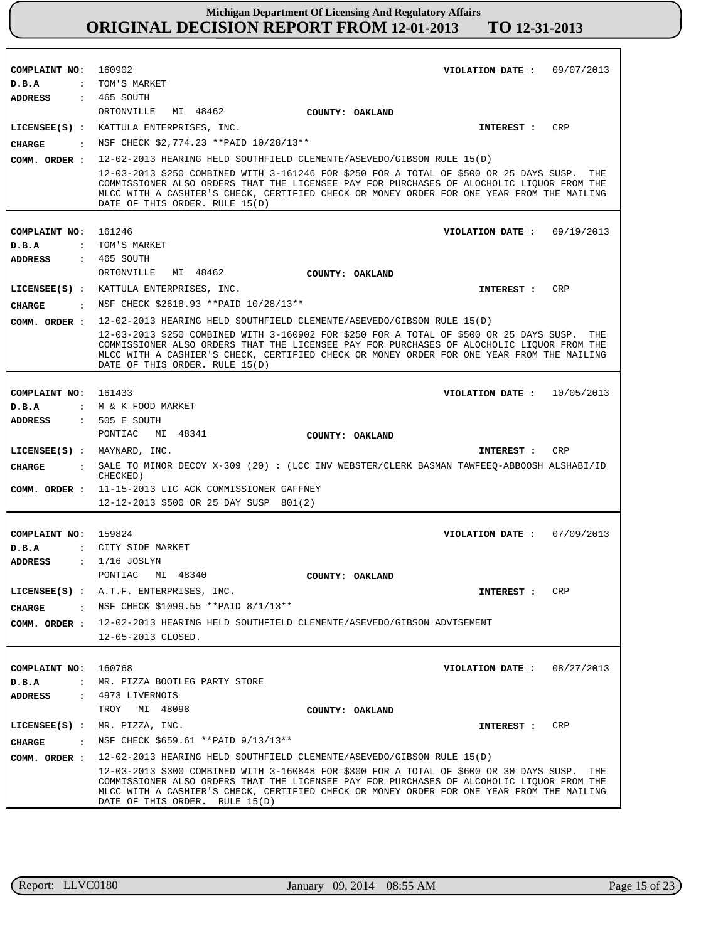| COMPLAINT NO:                 | 160902<br>09/07/2013<br>VIOLATION DATE :                                                                                                                                                                                                                                                                                                                                                         |
|-------------------------------|--------------------------------------------------------------------------------------------------------------------------------------------------------------------------------------------------------------------------------------------------------------------------------------------------------------------------------------------------------------------------------------------------|
| D.B.A<br>$\ddot{\cdot}$       | TOM'S MARKET                                                                                                                                                                                                                                                                                                                                                                                     |
| ADDRESS                       | $: 465$ SOUTH                                                                                                                                                                                                                                                                                                                                                                                    |
|                               | MI 48462<br>ORTONVILLE<br>COUNTY: OAKLAND                                                                                                                                                                                                                                                                                                                                                        |
|                               | CRP<br>LICENSEE(S) : KATTULA ENTERPRISES, INC.<br>INTEREST :                                                                                                                                                                                                                                                                                                                                     |
| <b>CHARGE</b>                 | NSF CHECK \$2,774.23 ** PAID 10/28/13 **                                                                                                                                                                                                                                                                                                                                                         |
| COMM. ORDER :                 | 12-02-2013 HEARING HELD SOUTHFIELD CLEMENTE/ASEVEDO/GIBSON RULE 15(D)                                                                                                                                                                                                                                                                                                                            |
|                               | 12-03-2013 \$250 COMBINED WITH 3-161246 FOR \$250 FOR A TOTAL OF \$500 OR 25 DAYS SUSP.<br>THE<br>COMMISSIONER ALSO ORDERS THAT THE LICENSEE PAY FOR PURCHASES OF ALOCHOLIC LIOUOR FROM THE<br>MLCC WITH A CASHIER'S CHECK, CERTIFIED CHECK OR MONEY ORDER FOR ONE YEAR FROM THE MAILING<br>DATE OF THIS ORDER. RULE 15(D)                                                                       |
|                               |                                                                                                                                                                                                                                                                                                                                                                                                  |
| COMPLAINT NO: 161246          | VIOLATION DATE: $09/19/2013$                                                                                                                                                                                                                                                                                                                                                                     |
| D.B.A                         | : TOM'S MARKET                                                                                                                                                                                                                                                                                                                                                                                   |
| <b>ADDRESS</b>                | : 465 SOUTH                                                                                                                                                                                                                                                                                                                                                                                      |
|                               | ORTONVILLE<br>MI 48462<br>COUNTY: OAKLAND                                                                                                                                                                                                                                                                                                                                                        |
|                               | LICENSEE(S) : KATTULA ENTERPRISES, INC.<br>INTEREST : CRP                                                                                                                                                                                                                                                                                                                                        |
| <b>CHARGE</b>                 | $:$ NSF CHECK \$2618.93 ** PAID 10/28/13**                                                                                                                                                                                                                                                                                                                                                       |
| COMM. ORDER :                 | 12-02-2013 HEARING HELD SOUTHFIELD CLEMENTE/ASEVEDO/GIBSON RULE 15(D)                                                                                                                                                                                                                                                                                                                            |
|                               | 12-03-2013 \$250 COMBINED WITH 3-160902 FOR \$250 FOR A TOTAL OF \$500 OR 25 DAYS SUSP.<br>THE<br>COMMISSIONER ALSO ORDERS THAT THE LICENSEE PAY FOR PURCHASES OF ALOCHOLIC LIQUOR FROM THE<br>MLCC WITH A CASHIER'S CHECK, CERTIFIED CHECK OR MONEY ORDER FOR ONE YEAR FROM THE MAILING<br>DATE OF THIS ORDER. RULE 15(D)                                                                       |
|                               |                                                                                                                                                                                                                                                                                                                                                                                                  |
| COMPLAINT NO: 161433          | VIOLATION DATE : $10/05/2013$                                                                                                                                                                                                                                                                                                                                                                    |
| D.B.A                         | : M & K FOOD MARKET<br>$: 505 E$ SOUTH                                                                                                                                                                                                                                                                                                                                                           |
| <b>ADDRESS</b>                | PONTIAC<br>MI 48341<br>COUNTY: OAKLAND                                                                                                                                                                                                                                                                                                                                                           |
|                               | CRP<br>$LICENSEE(S)$ : MAYNARD, INC.<br>INTEREST :                                                                                                                                                                                                                                                                                                                                               |
| <b>CHARGE</b><br>$\mathbf{r}$ | SALE TO MINOR DECOY X-309 (20): (LCC INV WEBSTER/CLERK BASMAN TAWFEEQ-ABBOOSH ALSHABI/ID                                                                                                                                                                                                                                                                                                         |
|                               | CHECKED)                                                                                                                                                                                                                                                                                                                                                                                         |
|                               | COMM. ORDER : 11-15-2013 LIC ACK COMMISSIONER GAFFNEY<br>12-12-2013 \$500 OR 25 DAY SUSP 801(2)                                                                                                                                                                                                                                                                                                  |
|                               |                                                                                                                                                                                                                                                                                                                                                                                                  |
| COMPLAINT NO: 159824          | VIOLATION DATE: 07/09/2013                                                                                                                                                                                                                                                                                                                                                                       |
| D.B.A                         | : CITY SIDE MARKET                                                                                                                                                                                                                                                                                                                                                                               |
| <b>ADDRESS</b>                | : 1716 JOSLYN                                                                                                                                                                                                                                                                                                                                                                                    |
|                               | PONTIAC<br>MI 48340<br>COUNTY: OAKLAND                                                                                                                                                                                                                                                                                                                                                           |
| $LICENSEE(S)$ :               | A.T.F. ENTERPRISES, INC.<br>INTEREST :<br>CRP                                                                                                                                                                                                                                                                                                                                                    |
| CHARGE<br>$\cdot$             | NSF CHECK \$1099.55 **PAID 8/1/13**                                                                                                                                                                                                                                                                                                                                                              |
|                               | COMM. ORDER : 12-02-2013 HEARING HELD SOUTHFIELD CLEMENTE/ASEVEDO/GIBSON ADVISEMENT                                                                                                                                                                                                                                                                                                              |
|                               | 12-05-2013 CLOSED.                                                                                                                                                                                                                                                                                                                                                                               |
|                               |                                                                                                                                                                                                                                                                                                                                                                                                  |
| COMPLAINT NO: 160768          | VIOLATION DATE: $08/27/2013$<br>: MR. PIZZA BOOTLEG PARTY STORE                                                                                                                                                                                                                                                                                                                                  |
| D.B.A<br>ADDRESS              | : 4973 LIVERNOIS                                                                                                                                                                                                                                                                                                                                                                                 |
|                               | TROY<br>MI 48098<br>COUNTY: OAKLAND                                                                                                                                                                                                                                                                                                                                                              |
|                               | INTEREST : CRP<br>LICENSE (S) : MR. PIZZA, INC.                                                                                                                                                                                                                                                                                                                                                  |
| $\mathbf{r}$<br>CHARGE        | NSF CHECK \$659.61 ** PAID 9/13/13**                                                                                                                                                                                                                                                                                                                                                             |
|                               |                                                                                                                                                                                                                                                                                                                                                                                                  |
| COMM. ORDER :                 | 12-02-2013 HEARING HELD SOUTHFIELD CLEMENTE/ASEVEDO/GIBSON RULE 15(D)<br>12-03-2013 \$300 COMBINED WITH 3-160848 FOR \$300 FOR A TOTAL OF \$600 OR 30 DAYS SUSP. THE<br>COMMISSIONER ALSO ORDERS THAT THE LICENSEE PAY FOR PURCHASES OF ALCOHOLIC LIQUOR FROM THE<br>MLCC WITH A CASHIER'S CHECK, CERTIFIED CHECK OR MONEY ORDER FOR ONE YEAR FROM THE MAILING<br>DATE OF THIS ORDER. RULE 15(D) |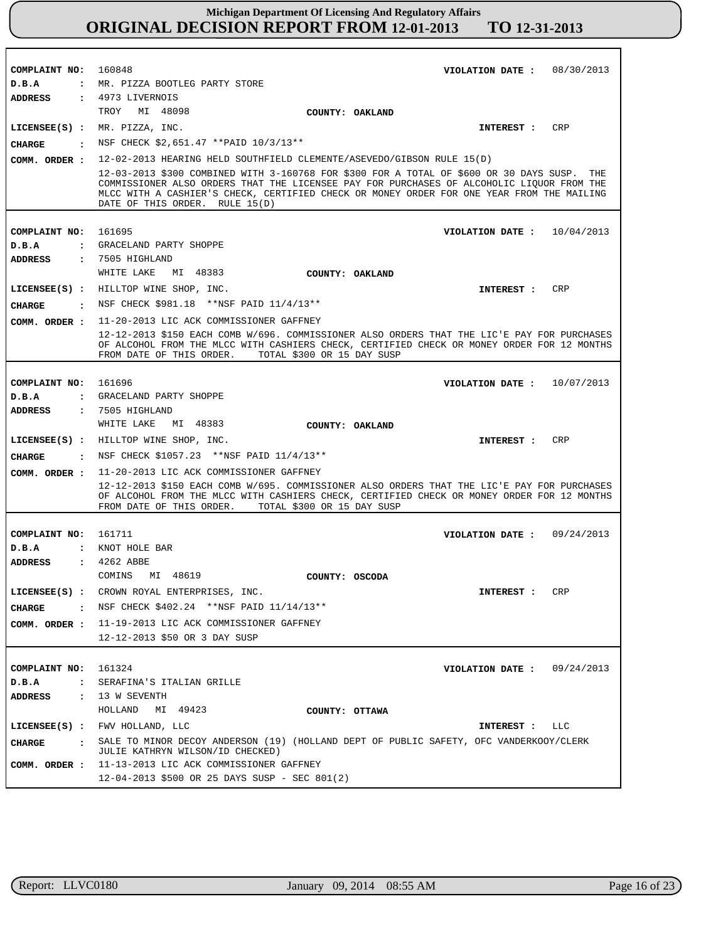| COMPLAINT NO: 160848   | VIOLATION DATE: 08/30/2013                                                                                                                                                                                                                                                                     |
|------------------------|------------------------------------------------------------------------------------------------------------------------------------------------------------------------------------------------------------------------------------------------------------------------------------------------|
| D.B.A                  | : MR. PIZZA BOOTLEG PARTY STORE                                                                                                                                                                                                                                                                |
| <b>ADDRESS</b>         | : 4973 LIVERNOIS                                                                                                                                                                                                                                                                               |
|                        | TROY MI 48098<br>COUNTY: OAKLAND                                                                                                                                                                                                                                                               |
|                        | LICENSEE(S) : MR. PIZZA, INC.<br>CRP<br>INTEREST :                                                                                                                                                                                                                                             |
| CHARGE<br>$\mathbf{r}$ | NSF CHECK \$2,651.47 **PAID 10/3/13**                                                                                                                                                                                                                                                          |
|                        | 12-02-2013 HEARING HELD SOUTHFIELD CLEMENTE/ASEVEDO/GIBSON RULE 15(D)                                                                                                                                                                                                                          |
| COMM. ORDER :          | 12-03-2013 \$300 COMBINED WITH 3-160768 FOR \$300 FOR A TOTAL OF \$600 OR 30 DAYS SUSP.<br>THE                                                                                                                                                                                                 |
|                        | COMMISSIONER ALSO ORDERS THAT THE LICENSEE PAY FOR PURCHASES OF ALCOHOLIC LIOUOR FROM THE<br>MLCC WITH A CASHIER'S CHECK, CERTIFIED CHECK OR MONEY ORDER FOR ONE YEAR FROM THE MAILING<br>DATE OF THIS ORDER. RULE 15(D)                                                                       |
| COMPLAINT NO: 161695   | VIOLATION DATE: $10/04/2013$                                                                                                                                                                                                                                                                   |
| D.B.A                  | : GRACELAND PARTY SHOPPE                                                                                                                                                                                                                                                                       |
| <b>ADDRESS</b>         | : 7505 HIGHLAND                                                                                                                                                                                                                                                                                |
|                        | WHITE LAKE<br>MI 48383<br>COUNTY: OAKLAND                                                                                                                                                                                                                                                      |
|                        | LICENSEE(S) : HILLTOP WINE SHOP, INC.<br>CRP<br>INTEREST :                                                                                                                                                                                                                                     |
| <b>CHARGE</b>          | : NSF CHECK \$981.18 ** NSF PAID 11/4/13**                                                                                                                                                                                                                                                     |
|                        | 11-20-2013 LIC ACK COMMISSIONER GAFFNEY                                                                                                                                                                                                                                                        |
| COMM. ORDER :          | 12-12-2013 \$150 EACH COMB W/696. COMMISSIONER ALSO ORDERS THAT THE LIC'E PAY FOR PURCHASES<br>OF ALCOHOL FROM THE MLCC WITH CASHIERS CHECK, CERTIFIED CHECK OR MONEY ORDER FOR 12 MONTHS<br>FROM DATE OF THIS ORDER.<br>TOTAL \$300 OR 15 DAY SUSP                                            |
|                        |                                                                                                                                                                                                                                                                                                |
| COMPLAINT NO:          | 161696<br>VIOLATION DATE: $10/07/2013$                                                                                                                                                                                                                                                         |
| D.B.A                  | : GRACELAND PARTY SHOPPE                                                                                                                                                                                                                                                                       |
| <b>ADDRESS</b>         | : 7505 HIGHLAND                                                                                                                                                                                                                                                                                |
|                        | WHITE LAKE<br>MI 48383<br>COUNTY: OAKLAND                                                                                                                                                                                                                                                      |
|                        | LICENSEE(S) : HILLTOP WINE SHOP, INC.<br>CRP<br>INTEREST :                                                                                                                                                                                                                                     |
| CHARGE                 | . NSF CHECK \$1057.23 **NSF PAID 11/4/13**                                                                                                                                                                                                                                                     |
| COMM. ORDER :          | 11-20-2013 LIC ACK COMMISSIONER GAFFNEY<br>12-12-2013 \$150 EACH COMB W/695. COMMISSIONER ALSO ORDERS THAT THE LIC'E PAY FOR PURCHASES<br>OF ALCOHOL FROM THE MLCC WITH CASHIERS CHECK, CERTIFIED CHECK OR MONEY ORDER FOR 12 MONTHS<br>FROM DATE OF THIS ORDER.<br>TOTAL \$300 OR 15 DAY SUSP |
| COMPLAINT NO:          | 161711<br>VIOLATION DATE: $09/24/2013$                                                                                                                                                                                                                                                         |
| D.B.A                  | : KNOT HOLE BAR                                                                                                                                                                                                                                                                                |
| <b>ADDRESS</b>         | : 4262 ABBE                                                                                                                                                                                                                                                                                    |
|                        | COMINS<br>MI 48619<br>COUNTY: OSCODA                                                                                                                                                                                                                                                           |
| $LICENSEE(S)$ :        | CROWN ROYAL ENTERPRISES, INC.<br>INTEREST : CRP                                                                                                                                                                                                                                                |
| $\cdot$<br>CHARGE      | NSF CHECK \$402.24 ** NSF PAID 11/14/13 **                                                                                                                                                                                                                                                     |
|                        | COMM. ORDER : 11-19-2013 LIC ACK COMMISSIONER GAFFNEY                                                                                                                                                                                                                                          |
|                        | 12-12-2013 \$50 OR 3 DAY SUSP                                                                                                                                                                                                                                                                  |
|                        |                                                                                                                                                                                                                                                                                                |
| COMPLAINT NO: 161324   | VIOLATION DATE: $09/24/2013$                                                                                                                                                                                                                                                                   |
| D.B.A                  | : SERAFINA'S ITALIAN GRILLE                                                                                                                                                                                                                                                                    |
| ADDRESS                | : 13 W SEVENTH                                                                                                                                                                                                                                                                                 |
|                        | HOLLAND MI 49423<br>COUNTY: OTTAWA                                                                                                                                                                                                                                                             |
|                        | LICENSEE(S) : FWV HOLLAND, LLC<br>INTEREST : LLC                                                                                                                                                                                                                                               |
| CHARGE                 | : SALE TO MINOR DECOY ANDERSON (19) (HOLLAND DEPT OF PUBLIC SAFETY, OFC VANDERKOOY/CLERK<br>JULIE KATHRYN WILSON/ID CHECKED)                                                                                                                                                                   |
|                        | COMM. ORDER : 11-13-2013 LIC ACK COMMISSIONER GAFFNEY                                                                                                                                                                                                                                          |
|                        | $12-04-2013$ \$500 OR 25 DAYS SUSP - SEC 801(2)                                                                                                                                                                                                                                                |

r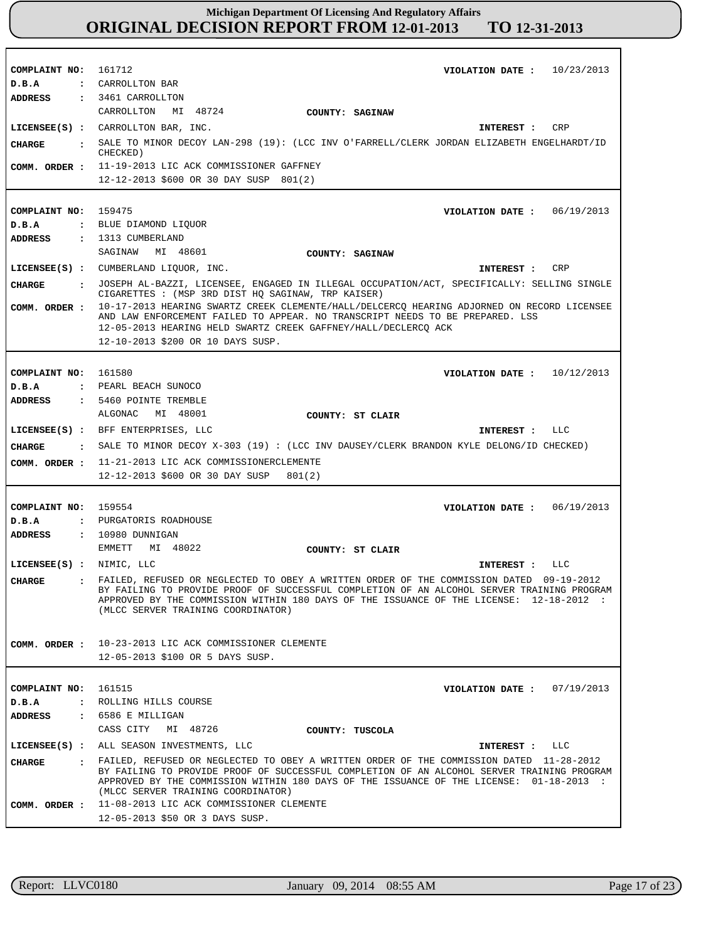| COMPLAINT NO:                 | 161712<br>VIOLATION DATE: $10/23/2013$                                                                                                                                                                                                                                                                                   |
|-------------------------------|--------------------------------------------------------------------------------------------------------------------------------------------------------------------------------------------------------------------------------------------------------------------------------------------------------------------------|
| D.B.A                         | : CARROLLTON BAR                                                                                                                                                                                                                                                                                                         |
| ADDRESS                       | : 3461 CARROLLTON                                                                                                                                                                                                                                                                                                        |
|                               | CARROLLTON MI 48724<br>COUNTY: SAGINAW                                                                                                                                                                                                                                                                                   |
|                               | LICENSEE(S) : CARROLLTON BAR, INC.<br>CRP<br>INTEREST :                                                                                                                                                                                                                                                                  |
| <b>CHARGE</b><br>$\mathbf{r}$ | SALE TO MINOR DECOY LAN-298 (19): (LCC INV O'FARRELL/CLERK JORDAN ELIZABETH ENGELHARDT/ID<br>CHECKED)                                                                                                                                                                                                                    |
| COMM. ORDER :                 | 11-19-2013 LIC ACK COMMISSIONER GAFFNEY                                                                                                                                                                                                                                                                                  |
|                               | 12-12-2013 \$600 OR 30 DAY SUSP 801(2)                                                                                                                                                                                                                                                                                   |
|                               |                                                                                                                                                                                                                                                                                                                          |
| COMPLAINT NO:                 | 159475<br>VIOLATION DATE: $06/19/2013$                                                                                                                                                                                                                                                                                   |
| D.B.A                         | : BLUE DIAMOND LIQUOR                                                                                                                                                                                                                                                                                                    |
| ADDRESS                       | : 1313 CUMBERLAND                                                                                                                                                                                                                                                                                                        |
|                               | SAGINAW MI 48601<br>COUNTY: SAGINAW                                                                                                                                                                                                                                                                                      |
|                               | LICENSEE(S) : CUMBERLAND LIQUOR, INC.<br>INTEREST :<br>CRP                                                                                                                                                                                                                                                               |
|                               |                                                                                                                                                                                                                                                                                                                          |
| <b>CHARGE</b>                 | : JOSEPH AL-BAZZI, LICENSEE, ENGAGED IN ILLEGAL OCCUPATION/ACT, SPECIFICALLY: SELLING SINGLE<br>CIGARETTES : (MSP 3RD DIST HO SAGINAW, TRP KAISER)                                                                                                                                                                       |
| COMM. ORDER :                 | 10-17-2013 HEARING SWARTZ CREEK CLEMENTE/HALL/DELCERCQ HEARING ADJORNED ON RECORD LICENSEE<br>AND LAW ENFORCEMENT FAILED TO APPEAR. NO TRANSCRIPT NEEDS TO BE PREPARED. LSS                                                                                                                                              |
|                               | 12-05-2013 HEARING HELD SWARTZ CREEK GAFFNEY/HALL/DECLERCQ ACK                                                                                                                                                                                                                                                           |
|                               | 12-10-2013 \$200 OR 10 DAYS SUSP.                                                                                                                                                                                                                                                                                        |
|                               |                                                                                                                                                                                                                                                                                                                          |
| COMPLAINT NO: 161580          | VIOLATION DATE: $10/12/2013$                                                                                                                                                                                                                                                                                             |
| D.B.A                         | : PEARL BEACH SUNOCO                                                                                                                                                                                                                                                                                                     |
| ADDRESS                       | : 5460 POINTE TREMBLE                                                                                                                                                                                                                                                                                                    |
|                               | ALGONAC<br>MI 48001<br>COUNTY: ST CLAIR                                                                                                                                                                                                                                                                                  |
|                               | LICENSEE(S) : BFF ENTERPRISES, LLC<br>INTEREST : LLC                                                                                                                                                                                                                                                                     |
|                               |                                                                                                                                                                                                                                                                                                                          |
| <b>CHARGE</b>                 | $\bullet$ SALE TO MINOR DECOY X-303 (19): (LCC INV DAUSEY/CLERK BRANDON KYLE DELONG/ID CHECKED)                                                                                                                                                                                                                          |
|                               |                                                                                                                                                                                                                                                                                                                          |
| COMM. ORDER :                 | 11-21-2013 LIC ACK COMMISSIONERCLEMENTE                                                                                                                                                                                                                                                                                  |
|                               | 12-12-2013 \$600 OR 30 DAY SUSP<br>801(2)                                                                                                                                                                                                                                                                                |
|                               |                                                                                                                                                                                                                                                                                                                          |
| COMPLAINT NO: 159554          | VIOLATION DATE: $06/19/2013$                                                                                                                                                                                                                                                                                             |
| D.B.A                         | : PURGATORIS ROADHOUSE                                                                                                                                                                                                                                                                                                   |
| ADDRESS                       | : 10980 DUNNIGAN                                                                                                                                                                                                                                                                                                         |
|                               | EMMETT<br>MI 48022<br>COUNTY: ST CLAIR                                                                                                                                                                                                                                                                                   |
| LICENSEE(S) : NIMIC, LLC      | LLC<br>INTEREST :                                                                                                                                                                                                                                                                                                        |
| <b>CHARGE</b>                 | . FAILED, REFUSED OR NEGLECTED TO OBEY A WRITTEN ORDER OF THE COMMISSION DATED 09-19-2012<br>BY FAILING TO PROVIDE PROOF OF SUCCESSFUL COMPLETION OF AN ALCOHOL SERVER TRAINING PROGRAM<br>APPROVED BY THE COMMISSION WITHIN 180 DAYS OF THE ISSUANCE OF THE LICENSE: 12-18-2012 :<br>(MLCC SERVER TRAINING COORDINATOR) |
|                               |                                                                                                                                                                                                                                                                                                                          |
| COMM. ORDER :                 | 10-23-2013 LIC ACK COMMISSIONER CLEMENTE                                                                                                                                                                                                                                                                                 |
|                               | 12-05-2013 \$100 OR 5 DAYS SUSP.                                                                                                                                                                                                                                                                                         |
|                               |                                                                                                                                                                                                                                                                                                                          |
| COMPLAINT NO:                 | 161515<br>VIOLATION DATE: $07/19/2013$                                                                                                                                                                                                                                                                                   |
| D.B.A                         | : ROLLING HILLS COURSE                                                                                                                                                                                                                                                                                                   |
| ADDRESS                       | : 6586 E MILLIGAN                                                                                                                                                                                                                                                                                                        |
|                               | CASS CITY MI 48726<br>COUNTY: TUSCOLA                                                                                                                                                                                                                                                                                    |
|                               | LICENSEE(S) : ALL SEASON INVESTMENTS, LLC<br>INTEREST : LLC                                                                                                                                                                                                                                                              |
| CHARGE                        | . FAILED, REFUSED OR NEGLECTED TO OBEY A WRITTEN ORDER OF THE COMMISSION DATED 11-28-2012                                                                                                                                                                                                                                |
|                               | BY FAILING TO PROVIDE PROOF OF SUCCESSFUL COMPLETION OF AN ALCOHOL SERVER TRAINING PROGRAM<br>APPROVED BY THE COMMISSION WITHIN 180 DAYS OF THE ISSUANCE OF THE LICENSE: 01-18-2013 :<br>(MLCC SERVER TRAINING COORDINATOR)                                                                                              |
| COMM. ORDER :                 | 11-08-2013 LIC ACK COMMISSIONER CLEMENTE                                                                                                                                                                                                                                                                                 |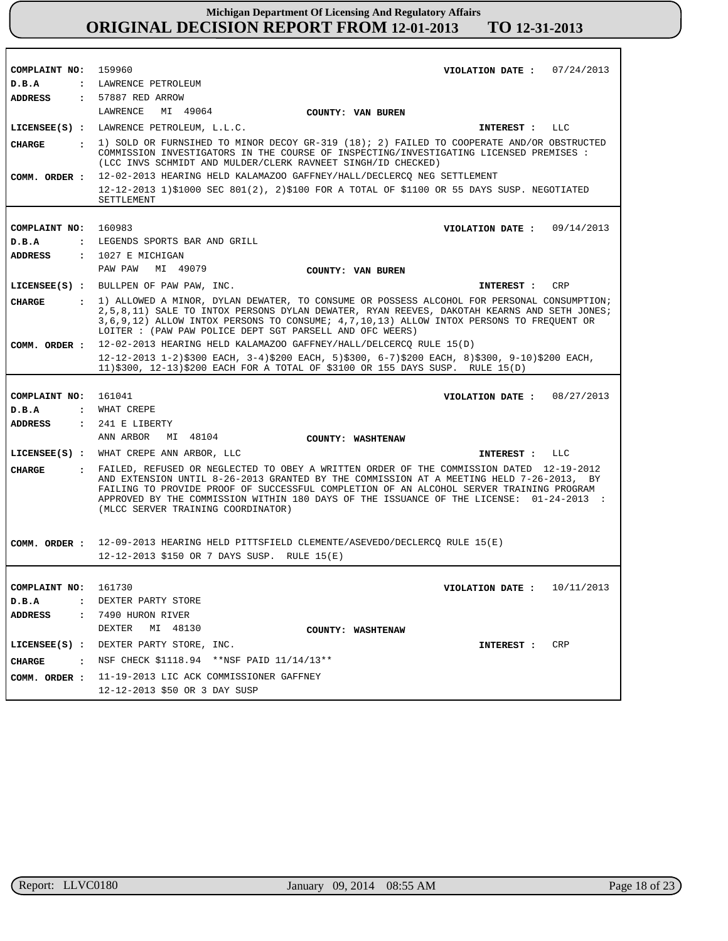| COMPLAINT NO: 159960   | VIOLATION DATE: $07/24/2013$                                                                                                                                                                                                                                                                                                                                                                                     |
|------------------------|------------------------------------------------------------------------------------------------------------------------------------------------------------------------------------------------------------------------------------------------------------------------------------------------------------------------------------------------------------------------------------------------------------------|
| D.B.A                  | : LAWRENCE PETROLEUM                                                                                                                                                                                                                                                                                                                                                                                             |
| <b>ADDRESS</b>         | : 57887 RED ARROW                                                                                                                                                                                                                                                                                                                                                                                                |
|                        | LAWRENCE<br>MI 49064<br>COUNTY: VAN BUREN                                                                                                                                                                                                                                                                                                                                                                        |
|                        | LICENSEE(S) : LAWRENCE PETROLEUM, L.L.C.<br><b>LLC</b><br>INTEREST :                                                                                                                                                                                                                                                                                                                                             |
|                        | : 1) SOLD OR FURNSIHED TO MINOR DECOY GR-319 (18); 2) FAILED TO COOPERATE AND/OR OBSTRUCTED                                                                                                                                                                                                                                                                                                                      |
| <b>CHARGE</b>          | COMMISSION INVESTIGATORS IN THE COURSE OF INSPECTING/INVESTIGATING LICENSED PREMISES :<br>(LCC INVS SCHMIDT AND MULDER/CLERK RAVNEET SINGH/ID CHECKED)                                                                                                                                                                                                                                                           |
|                        | COMM. ORDER : 12-02-2013 HEARING HELD KALAMAZOO GAFFNEY/HALL/DECLERCO NEG SETTLEMENT                                                                                                                                                                                                                                                                                                                             |
|                        | 12-12-2013 1)\$1000 SEC 801(2), 2)\$100 FOR A TOTAL OF \$1100 OR 55 DAYS SUSP. NEGOTIATED<br>SETTLEMENT                                                                                                                                                                                                                                                                                                          |
|                        |                                                                                                                                                                                                                                                                                                                                                                                                                  |
| COMPLAINT NO: 160983   | VIOLATION DATE : $09/14/2013$                                                                                                                                                                                                                                                                                                                                                                                    |
| D.B.A                  | : LEGENDS SPORTS BAR AND GRILL                                                                                                                                                                                                                                                                                                                                                                                   |
| <b>ADDRESS</b>         | $: 1027$ E MICHIGAN                                                                                                                                                                                                                                                                                                                                                                                              |
|                        | PAW PAW MI 49079<br><b>COUNTY: VAN BUREN</b>                                                                                                                                                                                                                                                                                                                                                                     |
|                        | LICENSEE(S) : BULLPEN OF PAW PAW, INC.<br><b>CRP</b><br>INTEREST :                                                                                                                                                                                                                                                                                                                                               |
| CHARGE                 | : 1) ALLOWED A MINOR, DYLAN DEWATER, TO CONSUME OR POSSESS ALCOHOL FOR PERSONAL CONSUMPTION;<br>2,5,8,11) SALE TO INTOX PERSONS DYLAN DEWATER, RYAN REEVES, DAKOTAH KEARNS AND SETH JONES;<br>3,6,9,12) ALLOW INTOX PERSONS TO CONSUME; 4,7,10,13) ALLOW INTOX PERSONS TO FREQUENT OR<br>LOITER : (PAW PAW POLICE DEPT SGT PARSELL AND OFC WEERS)                                                                |
| COMM. ORDER :          | 12-02-2013 HEARING HELD KALAMAZOO GAFFNEY/HALL/DELCERCQ RULE 15(D)                                                                                                                                                                                                                                                                                                                                               |
|                        | 12-12-2013 1-2)\$300 EACH, 3-4)\$200 EACH, 5)\$300, 6-7)\$200 EACH, 8)\$300, 9-10)\$200 EACH,<br>11)\$300, 12-13)\$200 EACH FOR A TOTAL OF \$3100 OR 155 DAYS SUSP. RULE 15(D)                                                                                                                                                                                                                                   |
|                        |                                                                                                                                                                                                                                                                                                                                                                                                                  |
| COMPLAINT NO: 161041   | VIOLATION DATE : $08/27/2013$                                                                                                                                                                                                                                                                                                                                                                                    |
| D.B.A                  | : WHAT CREPE                                                                                                                                                                                                                                                                                                                                                                                                     |
| <b>ADDRESS</b>         | : 241 E LIBERTY                                                                                                                                                                                                                                                                                                                                                                                                  |
|                        | ANN ARBOR<br>MI 48104<br><b>COUNTY: WASHTENAW</b>                                                                                                                                                                                                                                                                                                                                                                |
|                        | LICENSEE(S) : WHAT CREPE ANN ARBOR, LLC<br>INTEREST :<br>LLC                                                                                                                                                                                                                                                                                                                                                     |
| <b>CHARGE</b>          | : FAILED, REFUSED OR NEGLECTED TO OBEY A WRITTEN ORDER OF THE COMMISSION DATED 12-19-2012<br>AND EXTENSION UNTIL 8-26-2013 GRANTED BY THE COMMISSION AT A MEETING HELD 7-26-2013, BY<br>FAILING TO PROVIDE PROOF OF SUCCESSFUL COMPLETION OF AN ALCOHOL SERVER TRAINING PROGRAM<br>APPROVED BY THE COMMISSION WITHIN 180 DAYS OF THE ISSUANCE OF THE LICENSE: 01-24-2013 :<br>(MLCC SERVER TRAINING COORDINATOR) |
|                        | COMM. ORDER: 12-09-2013 HEARING HELD PITTSFIELD CLEMENTE/ASEVEDO/DECLERCQ RULE 15(E)                                                                                                                                                                                                                                                                                                                             |
|                        | 12-12-2013 \$150 OR 7 DAYS SUSP. RULE 15(E)                                                                                                                                                                                                                                                                                                                                                                      |
|                        |                                                                                                                                                                                                                                                                                                                                                                                                                  |
|                        |                                                                                                                                                                                                                                                                                                                                                                                                                  |
| COMPLAINT NO:<br>D.B.A | 161730<br>VIOLATION DATE: $10/11/2013$                                                                                                                                                                                                                                                                                                                                                                           |
|                        | : DEXTER PARTY STORE                                                                                                                                                                                                                                                                                                                                                                                             |
| ADDRESS                | : 7490 HURON RIVER                                                                                                                                                                                                                                                                                                                                                                                               |
|                        | DEXTER MI 48130<br>COUNTY: WASHTENAW                                                                                                                                                                                                                                                                                                                                                                             |
|                        | LICENSEE(S) : DEXTER PARTY STORE, INC.<br>CRP<br><b>INTEREST :</b>                                                                                                                                                                                                                                                                                                                                               |
| CHARGE                 | : NSF CHECK \$1118.94 ** NSF PAID 11/14/13**                                                                                                                                                                                                                                                                                                                                                                     |
|                        | COMM. ORDER : 11-19-2013 LIC ACK COMMISSIONER GAFFNEY                                                                                                                                                                                                                                                                                                                                                            |
|                        | 12-12-2013 \$50 OR 3 DAY SUSP                                                                                                                                                                                                                                                                                                                                                                                    |
|                        |                                                                                                                                                                                                                                                                                                                                                                                                                  |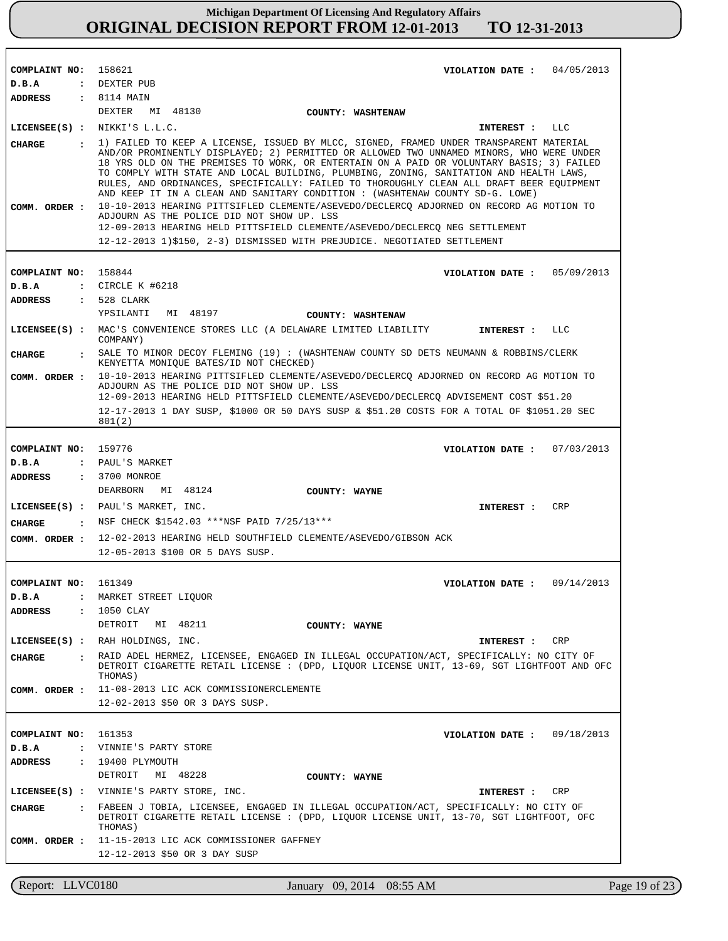| COMPLAINT NO: 158621 | 04/05/2013<br>VIOLATION DATE :                                                                                                                                                                                                                                                                                                                                                                                                                              |
|----------------------|-------------------------------------------------------------------------------------------------------------------------------------------------------------------------------------------------------------------------------------------------------------------------------------------------------------------------------------------------------------------------------------------------------------------------------------------------------------|
| D.B.A                | : DEXTER PUB                                                                                                                                                                                                                                                                                                                                                                                                                                                |
| ADDRESS : 8114 MAIN  |                                                                                                                                                                                                                                                                                                                                                                                                                                                             |
|                      | DEXTER MI 48130<br>COUNTY: WASHTENAW                                                                                                                                                                                                                                                                                                                                                                                                                        |
|                      | LICENSEE $(s)$ : NIKKI'S L.L.C.<br>LLC<br>INTEREST :                                                                                                                                                                                                                                                                                                                                                                                                        |
| CHARGE               | 1) FAILED TO KEEP A LICENSE, ISSUED BY MLCC, SIGNED, FRAMED UNDER TRANSPARENT MATERIAL                                                                                                                                                                                                                                                                                                                                                                      |
|                      | AND/OR PROMINENTLY DISPLAYED; 2) PERMITTED OR ALLOWED TWO UNNAMED MINORS, WHO WERE UNDER<br>18 YRS OLD ON THE PREMISES TO WORK, OR ENTERTAIN ON A PAID OR VOLUNTARY BASIS; 3) FAILED<br>TO COMPLY WITH STATE AND LOCAL BUILDING, PLUMBING, ZONING, SANITATION AND HEALTH LAWS,<br>RULES, AND ORDINANCES, SPECIFICALLY: FAILED TO THOROUGHLY CLEAN ALL DRAFT BEER EQUIPMENT<br>AND KEEP IT IN A CLEAN AND SANITARY CONDITION : (WASHTENAW COUNTY SD-G. LOWE) |
| COMM. ORDER :        | 10-10-2013 HEARING PITTSIFLED CLEMENTE/ASEVEDO/DECLERCO ADJORNED ON RECORD AG MOTION TO<br>ADJOURN AS THE POLICE DID NOT SHOW UP. LSS<br>12-09-2013 HEARING HELD PITTSFIELD CLEMENTE/ASEVEDO/DECLERCQ NEG SETTLEMENT                                                                                                                                                                                                                                        |
|                      |                                                                                                                                                                                                                                                                                                                                                                                                                                                             |
|                      | 12-12-2013 1)\$150, 2-3) DISMISSED WITH PREJUDICE. NEGOTIATED SETTLEMENT                                                                                                                                                                                                                                                                                                                                                                                    |
|                      |                                                                                                                                                                                                                                                                                                                                                                                                                                                             |
| COMPLAINT NO: 158844 | VIOLATION DATE: 05/09/2013                                                                                                                                                                                                                                                                                                                                                                                                                                  |
| D.B.A                | : CIRCLE K #6218                                                                                                                                                                                                                                                                                                                                                                                                                                            |
| ADDRESS              | : 528 CLARK                                                                                                                                                                                                                                                                                                                                                                                                                                                 |
|                      | YPSILANTI<br>MI 48197<br>COUNTY: WASHTENAW                                                                                                                                                                                                                                                                                                                                                                                                                  |
|                      | LICENSEE(S) : MAC'S CONVENIENCE STORES LLC (A DELAWARE LIMITED LIABILITY<br>INTEREST :<br>LLC                                                                                                                                                                                                                                                                                                                                                               |
| <b>CHARGE</b>        | COMPANY)<br>. SALE TO MINOR DECOY FLEMING (19) : (WASHTENAW COUNTY SD DETS NEUMANN & ROBBINS/CLERK                                                                                                                                                                                                                                                                                                                                                          |
| COMM. ORDER :        | KENYETTA MONIQUE BATES/ID NOT CHECKED)<br>10-10-2013 HEARING PITTSIFLED CLEMENTE/ASEVEDO/DECLERCO ADJORNED ON RECORD AG MOTION TO                                                                                                                                                                                                                                                                                                                           |
|                      | ADJOURN AS THE POLICE DID NOT SHOW UP. LSS<br>12-09-2013 HEARING HELD PITTSFIELD CLEMENTE/ASEVEDO/DECLERCQ ADVISEMENT COST \$51.20                                                                                                                                                                                                                                                                                                                          |
|                      | 12-17-2013 1 DAY SUSP, \$1000 OR 50 DAYS SUSP & \$51.20 COSTS FOR A TOTAL OF \$1051.20 SEC<br>801(2)                                                                                                                                                                                                                                                                                                                                                        |
|                      |                                                                                                                                                                                                                                                                                                                                                                                                                                                             |
| COMPLAINT NO: 159776 | 07/03/2013<br>VIOLATION DATE :                                                                                                                                                                                                                                                                                                                                                                                                                              |
| D.B.A                | : PAUL'S MARKET                                                                                                                                                                                                                                                                                                                                                                                                                                             |
| ADDRESS              | : 3700 MONROE                                                                                                                                                                                                                                                                                                                                                                                                                                               |
|                      | DEARBORN<br>MI 48124<br>COUNTY: WAYNE                                                                                                                                                                                                                                                                                                                                                                                                                       |
|                      | LICENSEE(S) : PAUL'S MARKET, INC.<br><b>CRP</b><br><b>INTEREST :</b>                                                                                                                                                                                                                                                                                                                                                                                        |
| CHARGE               | : NSF CHECK \$1542.03 ***NSF PAID 7/25/13***                                                                                                                                                                                                                                                                                                                                                                                                                |
|                      | 12-02-2013 HEARING HELD SOUTHFIELD CLEMENTE/ASEVEDO/GIBSON ACK                                                                                                                                                                                                                                                                                                                                                                                              |
| COMM. ORDER :        | 12-05-2013 \$100 OR 5 DAYS SUSP.                                                                                                                                                                                                                                                                                                                                                                                                                            |
|                      |                                                                                                                                                                                                                                                                                                                                                                                                                                                             |
|                      |                                                                                                                                                                                                                                                                                                                                                                                                                                                             |
| COMPLAINT NO: 161349 | 09/14/2013<br>VIOLATION DATE :                                                                                                                                                                                                                                                                                                                                                                                                                              |
| D.B.A                | MARKET STREET LIQUOR                                                                                                                                                                                                                                                                                                                                                                                                                                        |
| ADDRESS              | : 1050 CLAY                                                                                                                                                                                                                                                                                                                                                                                                                                                 |
|                      | DETROIT<br>MI 48211<br>COUNTY: WAYNE                                                                                                                                                                                                                                                                                                                                                                                                                        |
|                      | LICENSEE(S) : RAH HOLDINGS, INC.<br>CRP<br>INTEREST :                                                                                                                                                                                                                                                                                                                                                                                                       |
| <b>CHARGE</b>        | . RAID ADEL HERMEZ, LICENSEE, ENGAGED IN ILLEGAL OCCUPATION/ACT, SPECIFICALLY: NO CITY OF<br>DETROIT CIGARETTE RETAIL LICENSE : (DPD, LIQUOR LICENSE UNIT, 13-69, SGT LIGHTFOOT AND OFC<br>THOMAS)                                                                                                                                                                                                                                                          |
| COMM. ORDER :        | 11-08-2013 LIC ACK COMMISSIONERCLEMENTE                                                                                                                                                                                                                                                                                                                                                                                                                     |
|                      | 12-02-2013 \$50 OR 3 DAYS SUSP.                                                                                                                                                                                                                                                                                                                                                                                                                             |
|                      |                                                                                                                                                                                                                                                                                                                                                                                                                                                             |
| COMPLAINT NO:        | 161353<br>09/18/2013<br>VIOLATION DATE :                                                                                                                                                                                                                                                                                                                                                                                                                    |
| D.B.A                | : VINNIE'S PARTY STORE                                                                                                                                                                                                                                                                                                                                                                                                                                      |
|                      |                                                                                                                                                                                                                                                                                                                                                                                                                                                             |
| <b>ADDRESS</b>       | : 19400 PLYMOUTH<br>DETROIT<br>MI 48228<br>COUNTY: WAYNE                                                                                                                                                                                                                                                                                                                                                                                                    |
|                      | LICENSEE(S) : VINNIE'S PARTY STORE, INC.<br>CRP<br>INTEREST :                                                                                                                                                                                                                                                                                                                                                                                               |
| CHARGE<br>$\sim$ 1.  | FABEEN J TOBIA, LICENSEE, ENGAGED IN ILLEGAL OCCUPATION/ACT, SPECIFICALLY: NO CITY OF<br>DETROIT CIGARETTE RETAIL LICENSE : (DPD, LIQUOR LICENSE UNIT, 13-70, SGT LIGHTFOOT, OFC<br>THOMAS)                                                                                                                                                                                                                                                                 |
| COMM. ORDER :        | 11-15-2013 LIC ACK COMMISSIONER GAFFNEY                                                                                                                                                                                                                                                                                                                                                                                                                     |
|                      | 12-12-2013 \$50 OR 3 DAY SUSP                                                                                                                                                                                                                                                                                                                                                                                                                               |
|                      |                                                                                                                                                                                                                                                                                                                                                                                                                                                             |

Report: LLVC0180 January 09, 2014 08:55 AM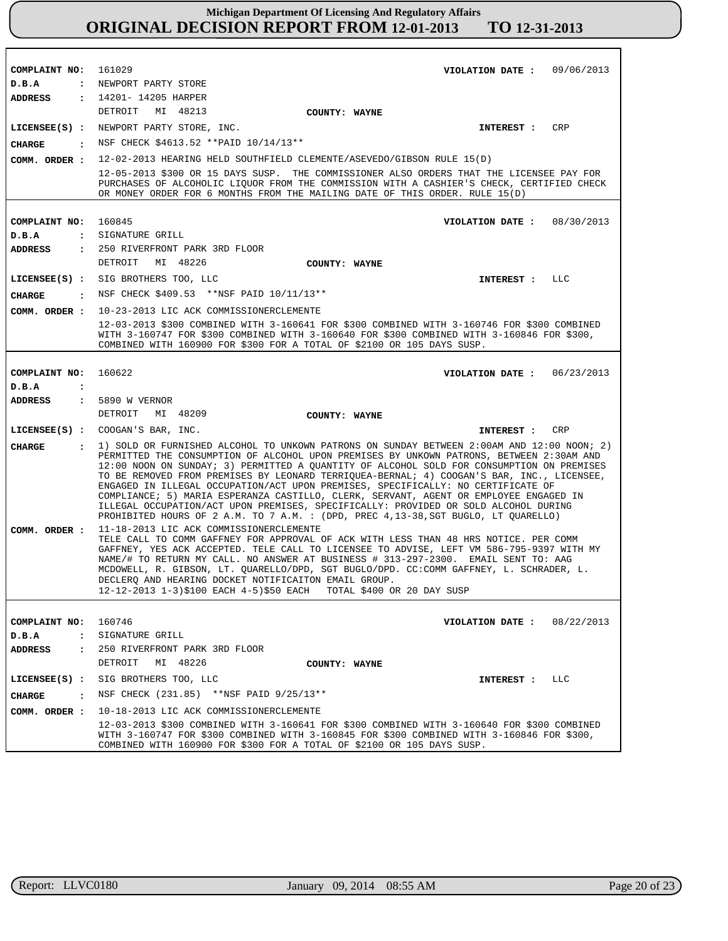| COMPLAINT NO: 161029             | VIOLATION DATE: $09/06/2013$                                                                                                                                                                                                                                                                                                                                                                                                                                                                                                                                                                                                                                                                                                                  |  |
|----------------------------------|-----------------------------------------------------------------------------------------------------------------------------------------------------------------------------------------------------------------------------------------------------------------------------------------------------------------------------------------------------------------------------------------------------------------------------------------------------------------------------------------------------------------------------------------------------------------------------------------------------------------------------------------------------------------------------------------------------------------------------------------------|--|
| D.B.A                            | : NEWPORT PARTY STORE                                                                                                                                                                                                                                                                                                                                                                                                                                                                                                                                                                                                                                                                                                                         |  |
|                                  | ADDRESS : 14201-14205 HARPER                                                                                                                                                                                                                                                                                                                                                                                                                                                                                                                                                                                                                                                                                                                  |  |
|                                  | DETROIT MI 48213<br>COUNTY: WAYNE                                                                                                                                                                                                                                                                                                                                                                                                                                                                                                                                                                                                                                                                                                             |  |
|                                  | LICENSEE(S) : NEWPORT PARTY STORE, INC.<br>CRP<br>INTEREST :                                                                                                                                                                                                                                                                                                                                                                                                                                                                                                                                                                                                                                                                                  |  |
| CHARGE                           | : NSF CHECK \$4613.52 ** PAID 10/14/13**                                                                                                                                                                                                                                                                                                                                                                                                                                                                                                                                                                                                                                                                                                      |  |
| COMM. ORDER :                    | 12-02-2013 HEARING HELD SOUTHFIELD CLEMENTE/ASEVEDO/GIBSON RULE 15(D)                                                                                                                                                                                                                                                                                                                                                                                                                                                                                                                                                                                                                                                                         |  |
|                                  | 12-05-2013 \$300 OR 15 DAYS SUSP. THE COMMISSIONER ALSO ORDERS THAT THE LICENSEE PAY FOR<br>PURCHASES OF ALCOHOLIC LIQUOR FROM THE COMMISSION WITH A CASHIER'S CHECK, CERTIFIED CHECK<br>OR MONEY ORDER FOR 6 MONTHS FROM THE MAILING DATE OF THIS ORDER. RULE 15(D)                                                                                                                                                                                                                                                                                                                                                                                                                                                                          |  |
|                                  |                                                                                                                                                                                                                                                                                                                                                                                                                                                                                                                                                                                                                                                                                                                                               |  |
| COMPLAINT NO: 160845<br>D.B.A    | VIOLATION DATE: 08/30/2013<br>: SIGNATURE GRILL                                                                                                                                                                                                                                                                                                                                                                                                                                                                                                                                                                                                                                                                                               |  |
| ADDRESS                          | : 250 RIVERFRONT PARK 3RD FLOOR                                                                                                                                                                                                                                                                                                                                                                                                                                                                                                                                                                                                                                                                                                               |  |
|                                  | MI 48226<br>DETROIT<br>COUNTY: WAYNE                                                                                                                                                                                                                                                                                                                                                                                                                                                                                                                                                                                                                                                                                                          |  |
|                                  | LICENSEE(S) : SIG BROTHERS TOO, LLC<br>LLC<br><b>INTEREST :</b>                                                                                                                                                                                                                                                                                                                                                                                                                                                                                                                                                                                                                                                                               |  |
|                                  | : NSF CHECK \$409.53 **NSF PAID 10/11/13**                                                                                                                                                                                                                                                                                                                                                                                                                                                                                                                                                                                                                                                                                                    |  |
| CHARGE                           |                                                                                                                                                                                                                                                                                                                                                                                                                                                                                                                                                                                                                                                                                                                                               |  |
| COMM. ORDER :                    | 10-23-2013 LIC ACK COMMISSIONERCLEMENTE<br>12-03-2013 \$300 COMBINED WITH 3-160641 FOR \$300 COMBINED WITH 3-160746 FOR \$300 COMBINED                                                                                                                                                                                                                                                                                                                                                                                                                                                                                                                                                                                                        |  |
|                                  | WITH 3-160747 FOR \$300 COMBINED WITH 3-160640 FOR \$300 COMBINED WITH 3-160846 FOR \$300,<br>COMBINED WITH 160900 FOR \$300 FOR A TOTAL OF \$2100 OR 105 DAYS SUSP.                                                                                                                                                                                                                                                                                                                                                                                                                                                                                                                                                                          |  |
|                                  |                                                                                                                                                                                                                                                                                                                                                                                                                                                                                                                                                                                                                                                                                                                                               |  |
| COMPLAINT NO: 160622             | VIOLATION DATE: $06/23/2013$                                                                                                                                                                                                                                                                                                                                                                                                                                                                                                                                                                                                                                                                                                                  |  |
| D.B.A<br>$\ddot{\cdot}$          |                                                                                                                                                                                                                                                                                                                                                                                                                                                                                                                                                                                                                                                                                                                                               |  |
| ADDRESS                          | : 5890 W VERNOR                                                                                                                                                                                                                                                                                                                                                                                                                                                                                                                                                                                                                                                                                                                               |  |
|                                  | DETROIT<br>MI 48209<br>COUNTY: WAYNE                                                                                                                                                                                                                                                                                                                                                                                                                                                                                                                                                                                                                                                                                                          |  |
|                                  | LICENSEE(S) : COOGAN'S BAR, INC.<br>CRP<br>INTEREST :                                                                                                                                                                                                                                                                                                                                                                                                                                                                                                                                                                                                                                                                                         |  |
| <b>CHARGE</b>                    | : 1) SOLD OR FURNISHED ALCOHOL TO UNKOWN PATRONS ON SUNDAY BETWEEN 2:00AM AND 12:00 NOON; 2)<br>PERMITTED THE CONSUMPTION OF ALCOHOL UPON PREMISES BY UNKOWN PATRONS, BETWEEN 2:30AM AND<br>12:00 NOON ON SUNDAY; 3) PERMITTED A QUANTITY OF ALCOHOL SOLD FOR CONSUMPTION ON PREMISES<br>TO BE REMOVED FROM PREMISES BY LEONARD TERRIQUEA-BERNAL; 4) COOGAN'S BAR, INC., LICENSEE,<br>ENGAGED IN ILLEGAL OCCUPATION/ACT UPON PREMISES, SPECIFICALLY: NO CERTIFICATE OF<br>COMPLIANCE; 5) MARIA ESPERANZA CASTILLO, CLERK, SERVANT, AGENT OR EMPLOYEE ENGAGED IN<br>ILLEGAL OCCUPATION/ACT UPON PREMISES, SPECIFICALLY: PROVIDED OR SOLD ALCOHOL DURING<br>PROHIBITED HOURS OF 2 A.M. TO 7 A.M. : (DPD, PREC 4, 13-38, SGT BUGLO, LT QUARELLO) |  |
| COMM. ORDER :                    | 11-18-2013 LIC ACK COMMISSIONERCLEMENTE<br>TELE CALL TO COMM GAFFNEY FOR APPROVAL OF ACK WITH LESS THAN 48 HRS NOTICE. PER COMM<br>GAFFNEY, YES ACK ACCEPTED. TELE CALL TO LICENSEE TO ADVISE, LEFT VM 586-795-9397 WITH MY<br>NAME/# TO RETURN MY CALL. NO ANSWER AT BUSINESS # 313-297-2300. EMAIL SENT TO: AAG<br>MCDOWELL, R. GIBSON, LT. QUARELLO/DPD, SGT BUGLO/DPD. CC:COMM GAFFNEY, L. SCHRADER, L.<br>DECLERO AND HEARING DOCKET NOTIFICAITON EMAIL GROUP.<br>12-12-2013 1-3)\$100 EACH 4-5)\$50 EACH<br>TOTAL \$400 OR 20 DAY SUSP                                                                                                                                                                                                  |  |
|                                  |                                                                                                                                                                                                                                                                                                                                                                                                                                                                                                                                                                                                                                                                                                                                               |  |
| COMPLAINT NO:                    |                                                                                                                                                                                                                                                                                                                                                                                                                                                                                                                                                                                                                                                                                                                                               |  |
|                                  | 160746<br>08/22/2013<br>VIOLATION DATE :                                                                                                                                                                                                                                                                                                                                                                                                                                                                                                                                                                                                                                                                                                      |  |
| D.B.A<br>$\ddot{\phantom{a}}$    | SIGNATURE GRILL                                                                                                                                                                                                                                                                                                                                                                                                                                                                                                                                                                                                                                                                                                                               |  |
| <b>ADDRESS</b><br>$\ddot{\cdot}$ | 250 RIVERFRONT PARK 3RD FLOOR                                                                                                                                                                                                                                                                                                                                                                                                                                                                                                                                                                                                                                                                                                                 |  |
|                                  | MI 48226<br>DETROIT<br>COUNTY: WAYNE                                                                                                                                                                                                                                                                                                                                                                                                                                                                                                                                                                                                                                                                                                          |  |
| $LICENSEE(S)$ :                  | SIG BROTHERS TOO, LLC<br>LLC<br>INTEREST :                                                                                                                                                                                                                                                                                                                                                                                                                                                                                                                                                                                                                                                                                                    |  |
| <b>CHARGE</b><br>$\mathbf{r}$    | NSF CHECK (231.85) **NSF PAID 9/25/13**                                                                                                                                                                                                                                                                                                                                                                                                                                                                                                                                                                                                                                                                                                       |  |
| COMM. ORDER :                    | 10-18-2013 LIC ACK COMMISSIONERCLEMENTE<br>12-03-2013 \$300 COMBINED WITH 3-160641 FOR \$300 COMBINED WITH 3-160640 FOR \$300 COMBINED                                                                                                                                                                                                                                                                                                                                                                                                                                                                                                                                                                                                        |  |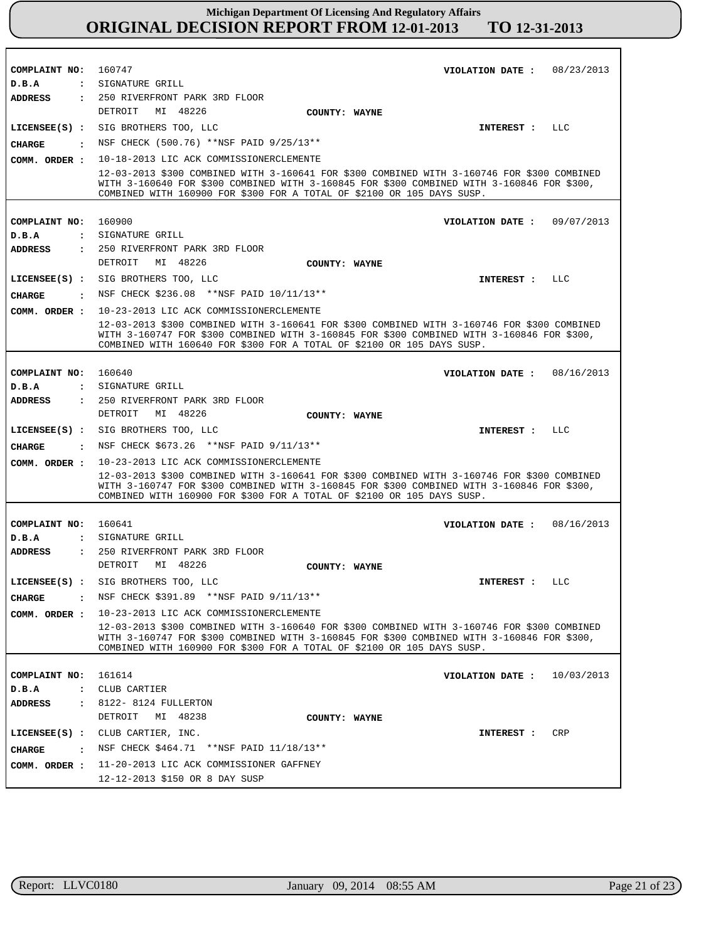| COMPLAINT NO: 160747                                       |                                                                                                                                                                                                                                                                     | VIOLATION DATE :             |                   | 08/23/2013 |
|------------------------------------------------------------|---------------------------------------------------------------------------------------------------------------------------------------------------------------------------------------------------------------------------------------------------------------------|------------------------------|-------------------|------------|
| D.B.A                                                      | : SIGNATURE GRILL                                                                                                                                                                                                                                                   |                              |                   |            |
| <b>ADDRESS</b>                                             | : 250 RIVERFRONT PARK 3RD FLOOR                                                                                                                                                                                                                                     |                              |                   |            |
|                                                            | DETROIT<br>MI 48226                                                                                                                                                                                                                                                 | COUNTY: WAYNE                |                   |            |
|                                                            | LICENSEE(S) : SIG BROTHERS TOO, LLC                                                                                                                                                                                                                                 |                              | INTEREST :        | LLC        |
| CHARGE<br>$\sim$ $\sim$                                    | NSF CHECK (500.76) **NSF PAID 9/25/13**                                                                                                                                                                                                                             |                              |                   |            |
| COMM. ORDER :                                              | 10-18-2013 LIC ACK COMMISSIONERCLEMENTE                                                                                                                                                                                                                             |                              |                   |            |
|                                                            | 12-03-2013 \$300 COMBINED WITH 3-160641 FOR \$300 COMBINED WITH 3-160746 FOR \$300 COMBINED<br>WITH 3-160640 FOR \$300 COMBINED WITH 3-160845 FOR \$300 COMBINED WITH 3-160846 FOR \$300,<br>COMBINED WITH 160900 FOR \$300 FOR A TOTAL OF \$2100 OR 105 DAYS SUSP. |                              |                   |            |
|                                                            |                                                                                                                                                                                                                                                                     |                              |                   |            |
| COMPLAINT NO: 160900                                       |                                                                                                                                                                                                                                                                     | VIOLATION DATE :             |                   | 09/07/2013 |
| D.B.A                                                      | : SIGNATURE GRILL                                                                                                                                                                                                                                                   |                              |                   |            |
| <b>ADDRESS</b>                                             | : 250 RIVERFRONT PARK 3RD FLOOR<br>DETROIT<br>MI 48226                                                                                                                                                                                                              |                              |                   |            |
|                                                            |                                                                                                                                                                                                                                                                     | COUNTY: WAYNE                |                   |            |
|                                                            | LICENSEE(S) : SIG BROTHERS TOO, LLC                                                                                                                                                                                                                                 |                              | <b>INTEREST :</b> | LLC        |
| <b>CHARGE</b><br>$\sim$ $\sim$ $\sim$ $\sim$ $\sim$ $\sim$ | NSF CHECK \$236.08 **NSF PAID 10/11/13**                                                                                                                                                                                                                            |                              |                   |            |
| COMM. ORDER :                                              | 10-23-2013 LIC ACK COMMISSIONERCLEMENTE                                                                                                                                                                                                                             |                              |                   |            |
|                                                            | 12-03-2013 \$300 COMBINED WITH 3-160641 FOR \$300 COMBINED WITH 3-160746 FOR \$300 COMBINED<br>WITH 3-160747 FOR \$300 COMBINED WITH 3-160845 FOR \$300 COMBINED WITH 3-160846 FOR \$300,<br>COMBINED WITH 160640 FOR \$300 FOR A TOTAL OF \$2100 OR 105 DAYS SUSP. |                              |                   |            |
|                                                            |                                                                                                                                                                                                                                                                     |                              |                   |            |
| COMPLAINT NO:                                              | 160640                                                                                                                                                                                                                                                              | VIOLATION DATE :             |                   | 08/16/2013 |
| D.B.A<br>$\mathbf{z}$                                      | SIGNATURE GRILL                                                                                                                                                                                                                                                     |                              |                   |            |
| <b>ADDRESS</b>                                             | : 250 RIVERFRONT PARK 3RD FLOOR<br>DETROIT<br>MI 48226                                                                                                                                                                                                              | COUNTY: WAYNE                |                   |            |
| LICENSE (S) :                                              | SIG BROTHERS TOO, LLC                                                                                                                                                                                                                                               |                              | INTEREST :        | LLC        |
| <b>CHARGE</b><br>$\sim$ $\sim$ $\sim$                      | NSF CHECK \$673.26 ** NSF PAID 9/11/13**                                                                                                                                                                                                                            |                              |                   |            |
| COMM. ORDER :                                              | 10-23-2013 LIC ACK COMMISSIONERCLEMENTE                                                                                                                                                                                                                             |                              |                   |            |
|                                                            | 12-03-2013 \$300 COMBINED WITH 3-160641 FOR \$300 COMBINED WITH 3-160746 FOR \$300 COMBINED<br>WITH 3-160747 FOR \$300 COMBINED WITH 3-160845 FOR \$300 COMBINED WITH 3-160846 FOR \$300,<br>COMBINED WITH 160900 FOR \$300 FOR A TOTAL OF \$2100 OR 105 DAYS SUSP. |                              |                   |            |
|                                                            |                                                                                                                                                                                                                                                                     |                              |                   |            |
| COMPLAINT NO:                                              | 160641                                                                                                                                                                                                                                                              | VIOLATION DATE: $08/16/2013$ |                   |            |
| D.B.A                                                      | : SIGNATURE GRILL                                                                                                                                                                                                                                                   |                              |                   |            |
| <b>ADDRESS</b>                                             | : 250 RIVERFRONT PARK 3RD FLOOR                                                                                                                                                                                                                                     |                              |                   |            |
|                                                            | DETROIT<br>MI 48226                                                                                                                                                                                                                                                 | COUNTY: WAYNE                |                   |            |
|                                                            | LICENSEE(S) : SIG BROTHERS TOO, LLC                                                                                                                                                                                                                                 |                              | INTEREST :        | LLC        |
| <b>CHARGE</b>                                              | NSF CHECK \$391.89 **NSF PAID 9/11/13**                                                                                                                                                                                                                             |                              |                   |            |
| COMM. ORDER :                                              | 10-23-2013 LIC ACK COMMISSIONERCLEMENTE                                                                                                                                                                                                                             |                              |                   |            |
|                                                            | 12-03-2013 \$300 COMBINED WITH 3-160640 FOR \$300 COMBINED WITH 3-160746 FOR \$300 COMBINED<br>WITH 3-160747 FOR \$300 COMBINED WITH 3-160845 FOR \$300 COMBINED WITH 3-160846 FOR \$300,<br>COMBINED WITH 160900 FOR \$300 FOR A TOTAL OF \$2100 OR 105 DAYS SUSP. |                              |                   |            |
|                                                            |                                                                                                                                                                                                                                                                     |                              |                   |            |
| COMPLAINT NO:                                              | 161614                                                                                                                                                                                                                                                              | VIOLATION DATE :             |                   | 10/03/2013 |
| D.B.A<br>$\ddot{\phantom{a}}$                              | CLUB CARTIER                                                                                                                                                                                                                                                        |                              |                   |            |
| <b>ADDRESS</b><br>$\ddot{\phantom{a}}$                     | 8122- 8124 FULLERTON<br>DETROIT<br>MI 48238                                                                                                                                                                                                                         |                              |                   |            |
|                                                            |                                                                                                                                                                                                                                                                     | COUNTY: WAYNE                |                   |            |
|                                                            |                                                                                                                                                                                                                                                                     |                              |                   |            |
| $LICENSEE(S)$ :                                            | CLUB CARTIER, INC.                                                                                                                                                                                                                                                  |                              | INTEREST :        | <b>CRP</b> |
| CHARGE<br>$\ddot{\cdot}$                                   | NSF CHECK \$464.71 **NSF PAID 11/18/13**                                                                                                                                                                                                                            |                              |                   |            |
| COMM. ORDER :                                              | 11-20-2013 LIC ACK COMMISSIONER GAFFNEY<br>12-12-2013 \$150 OR 8 DAY SUSP                                                                                                                                                                                           |                              |                   |            |

r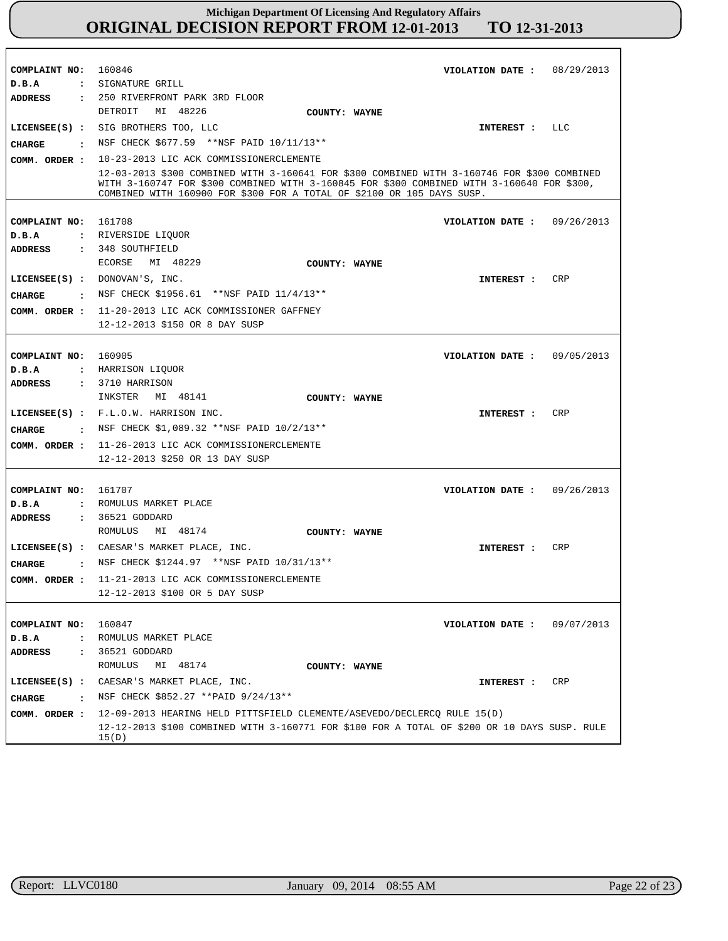| COMPLAINT NO: 160846<br>D.B.A                           | : SIGNATURE GRILL                                                                                                                                                                                                                                                   | VIOLATION DATE: 08/29/2013   |            |
|---------------------------------------------------------|---------------------------------------------------------------------------------------------------------------------------------------------------------------------------------------------------------------------------------------------------------------------|------------------------------|------------|
| <b>ADDRESS</b><br>CHARGE<br>$\sim$ $\sim$ $\sim$ $\sim$ | : 250 RIVERFRONT PARK 3RD FLOOR<br>MI 48226<br>DETROIT<br>COUNTY: WAYNE<br>LICENSEE(S) : SIG BROTHERS TOO, LLC<br>NSF CHECK \$677.59 **NSF PAID 10/11/13**<br>10-23-2013 LIC ACK COMMISSIONERCLEMENTE                                                               | INTEREST :                   | LLC        |
| COMM. ORDER :                                           | 12-03-2013 \$300 COMBINED WITH 3-160641 FOR \$300 COMBINED WITH 3-160746 FOR \$300 COMBINED<br>WITH 3-160747 FOR \$300 COMBINED WITH 3-160845 FOR \$300 COMBINED WITH 3-160640 FOR \$300,<br>COMBINED WITH 160900 FOR \$300 FOR A TOTAL OF \$2100 OR 105 DAYS SUSP. |                              |            |
| COMPLAINT NO: 161708<br>D.B.A<br>ADDRESS                | : RIVERSIDE LIQUOR<br>: 348 SOUTHFIELD                                                                                                                                                                                                                              | VIOLATION DATE :             | 09/26/2013 |
| <b>CHARGE</b><br>COMM. ORDER :                          | ECORSE<br>MI 48229<br>COUNTY: WAYNE<br>LICENSEE(S) : DONOVAN'S, INC.<br>: NSF CHECK \$1956.61 **NSF PAID 11/4/13**<br>11-20-2013 LIC ACK COMMISSIONER GAFFNEY<br>12-12-2013 \$150 OR 8 DAY SUSP                                                                     | INTEREST :                   | CRP        |
| COMPLAINT NO:<br>D.B.A<br>ADDRESS                       | 160905<br>: HARRISON LIQUOR<br>: 3710 HARRISON                                                                                                                                                                                                                      | VIOLATION DATE: 09/05/2013   |            |
| CIIARGE<br>$\sim$ $\sim$ $\sim$<br>COMM. ORDER :        | INKSTER MI 48141<br>COUNTY: WAYNE<br>LICENSEE(S) : F.L.O.W. HARRISON INC.<br>NSF CHECK \$1,089.32 **NSF PAID 10/2/13**<br>11-26-2013 LIC ACK COMMISSIONERCLEMENTE<br>12-12-2013 \$250 OR 13 DAY SUSP                                                                | INTEREST :                   | CRP        |
| COMPLAINT NO: 161707<br>D.B.A<br><b>ADDRESS</b>         | : ROMULUS MARKET PLACE<br>$: 36521$ GODDARD                                                                                                                                                                                                                         | VIOLATION DATE: $09/26/2013$ |            |
| <b>CHARGE</b>                                           | ROMULUS<br>MI 48174<br>COUNTY: WAYNE<br>LICENSEE(S) : CAESAR'S MARKET PLACE, INC.<br>: NSF CHECK \$1244.97 **NSF PAID 10/31/13**<br>COMM. ORDER : 11-21-2013 LIC ACK COMMISSIONERCLEMENTE<br>12-12-2013 \$100 OR 5 DAY SUSP                                         | INTEREST :                   | CRP        |
| COMPLAINT NO:<br>D.B.A<br>ADDRESS                       | 160847<br>: ROMULUS MARKET PLACE<br>: 36521 GODDARD                                                                                                                                                                                                                 | VIOLATION DATE: $09/07/2013$ |            |
| <b>CHARGE</b>                                           | MI 48174<br>ROMULUS<br>COUNTY: WAYNE<br>LICENSEE(S) : CAESAR'S MARKET PLACE, INC.<br>: NSF CHECK \$852.27 ** PAID 9/24/13**                                                                                                                                         | INTEREST :                   | CRP        |
| COMM. ORDER :                                           | 12-09-2013 HEARING HELD PITTSFIELD CLEMENTE/ASEVEDO/DECLERCO RULE 15(D)<br>12-12-2013 \$100 COMBINED WITH 3-160771 FOR \$100 FOR A TOTAL OF \$200 OR 10 DAYS SUSP. RULE<br>15(D)                                                                                    |                              |            |

r